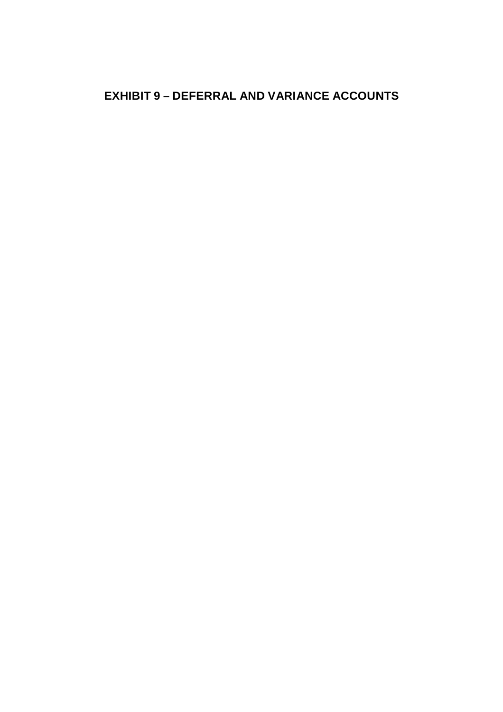# **EXHIBIT 9 – DEFERRAL AND VARIANCE ACCOUNTS**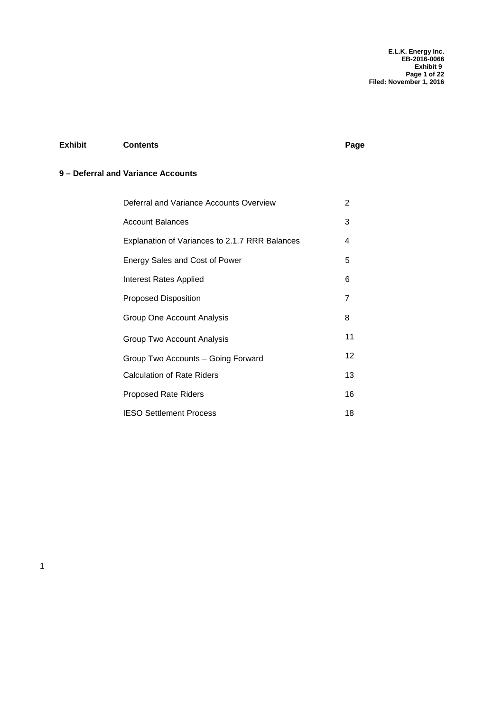**E.L.K. Energy Inc. EB-2016-0066 Exhibit 9 Page 1 of 22 Filed: November 1, 2016**

## **Exhibit Contents Page**

## **9 – Deferral and Variance Accounts**

| Deferral and Variance Accounts Overview        | 2  |
|------------------------------------------------|----|
| <b>Account Balances</b>                        | 3  |
| Explanation of Variances to 2.1.7 RRR Balances | 4  |
| Energy Sales and Cost of Power                 | 5  |
| Interest Rates Applied                         | 6  |
| <b>Proposed Disposition</b>                    | 7  |
| Group One Account Analysis                     | 8  |
| Group Two Account Analysis                     | 11 |
| Group Two Accounts - Going Forward             | 12 |
| <b>Calculation of Rate Riders</b>              | 13 |
| <b>Proposed Rate Riders</b>                    | 16 |
| <b>IESO Settlement Process</b>                 | 18 |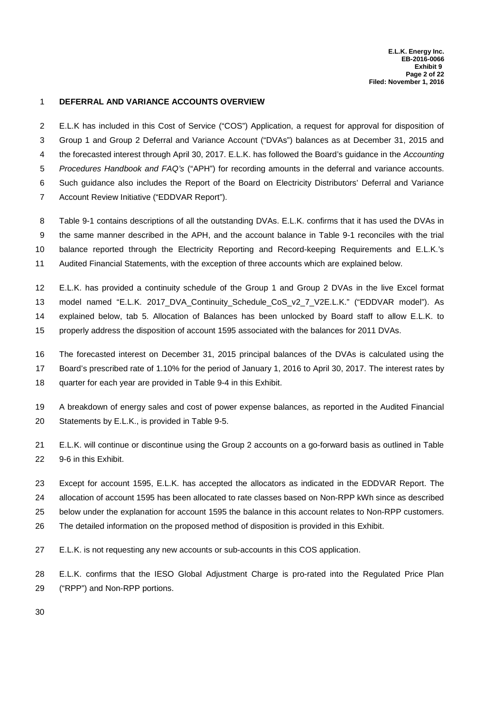#### 1 **DEFERRAL AND VARIANCE ACCOUNTS OVERVIEW**

E.L.K has included in this Cost of Service ("COS") Application, a request for approval for disposition of2 3 Group 1 and Group 2 Deferral and Variance Account ("DVAs") balances as at December 31, 2015 and 4 the forecasted interest through April 30, 2017. E.L.K. has followed the Board's guidance in the *Accounting Procedures Handbook and FAQ's* ("APH") for recording amounts in the deferral and variance accounts.5 Such guidance also includes the Report of the Board on Electricity Distributors' Deferral and Variance6 7 Account Review Initiative ("EDDVAR Report").

Table 9-1 contains descriptions of all the outstanding DVAs. E.L.K. confirms that it has used the DVAs in8 9 the same manner described in the APH, and the account balance in Table 9-1 reconciles with the trial 10 balance reported through the Electricity Reporting and Record-keeping Requirements and E.L.K.'s 11 Audited Financial Statements, with the exception of three accounts which are explained below.

12 E.L.K. has provided a continuity schedule of the Group 1 and Group 2 DVAs in the live Excel format 13 model named "E.L.K. 2017 DVA Continuity Schedule CoS v2 7 V2E.L.K." ("EDDVAR model"). As 14 explained below, tab 5. Allocation of Balances has been unlocked by Board staff to allow E.L.K. to 15 properly address the disposition of account 1595 associated with the balances for 2011 DVAs.

16 The forecasted interest on December 31, 2015 principal balances of the DVAs is calculated using the

17 Board's prescribed rate of 1.10% for the period of January 1, 2016 to April 30, 2017. The interest rates by

18 quarter for each year are provided in Table 9-4 in this Exhibit.

19 A breakdown of energy sales and cost of power expense balances, as reported in the Audited Financial 20 Statements by E.L.K., is provided in Table 9-5.

E.L.K. will continue or discontinue using the Group 2 accounts on a go-forward basis as outlined in Table21 22 9-6 in this Exhibit.

Except for account 1595, E.L.K. has accepted the allocators as indicated in the EDDVAR Report. The23 24 allocation of account 1595 has been allocated to rate classes based on Non-RPP kWh since as described below under the explanation for account 1595 the balance in this account relates to Non-RPP customers.25

26 The detailed information on the proposed method of disposition is provided in this Exhibit.

E.L.K. is not requesting any new accounts or sub-accounts in this COS application.27

28 E.L.K. confirms that the IESO Global Adjustment Charge is pro-rated into the Regulated Price Plan 29 ("RPP") and Non-RPP portions.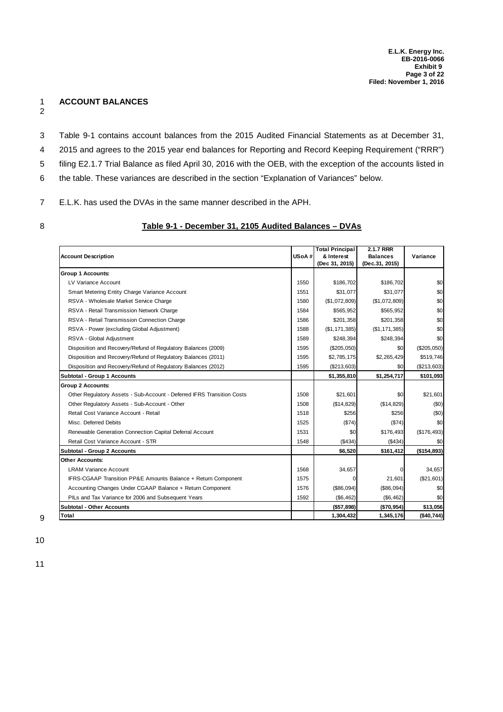### 1 **ACCOUNT BALANCES**

- 2
- Table 9-1 contains account balances from the 2015 Audited Financial Statements as at December 31,3
- 4 2015 and agrees to the 2015 year end balances for Reporting and Record Keeping Requirement ("RRR")
- filing E2.1.7 Trial Balance as filed April 30, 2016 with the OEB, with the exception of the accounts listed in5
- the table. These variances are described in the section "Explanation of Variances" below.6
- E.L.K. has used the DVAs in the same manner described in the APH.7
- 

#### 8 **Table 9-1 - December 31, 2105 Audited Balances – DVAs**

|                                                                        |       | <b>Total Principal</b> | 2.1.7 RRR       |               |
|------------------------------------------------------------------------|-------|------------------------|-----------------|---------------|
| <b>Account Description</b>                                             | USoA# | & Interest             | <b>Balances</b> | Variance      |
|                                                                        |       | (Dec 31, 2015)         | (Dec.31, 2015)  |               |
| <b>Group 1 Accounts:</b>                                               |       |                        |                 |               |
| LV Variance Account                                                    | 1550  | \$186,702              | \$186,702       | \$0           |
| Smart Metering Entity Charge Variance Account                          | 1551  | \$31,077               | \$31,077        | \$0           |
| RSVA - Wholesale Market Service Charge                                 | 1580  | (\$1,072,809)          | (\$1,072,809)   | \$0           |
| RSVA - Retail Transmission Network Charge                              | 1584  | \$565,952              | \$565,952       | \$0           |
| RSVA - Retail Transmission Connection Charge                           | 1586  | \$201,358              | \$201,358       | \$0           |
| RSVA - Power (excluding Global Adjustment)                             | 1588  | (\$1, 171, 385)        | (\$1,171,385)   | \$0           |
| RSVA - Global Adjustment                                               | 1589  | \$248,394              | \$248,394       | \$0           |
| Disposition and Recovery/Refund of Regulatory Balances (2009)          | 1595  | $(\$205,050)$          | \$0             | $(\$205,050)$ |
| Disposition and Recovery/Refund of Regulatory Balances (2011)          | 1595  | \$2,785,175            | \$2,265,429     | \$519,746     |
| Disposition and Recovery/Refund of Regulatory Balances (2012)          | 1595  | (\$213,603)            | \$0             | (\$213,603)   |
| Subtotal - Group 1 Accounts                                            |       | \$1,355,810            | \$1,254,717     | \$101,093     |
| <b>Group 2 Accounts:</b>                                               |       |                        |                 |               |
| Other Regulatory Assets - Sub-Account - Deferred IFRS Transition Costs | 1508  | \$21,601               | \$0             | \$21.601      |
| Other Regulatory Assets - Sub-Account - Other                          | 1508  | (\$14,829)             | (\$14,829)      | (50)          |
| Retail Cost Variance Account - Retail                                  | 1518  | \$256                  | \$256           | (50)          |
| Misc. Deferred Debits                                                  | 1525  | (\$74)                 | (\$74)          | \$0           |
| Renewable Generation Connection Capital Deferral Account               | 1531  | \$0                    | \$176,493       | (\$176,493)   |
| Retail Cost Variance Account - STR                                     | 1548  | (\$434)                | (\$434)         | \$0           |
| Subtotal - Group 2 Accounts                                            |       | \$6,520                | \$161,412       | (\$154,893)   |
| Other Accounts:                                                        |       |                        |                 |               |
| <b>LRAM Variance Account</b>                                           | 1568  | 34,657                 |                 | 34,657        |
| IFRS-CGAAP Transition PP&E Amounts Balance + Return Component          | 1575  | $\Omega$               | 21,601          | (\$21,601)    |
| Accounting Changes Under CGAAP Balance + Return Component              | 1576  | (\$86,094)             | (\$86,094)      | \$0           |
| PILs and Tax Variance for 2006 and Subsequent Years                    | 1592  | (\$6,462)              | (\$6,462)       | \$0           |
| <b>Subtotal - Other Accounts</b>                                       |       | (\$57,898)             | (\$70,954)      | \$13,056      |
| Total                                                                  |       | 1,304,432              | 1,345,176       | (\$40,744)    |

10

11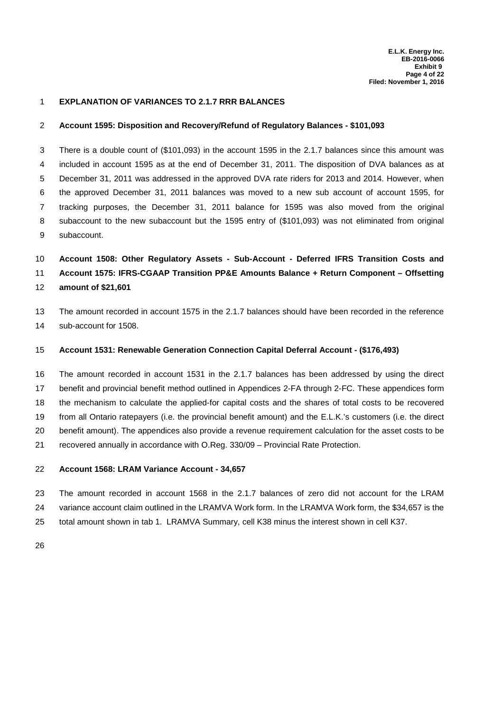#### 1 **EXPLANATION OF VARIANCES TO 2.1.7 RRR BALANCES**

#### 2 **Account 1595: Disposition and Recovery/Refund of Regulatory Balances - \$101,093**

There is a double count of (\$101,093) in the account 1595 in the 2.1.7 balances since this amount was3 4 included in account 1595 as at the end of December 31, 2011. The disposition of DVA balances as at 5 December 31, 2011 was addressed in the approved DVA rate riders for 2013 and 2014. However, when the approved December 31, 2011 balances was moved to a new sub account of account 1595, for6 tracking purposes, the December 31, 2011 balance for 1595 was also moved from the original7 subaccount to the new subaccount but the 1595 entry of (\$101,093) was not eliminated from original8 9 subaccount.

## 10 **Account 1508: Other Regulatory Assets - Sub-Account - Deferred IFRS Transition Costs and**

11 **Account 1575: IFRS-CGAAP Transition PP&E Amounts Balance + Return Component – Offsetting**

12 **amount of \$21,601**

13 The amount recorded in account 1575 in the 2.1.7 balances should have been recorded in the reference 14 sub-account for 1508.

#### 15 **Account 1531: Renewable Generation Connection Capital Deferral Account - (\$176,493)**

16 The amount recorded in account 1531 in the 2.1.7 balances has been addressed by using the direct 17 benefit and provincial benefit method outlined in Appendices 2-FA through 2-FC. These appendices form 18 the mechanism to calculate the applied-for capital costs and the shares of total costs to be recovered from all Ontario ratepayers (i.e. the provincial benefit amount) and the E.L.K.'s customers (i.e. the direct 20 benefit amount). The appendices also provide a revenue requirement calculation for the asset costs to be recovered annually in accordance with O.Reg. 330/09 – Provincial Rate Protection.21

#### 22 **Account 1568: LRAM Variance Account - 34,657**

23 The amount recorded in account 1568 in the 2.1.7 balances of zero did not account for the LRAM 24 variance account claim outlined in the LRAMVA Work form. In the LRAMVA Work form, the \$34,657 is the 25 total amount shown in tab 1. LRAMVA Summary, cell K38 minus the interest shown in cell K37.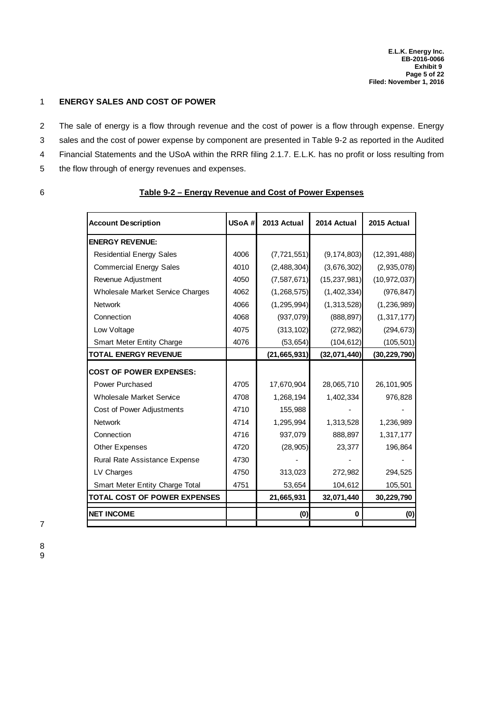#### 1 **ENERGY SALES AND COST OF POWER**

- 2 The sale of energy is a flow through revenue and the cost of power is a flow through expense. Energy
- sales and the cost of power expense by component are presented in Table 9-2 as reported in the Audited
- Financial Statements and the USoA within the RRR filing 2.1.7. E.L.K. has no profit or loss resulting from4
- 5 the flow through of energy revenues and expenses.

## 6 **Table 9-2 – Energy Revenue and Cost of Power Expenses**

| <b>Account Description</b>              | USoA# | 2013 Actual    | 2014 Actual    | 2015 Actual    |
|-----------------------------------------|-------|----------------|----------------|----------------|
| <b>ENERGY REVENUE:</b>                  |       |                |                |                |
| <b>Residential Energy Sales</b>         | 4006  | (7, 721, 551)  | (9, 174, 803)  | (12, 391, 488) |
| <b>Commercial Energy Sales</b>          | 4010  | (2,488,304)    | (3,676,302)    | (2,935,078)    |
| Revenue Adjustment                      | 4050  | (7,587,671)    | (15, 237, 981) | (10, 972, 037) |
| <b>Wholesale Market Service Charges</b> | 4062  | (1, 268, 575)  | (1,402,334)    | (976, 847)     |
| <b>Network</b>                          | 4066  | (1, 295, 994)  | (1,313,528)    | (1, 236, 989)  |
| Connection                              | 4068  | (937,079)      | (888, 897)     | (1, 317, 177)  |
| Low Voltage                             | 4075  | (313, 102)     | (272, 982)     | (294, 673)     |
| <b>Smart Meter Entity Charge</b>        | 4076  | (53, 654)      | (104, 612)     | (105, 501)     |
| <b>TOTAL ENERGY REVENUE</b>             |       | (21, 665, 931) | (32,071,440)   | (30, 229, 790) |
| <b>COST OF POWER EXPENSES:</b>          |       |                |                |                |
| Power Purchased                         | 4705  | 17,670,904     | 28,065,710     | 26,101,905     |
| <b>Wholesale Market Service</b>         | 4708  | 1,268,194      | 1,402,334      | 976,828        |
| Cost of Power Adjustments               | 4710  | 155,988        |                |                |
| <b>Network</b>                          | 4714  | 1,295,994      | 1,313,528      | 1,236,989      |
| Connection                              | 4716  | 937,079        | 888,897        | 1,317,177      |
| <b>Other Expenses</b>                   | 4720  | (28, 905)      | 23,377         | 196,864        |
| Rural Rate Assistance Expense           | 4730  |                |                |                |
| LV Charges                              | 4750  | 313,023        | 272,982        | 294,525        |
| Smart Meter Entity Charge Total         | 4751  | 53,654         | 104,612        | 105,501        |
| <b>TOTAL COST OF POWER EXPENSES</b>     |       | 21,665,931     | 32,071,440     | 30,229,790     |
| <b>NET INCOME</b>                       |       | (0)            | 0              | (0)            |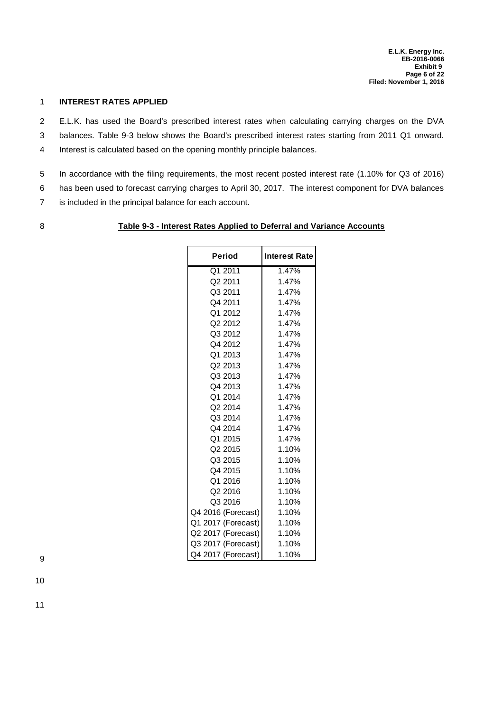#### 1 **INTEREST RATES APPLIED**

E.L.K. has used the Board's prescribed interest rates when calculating carrying charges on the DVA2

- balances. Table 9-3 below shows the Board's prescribed interest rates starting from 2011 Q1 onward.3
- 4 Interest is calculated based on the opening monthly principle balances.
- 5 In accordance with the filing requirements, the most recent posted interest rate (1.10% for Q3 of 2016)
- has been used to forecast carrying charges to April 30, 2017. The interest component for DVA balances6
- 7 is included in the principal balance for each account.
- 

#### 8 **Table 9-3 - Interest Rates Applied to Deferral and Variance Accounts**

| <b>Period</b>       | <b>Interest Rate</b> |
|---------------------|----------------------|
| Q1 2011             | 1.47%                |
| Q2 2011             | 1.47%                |
| Q3 2011             | 1.47%                |
| Q4 2011             | 1.47%                |
| Q1 2012             | 1.47%                |
| Q2 2012             | 1.47%                |
| Q3 2012             | 1.47%                |
| Q4 2012             | 1.47%                |
| Q1 2013             | 1.47%                |
| Q2 2013             | 1.47%                |
| Q3 2013             | 1.47%                |
| Q4 2013             | 1.47%                |
| Q1 2014             | 1.47%                |
| Q <sub>2</sub> 2014 | 1.47%                |
| Q3 2014             | 1.47%                |
| Q4 2014             | 1.47%                |
| Q1 2015             | 1.47%                |
| Q <sub>2</sub> 2015 | 1.10%                |
| Q3 2015             | 1.10%                |
| Q4 2015             | 1.10%                |
| Q1 2016             | 1.10%                |
| Q2 2016             | 1.10%                |
| Q3 2016             | 1.10%                |
| Q4 2016 (Forecast)  | 1.10%                |
| Q1 2017 (Forecast)  | 1.10%                |
| Q2 2017 (Forecast)  | 1.10%                |
| Q3 2017 (Forecast)  | 1.10%                |
| Q4 2017 (Forecast)  | 1.10%                |

9

10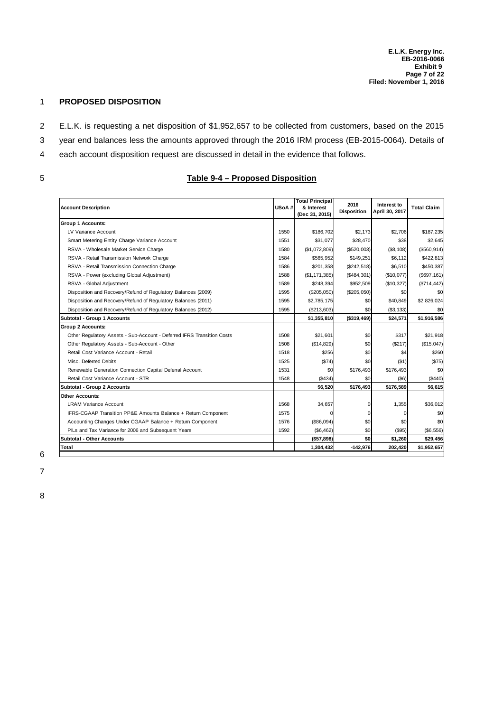#### 1 **PROPOSED DISPOSITION**

- E.L.K. is requesting a net disposition of \$1,952,657 to be collected from customers, based on the 20152
- 3 year end balances less the amounts approved through the 2016 IRM process (EB-2015-0064). Details of
- each account disposition request are discussed in detail in the evidence that follows.4
- 

## 5 **Table 9-4 – Proposed Disposition**

| <b>Account Description</b>                                             | USoA# | <b>Total Principal</b><br>& Interest<br>(Dec 31, 2015) | 2016<br><b>Disposition</b> | Interest to<br>April 30, 2017 | <b>Total Claim</b> |
|------------------------------------------------------------------------|-------|--------------------------------------------------------|----------------------------|-------------------------------|--------------------|
| <b>Group 1 Accounts:</b>                                               |       |                                                        |                            |                               |                    |
| LV Variance Account                                                    | 1550  | \$186.702                                              | \$2.173                    | \$2.706                       | \$187.235          |
| Smart Metering Entity Charge Variance Account                          | 1551  | \$31.077                                               | \$28,470                   | \$38                          | \$2.645            |
| RSVA - Wholesale Market Service Charge                                 | 1580  | (\$1,072,809)                                          | (\$520,003)                | (S8, 108)                     | (\$560, 914)       |
| RSVA - Retail Transmission Network Charge                              | 1584  | \$565.952                                              | \$149.251                  | \$6.112                       | \$422.813          |
| RSVA - Retail Transmission Connection Charge                           | 1586  | \$201,358                                              | (S242.518)                 | \$6.510                       | \$450.387          |
| RSVA - Power (excluding Global Adjustment)                             | 1588  | (\$1, 171, 385)                                        | (\$484,301)                | (\$10,077)                    | (S697, 161)        |
| RSVA - Global Adjustment                                               | 1589  | \$248,394                                              | \$952,509                  | (\$10,327)                    | (\$714, 442)       |
| Disposition and Recovery/Refund of Regulatory Balances (2009)          | 1595  | (\$205,050)                                            | $(\$205,050)$              | \$0                           | \$0                |
| Disposition and Recovery/Refund of Regulatory Balances (2011)          | 1595  | \$2,785,175                                            | \$0                        | \$40,849                      | \$2,826,024        |
| Disposition and Recovery/Refund of Regulatory Balances (2012)          | 1595  | (\$213,603)                                            | \$0                        | ( \$3, 133)                   | \$0                |
| Subtotal - Group 1 Accounts                                            |       | \$1,355,810                                            | (\$319,469)                | \$24,571                      | \$1,916,586        |
| <b>Group 2 Accounts:</b>                                               |       |                                                        |                            |                               |                    |
| Other Regulatory Assets - Sub-Account - Deferred IFRS Transition Costs | 1508  | \$21,601                                               | \$0                        | \$317                         | \$21,918           |
| Other Regulatory Assets - Sub-Account - Other                          | 1508  | (\$14,829)                                             | \$0                        | (\$217)                       | (\$15,047)         |
| Retail Cost Variance Account - Retail                                  | 1518  | \$256                                                  | \$0                        | \$4                           | \$260              |
| Misc. Deferred Debits                                                  | 1525  | (\$74)                                                 | \$0                        | (\$1)                         | (\$75)             |
| Renewable Generation Connection Capital Deferral Account               | 1531  | \$0                                                    | \$176.493                  | \$176.493                     | \$0                |
| Retail Cost Variance Account - STR                                     | 1548  | (\$434)                                                | \$0                        | $($ \$6)                      | (\$440)            |
| Subtotal - Group 2 Accounts                                            |       | \$6,520                                                | \$176,493                  | \$176,589                     | \$6,615            |
| <b>Other Accounts:</b>                                                 |       |                                                        |                            |                               |                    |
| <b>LRAM Variance Account</b>                                           | 1568  | 34,657                                                 |                            | 1.355                         | \$36.012           |
| IFRS-CGAAP Transition PP&E Amounts Balance + Return Component          | 1575  |                                                        | O                          | 0                             | \$0                |
| Accounting Changes Under CGAAP Balance + Return Component              | 1576  | (\$86,094)                                             | \$0                        | \$0                           | \$0                |
| PILs and Tax Variance for 2006 and Subsequent Years                    | 1592  | (\$6,462)                                              | \$0                        | $($ \$95)                     | (\$6,556)          |
| Subtotal - Other Accounts                                              |       | (\$57,898)                                             | \$0                        | \$1,260                       | \$29,456           |
| Total                                                                  |       | 1,304,432                                              | $-142.976$                 | 202.420                       | \$1,952,657        |

6 7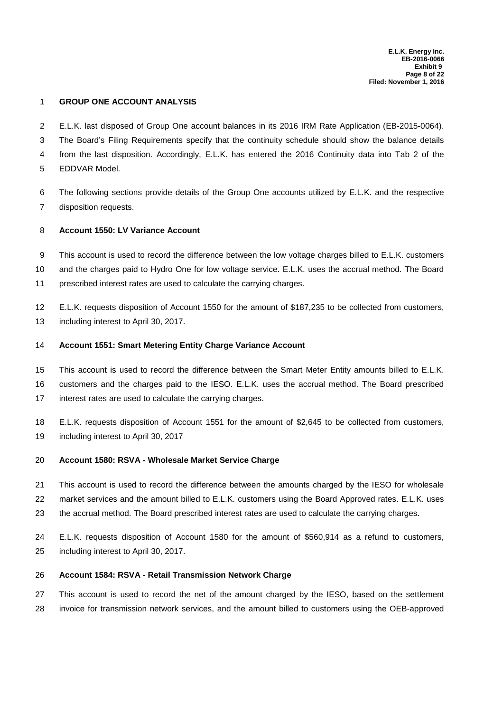#### 1 **GROUP ONE ACCOUNT ANALYSIS**

- E.L.K. last disposed of Group One account balances in its 2016 IRM Rate Application (EB-2015-0064).2
- The Board's Filing Requirements specify that the continuity schedule should show the balance details3
- from the last disposition. Accordingly, E.L.K. has entered the 2016 Continuity data into Tab 2 of the4
- 5 **EDDVAR Model.**

The following sections provide details of the Group One accounts utilized by E.L.K. and the respective6 7 disposition requests.

#### 8 **Account 1550: LV Variance Account**

This account is used to record the difference between the low voltage charges billed to E.L.K. customers9 10 and the charges paid to Hydro One for low voltage service. E.L.K. uses the accrual method. The Board 11 prescribed interest rates are used to calculate the carrying charges.

12 E.L.K. requests disposition of Account 1550 for the amount of \$187,235 to be collected from customers, 13 including interest to April 30, 2017.

#### 14 **Account 1551: Smart Metering Entity Charge Variance Account**

15 This account is used to record the difference between the Smart Meter Entity amounts billed to E.L.K.

customers and the charges paid to the IESO. E.L.K. uses the accrual method. The Board prescribed16

17 interest rates are used to calculate the carrying charges.

18 E.L.K. requests disposition of Account 1551 for the amount of \$2,645 to be collected from customers, 19 including interest to April 30, 2017

#### 20 **Account 1580: RSVA - Wholesale Market Service Charge**

21 This account is used to record the difference between the amounts charged by the IESO for wholesale

22 market services and the amount billed to E.L.K. customers using the Board Approved rates. E.L.K. uses

23 the accrual method. The Board prescribed interest rates are used to calculate the carrying charges.

E.L.K. requests disposition of Account 1580 for the amount of \$560,914 as a refund to customers,24 25 including interest to April 30, 2017.

#### 26 **Account 1584: RSVA - Retail Transmission Network Charge**

27 This account is used to record the net of the amount charged by the IESO, based on the settlement 28 invoice for transmission network services, and the amount billed to customers using the OEB-approved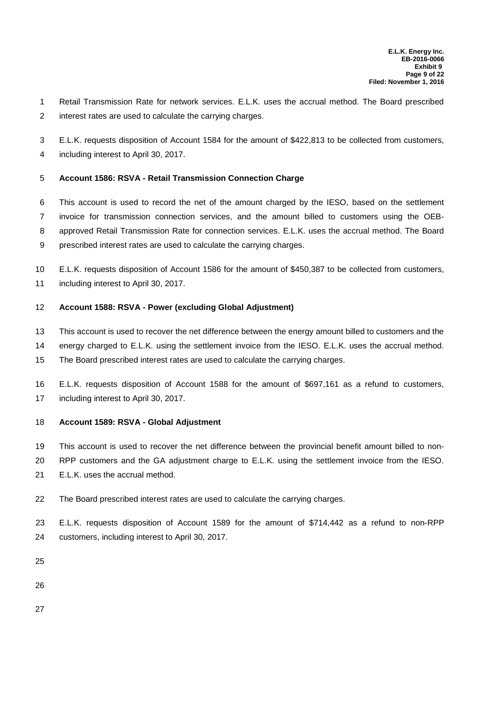1 Retail Transmission Rate for network services. E.L.K. uses the accrual method. The Board prescribed interest rates are used to calculate the carrying charges.2

- E.L.K. requests disposition of Account 1584 for the amount of \$422,813 to be collected from customers,3
- 4 including interest to April 30, 2017.

#### 5 **Account 1586: RSVA - Retail Transmission Connection Charge**

6 This account is used to record the net of the amount charged by the IESO, based on the settlement 7 invoice for transmission connection services, and the amount billed to customers using the OEB-8 approved Retail Transmission Rate for connection services. E.L.K. uses the accrual method. The Board prescribed interest rates are used to calculate the carrying charges.9

- 10 E.L.K. requests disposition of Account 1586 for the amount of \$450,387 to be collected from customers,
- 11 including interest to April 30, 2017.

#### 12 **Account 1588: RSVA - Power (excluding Global Adjustment)**

- 13 This account is used to recover the net difference between the energy amount billed to customers and the
- 14 energy charged to E.L.K. using the settlement invoice from the IESO. E.L.K. uses the accrual method.
- 15 The Board prescribed interest rates are used to calculate the carrying charges.
- 16 E.L.K. requests disposition of Account 1588 for the amount of \$697,161 as a refund to customers, 17 including interest to April 30, 2017.

#### 18 **Account 1589: RSVA - Global Adjustment**

- 19 This account is used to recover the net difference between the provincial benefit amount billed to non-
- 20 RPP customers and the GA adjustment charge to E.L.K. using the settlement invoice from the IESO. 21 E.L.K. uses the accrual method.
- 22 The Board prescribed interest rates are used to calculate the carrying charges.
- 23 E.L.K. requests disposition of Account 1589 for the amount of \$714,442 as a refund to non-RPP 24 customers, including interest to April 30, 2017.
- 25
- 26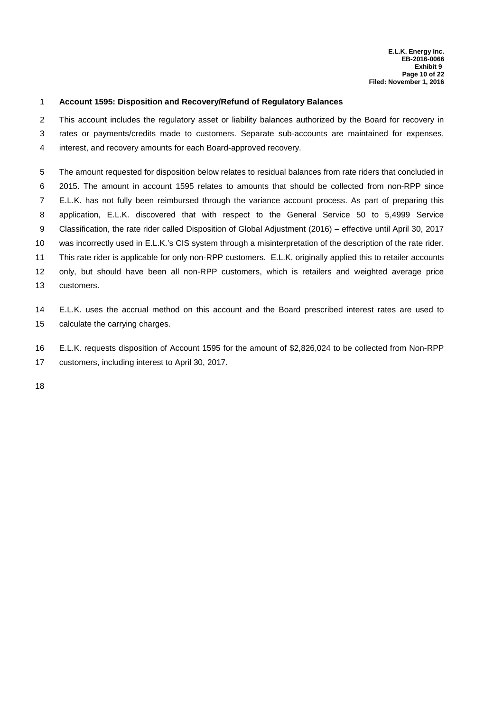#### 1 **Account 1595: Disposition and Recovery/Refund of Regulatory Balances**

2 This account includes the regulatory asset or liability balances authorized by the Board for recovery in 3 rates or payments/credits made to customers. Separate sub-accounts are maintained for expenses, interest, and recovery amounts for each Board-approved recovery.4

5 The amount requested for disposition below relates to residual balances from rate riders that concluded in 2015. The amount in account 1595 relates to amounts that should be collected from non-RPP since6 E.L.K. has not fully been reimbursed through the variance account process. As part of preparing this7 application, E.L.K. discovered that with respect to the General Service 50 to 5,4999 Service8 9 Classification, the rate rider called Disposition of Global Adjustment (2016) – effective until April 30, 2017 10 was incorrectly used in E.L.K.'s CIS system through a misinterpretation of the description of the rate rider. 11 This rate rider is applicable for only non-RPP customers. E.L.K. originally applied this to retailer accounts 12 only, but should have been all non-RPP customers, which is retailers and weighted average price 13 customers.

14 E.L.K. uses the accrual method on this account and the Board prescribed interest rates are used to 15 calculate the carrying charges.

16 E.L.K. requests disposition of Account 1595 for the amount of \$2,826,024 to be collected from Non-RPP 17 customers, including interest to April 30, 2017.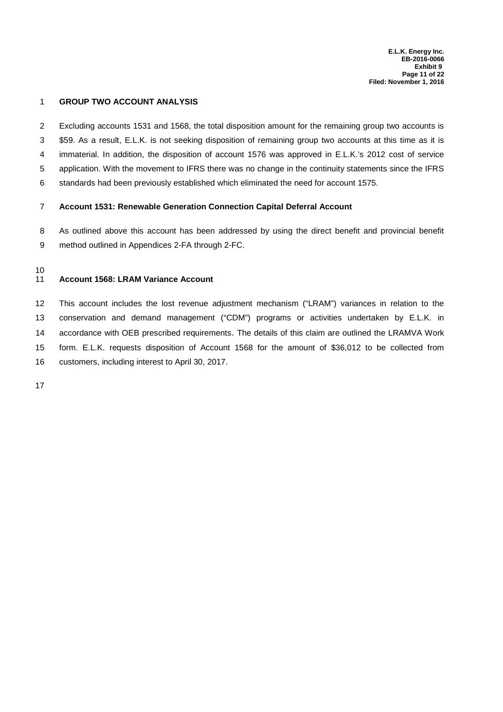#### 1 **GROUP TWO ACCOUNT ANALYSIS**

- Excluding accounts 1531 and 1568, the total disposition amount for the remaining group two accounts is2
- \$59. As a result, E.L.K. is not seeking disposition of remaining group two accounts at this time as it is
- immaterial. In addition, the disposition of account 1576 was approved in E.L.K.'s 2012 cost of service4
- 5 application. With the movement to IFRS there was no change in the continuity statements since the IFRS
- 6 standards had been previously established which eliminated the need for account 1575.

#### 7 **Account 1531: Renewable Generation Connection Capital Deferral Account**

8 As outlined above this account has been addressed by using the direct benefit and provincial benefit 9 method outlined in Appendices 2-FA through 2-FC.

#### 10

#### 11 **Account 1568: LRAM Variance Account**

12 This account includes the lost revenue adjustment mechanism ("LRAM") variances in relation to the 13 conservation and demand management ("CDM") programs or activities undertaken by E.L.K. in 14 accordance with OEB prescribed requirements. The details of this claim are outlined the LRAMVA Work form. E.L.K. requests disposition of Account 1568 for the amount of \$36,012 to be collected from15 16 customers, including interest to April 30, 2017.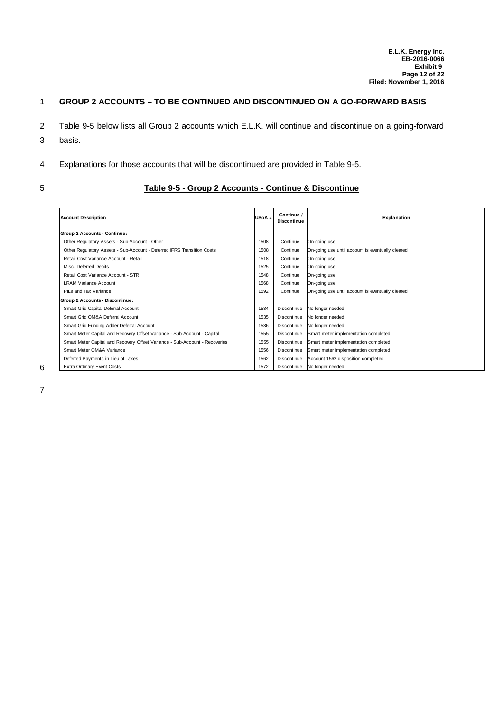## 1 **GROUP 2 ACCOUNTS – TO BE CONTINUED AND DISCONTINUED ON A GO-FORWARD BASIS**

- 2 Table 9-5 below lists all Group 2 accounts which E.L.K. will continue and discontinue on a going-forward
- 3 basis.
- Explanations for those accounts that will be discontinued are provided in Table 9-5.4
- 

#### 5 **Table 9-5 - Group 2 Accounts - Continue & Discontinue**

| <b>Account Description</b>                                                  | USoA# | Continue /<br><b>Discontinue</b> | Explanation                                      |
|-----------------------------------------------------------------------------|-------|----------------------------------|--------------------------------------------------|
| Group 2 Accounts - Continue:                                                |       |                                  |                                                  |
| Other Regulatory Assets - Sub-Account - Other                               | 1508  | Continue                         | On-going use                                     |
| Other Regulatory Assets - Sub-Account - Deferred IFRS Transition Costs      | 1508  | Continue                         | On-going use until account is eventually cleared |
| Retail Cost Variance Account - Retail                                       | 1518  | Continue                         | On-going use                                     |
| Misc. Deferred Debits                                                       | 1525  | Continue                         | On-going use                                     |
| Retail Cost Variance Account - STR                                          | 1548  | Continue                         | On-going use                                     |
| <b>LRAM Variance Account</b>                                                | 1568  | Continue                         | On-going use                                     |
| PILs and Tax Variance                                                       | 1592  | Continue                         | On-going use until account is eventually cleared |
| Group 2 Accounts - Discontinue:                                             |       |                                  |                                                  |
| Smart Grid Capital Deferral Account                                         | 1534  | Discontinue                      | No longer needed                                 |
| Smart Grid OM&A Deferral Account                                            | 1535  | Discontinue                      | No longer needed                                 |
| Smart Grid Funding Adder Deferral Account                                   | 1536  | Discontinue                      | No longer needed                                 |
| Smart Meter Capital and Recovery Offset Variance - Sub-Account - Capital    | 1555  | Discontinue                      | Smart meter implementation completed             |
| Smart Meter Capital and Recovery Offset Variance - Sub-Account - Recoveries | 1555  | Discontinue                      | Smart meter implementation completed             |
| Smart Meter OM&A Variance                                                   | 1556  | Discontinue                      | Smart meter implementation completed             |
| Deferred Payments in Lieu of Taxes                                          | 1562  | Discontinue                      | Account 1562 disposition completed               |
| <b>Extra-Ordinary Event Costs</b>                                           | 1572  | Discontinue                      | No longer needed                                 |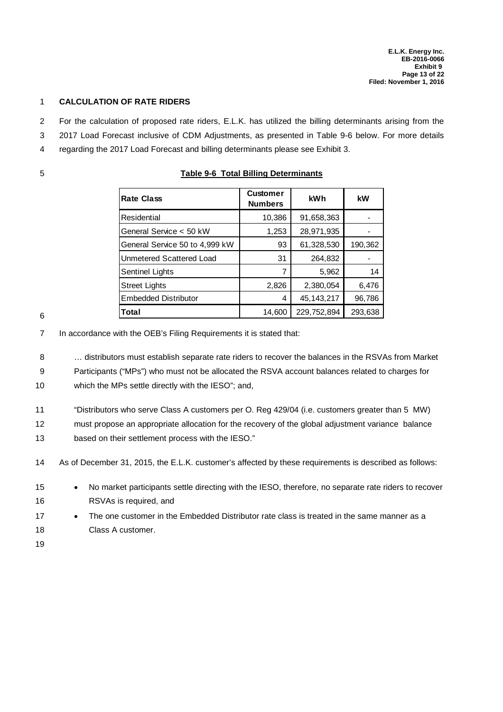#### 1 **CALCULATION OF RATE RIDERS**

- For the calculation of proposed rate riders, E.L.K. has utilized the billing determinants arising from the
- 3 2017 Load Forecast inclusive of CDM Adjustments, as presented in Table 9-6 below. For more details
- 4 regarding the 2017 Load Forecast and billing determinants please see Exhibit 3.
- 

|  | <b>Table 9-6 Total Billing Determinants</b> |
|--|---------------------------------------------|
|--|---------------------------------------------|

| <b>Rate Class</b>              | <b>Customer</b><br><b>Numbers</b> | kWh          | kW      |
|--------------------------------|-----------------------------------|--------------|---------|
| Residential                    | 10,386                            | 91,658,363   |         |
| General Service < 50 kW        | 1,253                             | 28,971,935   |         |
| General Service 50 to 4,999 kW | 93                                | 61,328,530   | 190,362 |
| Unmetered Scattered Load       | 31                                | 264,832      |         |
| Sentinel Lights                | 7                                 | 5,962        | 14      |
| <b>Street Lights</b>           | 2,826                             | 2,380,054    | 6,476   |
| <b>Embedded Distributor</b>    | 4                                 | 45, 143, 217 | 96,786  |
| Total                          | 14,600                            | 229,752,894  | 293,638 |

6

7 In accordance with the OEB's Filing Requirements it is stated that:

8 ... distributors must establish separate rate riders to recover the balances in the RSVAs from Market

9 Participants ("MPs") who must not be allocated the RSVA account balances related to charges for

10 which the MPs settle directly with the IESO"; and,

11 "Distributors who serve Class A customers per O. Reg 429/04 (i.e. customers greater than 5 MW)

12 must propose an appropriate allocation for the recovery of the global adjustment variance balance

13 based on their settlement process with the IESO."

14 As of December 31, 2015, the E.L.K. customer's affected by these requirements is described as follows:

- 15 No market participants settle directing with the IESO, therefore, no separate rate riders to recover 16 RSVAs is required, and
- The one customer in the Embedded Distributor rate class is treated in the same manner as a 18 Class A customer.
- 19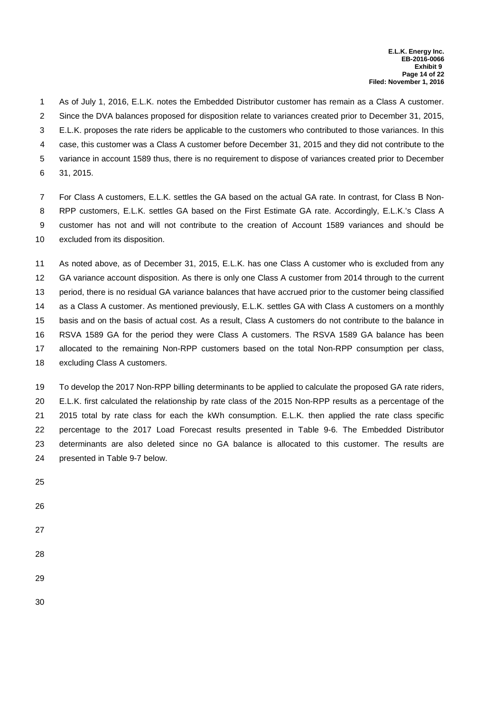As of July 1, 2016, E.L.K. notes the Embedded Distributor customer has remain as a Class A customer.1 Since the DVA balances proposed for disposition relate to variances created prior to December 31, 2015,2 E.L.K. proposes the rate riders be applicable to the customers who contributed to those variances. In this3 4 case, this customer was a Class A customer before December 31, 2015 and they did not contribute to the 5 variance in account 1589 thus, there is no requirement to dispose of variances created prior to December 6 31, 2015.

For Class A customers, E.L.K. settles the GA based on the actual GA rate. In contrast, for Class B Non-7 RPP customers, E.L.K. settles GA based on the First Estimate GA rate. Accordingly, E.L.K.'s Class A8 9 customer has not and will not contribute to the creation of Account 1589 variances and should be 10 excluded from its disposition.

11 As noted above, as of December 31, 2015, E.L.K. has one Class A customer who is excluded from any 12 GA variance account disposition. As there is only one Class A customer from 2014 through to the current 13 period, there is no residual GA variance balances that have accrued prior to the customer being classified 14 as a Class A customer. As mentioned previously, E.L.K. settles GA with Class A customers on a monthly 15 basis and on the basis of actual cost. As a result, Class A customers do not contribute to the balance in 16 RSVA 1589 GA for the period they were Class A customers. The RSVA 1589 GA balance has been 17 allocated to the remaining Non-RPP customers based on the total Non-RPP consumption per class, 18 excluding Class A customers.

19 To develop the 2017 Non-RPP billing determinants to be applied to calculate the proposed GA rate riders, E.L.K. first calculated the relationship by rate class of the 2015 Non-RPP results as a percentage of the20 21 2015 total by rate class for each the kWh consumption. E.L.K. then applied the rate class specific 22 percentage to the 2017 Load Forecast results presented in Table 9-6. The Embedded Distributor 23 determinants are also deleted since no GA balance is allocated to this customer. The results are 24 presented in Table 9-7 below.

- 25
- 26
- 27
- 28
- 
- 29
- 30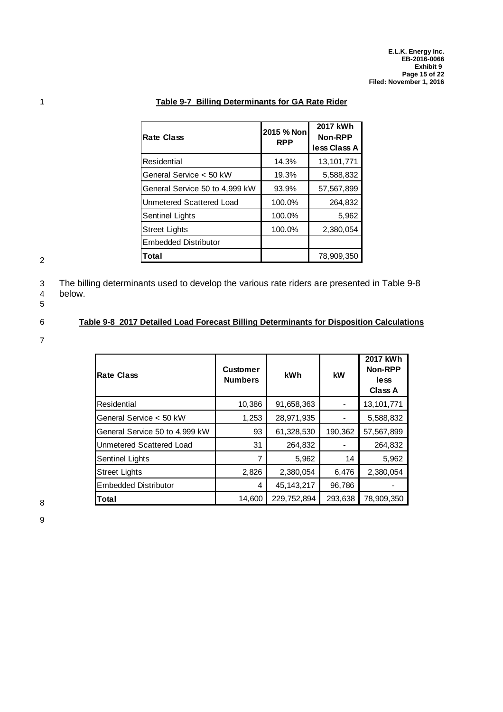| Rate Class                     | 2015 % Non<br><b>RPP</b> | 2017 kWh<br>Non-RPP<br>less Class A |  |
|--------------------------------|--------------------------|-------------------------------------|--|
| Residential                    | 14.3%                    | 13, 101, 771                        |  |
| General Service < 50 kW        | 19.3%                    | 5,588,832                           |  |
| General Service 50 to 4,999 kW | 93.9%                    | 57,567,899                          |  |
| Unmetered Scattered Load       | 100.0%                   | 264,832                             |  |
| <b>Sentinel Lights</b>         | 100.0%                   | 5,962                               |  |
| <b>Street Lights</b>           | 100.0%                   | 2,380,054                           |  |
| <b>Embedded Distributor</b>    |                          |                                     |  |
| Total                          |                          | 78,909,350                          |  |

## 1 **Table 9-7 Billing Determinants for GA Rate Rider**

2

3 The billing determinants used to develop the various rate riders are presented in Table 9-8<br>4 below. below.

5

### 6 **Table 9-8 2017 Detailed Load Forecast Billing Determinants for Disposition Calculations**

7

| <b>Rate Class</b>               | <b>Customer</b><br><b>Numbers</b> | kWh          | kW      | 2017 kWh<br>Non-RPP<br>less<br><b>Class A</b> |
|---------------------------------|-----------------------------------|--------------|---------|-----------------------------------------------|
| Residential                     | 10,386                            | 91,658,363   |         | 13, 101, 771                                  |
| General Service < 50 kW         | 1,253                             | 28,971,935   |         | 5,588,832                                     |
| General Service 50 to 4,999 kW  | 93                                | 61,328,530   | 190,362 | 57,567,899                                    |
| <b>Unmetered Scattered Load</b> | 31                                | 264,832      |         | 264,832                                       |
| Sentinel Lights                 | 7                                 | 5,962        | 14      | 5,962                                         |
| Street Lights                   | 2,826                             | 2,380,054    | 6,476   | 2,380,054                                     |
| Embedded Distributor            | 4                                 | 45, 143, 217 | 96,786  |                                               |
| Total                           | 14,600                            | 229,752,894  | 293,638 | 78,909,350                                    |

8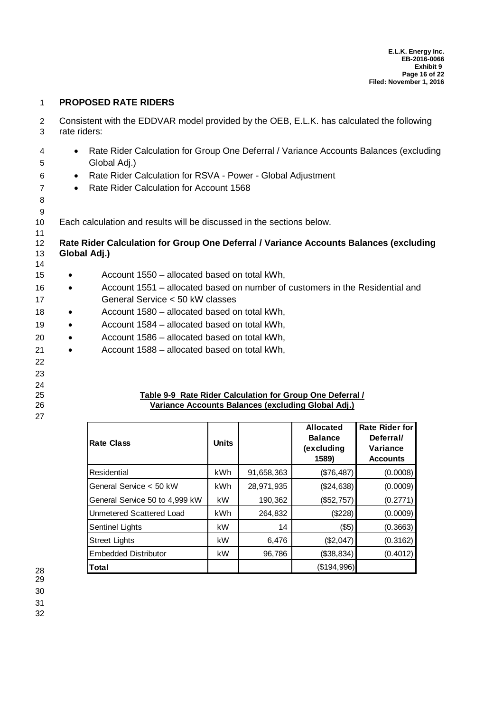#### 1 **PROPOSED RATE RIDERS**

2 Consistent with the EDDVAR model provided by the OEB, E.L.K. has calculated the following 3 rate riders:

- 4  **Rate Rider Calculation for Group One Deferral / Variance Accounts Balances (excluding** 5 Global Adj.)
- 6 Rate Rider Calculation for RSVA Power Global Adjustment
- 7 
Rate Rider Calculation for Account 1568
- 8 9

11

10 Each calculation and results will be discussed in the sections below.

#### 12 **Rate Rider Calculation for Group One Deferral / Variance Accounts Balances (excluding** 13 **Global Adj.)** 14

- 15 Account 1550 allocated based on total kWh,
- 16 Account 1551 allocated based on number of customers in the Residential and 17 General Service < 50 kW classes
- 18 Account 1580 allocated based on total kWh,
- 
- 19 Account 1584 allocated based on total kWh,
- 20 Account 1586 allocated based on total kWh,
- 21 Account 1588 allocated based on total kWh,
- 22
- 23
- 24
- 
- 27

## 25 **Table 9-9 Rate Rider Calculation for Group One Deferral /** 26 **Variance Accounts Balances (excluding Global Adj.)**

| <b>Rate Class</b>              | <b>Units</b> |            | <b>Allocated</b><br><b>Balance</b><br>(excluding<br>1589) | <b>Rate Rider for</b><br>Deferral/<br>Variance<br><b>Accounts</b> |
|--------------------------------|--------------|------------|-----------------------------------------------------------|-------------------------------------------------------------------|
| Residential                    | kWh          | 91,658,363 | (\$76,487)                                                | (0.0008)                                                          |
| General Service < 50 kW        | kWh          | 28,971,935 | (\$24,638)                                                | (0.0009)                                                          |
| General Service 50 to 4,999 kW | kW           | 190,362    | (\$52,757)                                                | (0.2771)                                                          |
| Unmetered Scattered Load       | kWh          | 264,832    | (\$228)                                                   | (0.0009)                                                          |
| <b>Sentinel Lights</b>         | kW           | 14         | $($ \$5)                                                  | (0.3663)                                                          |
| <b>Street Lights</b>           | kW           | 6,476      | (\$2,047)                                                 | (0.3162)                                                          |
| <b>Embedded Distributor</b>    | kW           | 96,786     | (\$38,834)                                                | (0.4012)                                                          |
| Total                          |              |            | (\$194,996)                                               |                                                                   |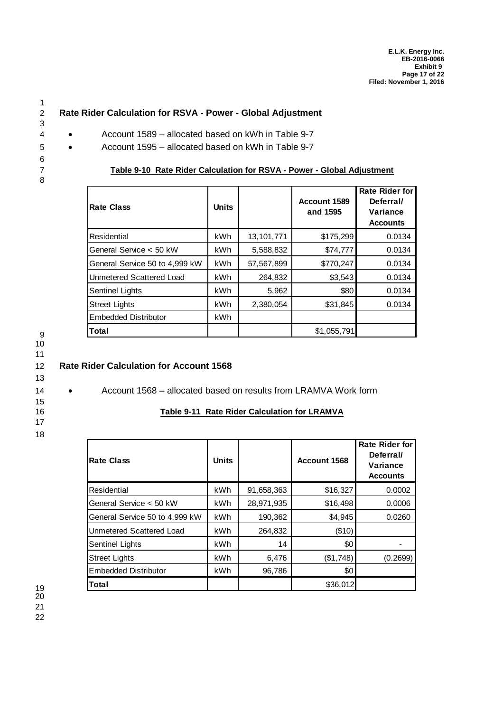## 2 **Rate Rider Calculation for RSVA - Power - Global Adjustment**

- 4 Account 1589 allocated based on kWh in Table 9-7
- 5 Account 1595 allocated based on kWh in Table 9-7
- 7 **Table 9-10 Rate Rider Calculation for RSVA Power Global Adjustment**

| <b>Rate Class</b>              | <b>Units</b> |            | Account 1589<br>and 1595 | <b>Rate Rider for</b><br>Deferral/<br>Variance<br><b>Accounts</b> |
|--------------------------------|--------------|------------|--------------------------|-------------------------------------------------------------------|
| Residential                    | kWh.         | 13,101,771 | \$175,299                | 0.0134                                                            |
| General Service < 50 kW        | kWh          | 5,588,832  | \$74,777                 | 0.0134                                                            |
| General Service 50 to 4,999 kW | kWh          | 57,567,899 | \$770,247                | 0.0134                                                            |
| Unmetered Scattered Load       | kWh          | 264,832    | \$3,543                  | 0.0134                                                            |
| <b>Sentinel Lights</b>         | kWh          | 5,962      | \$80                     | 0.0134                                                            |
| <b>Street Lights</b>           | kWh          | 2,380,054  | \$31,845                 | 0.0134                                                            |
| <b>Embedded Distributor</b>    | kWh          |            |                          |                                                                   |
| <b>Total</b>                   |              |            | \$1,055,791              |                                                                   |

9 10

1

3

6

8

11

## 12 **Rate Rider Calculation for Account 1568**

- 13
- 14 Account 1568 allocated based on results from LRAMVA Work form

- 16 **Table 9-11 Rate Rider Calculation for LRAMVA**
- 17
- 18

| <b>Rate Class</b>              | <b>Units</b> |            | Account 1568 | Rate Rider for<br>Deferral/<br>Variance<br><b>Accounts</b> |
|--------------------------------|--------------|------------|--------------|------------------------------------------------------------|
| Residential                    | kWh          | 91,658,363 | \$16,327     | 0.0002                                                     |
| General Service < 50 kW        | kWh          | 28,971,935 | \$16,498     | 0.0006                                                     |
| General Service 50 to 4,999 kW | kWh          | 190,362    | \$4,945      | 0.0260                                                     |
| Unmetered Scattered Load       | kWh          | 264,832    | (\$10)       |                                                            |
| Sentinel Lights                | kWh          | 14         | \$0          |                                                            |
| <b>Street Lights</b>           | kWh          | 6,476      | (\$1,748)    | (0.2699)                                                   |
| <b>Embedded Distributor</b>    | kWh          | 96,786     | \$0          |                                                            |
| Total                          |              |            | \$36,012     |                                                            |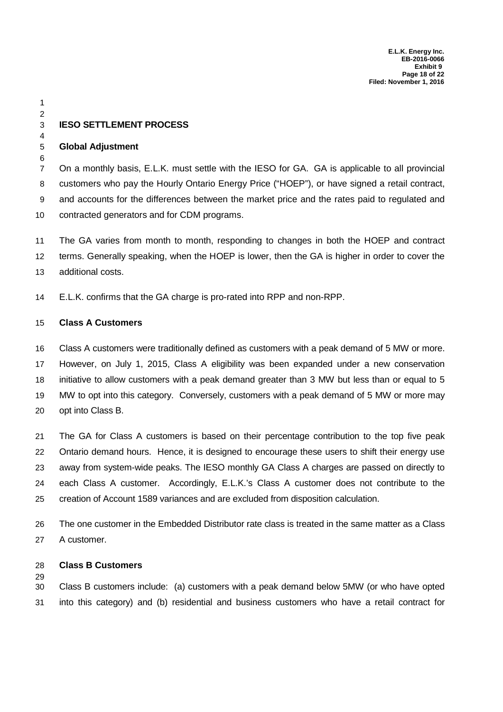## **IESO SETTLEMENT PROCESS**

#### **Global Adjustment**

 

 On a monthly basis, E.L.K. must settle with the IESO for GA. GA is applicable to all provincial customers who pay the Hourly Ontario Energy Price ("HOEP"), or have signed a retail contract, and accounts for the differences between the market price and the rates paid to regulated and contracted generators and for CDM programs.

 The GA varies from month to month, responding to changes in both the HOEP and contract terms. Generally speaking, when the HOEP is lower, then the GA is higher in order to cover the additional costs.

E.L.K. confirms that the GA charge is pro-rated into RPP and non-RPP.

#### **Class A Customers**

 Class A customers were traditionally defined as customers with a peak demand of 5 MW or more. However, on July 1, 2015, Class A eligibility was been expanded under a new conservation initiative to allow customers with a peak demand greater than 3 MW but less than or equal to 5 MW to opt into this category. Conversely, customers with a peak demand of 5 MW or more may opt into Class B.

 The GA for Class A customers is based on their percentage contribution to the top five peak Ontario demand hours. Hence, it is designed to encourage these users to shift their energy use away from system-wide peaks. The IESO monthly GA Class A charges are passed on directly to each Class A customer. Accordingly, E.L.K.'s Class A customer does not contribute to the creation of Account 1589 variances and are excluded from disposition calculation.

 The one customer in the Embedded Distributor rate class is treated in the same matter as a Class A customer.

#### **Class B Customers**

 Class B customers include: (a) customers with a peak demand below 5MW (or who have opted into this category) and (b) residential and business customers who have a retail contract for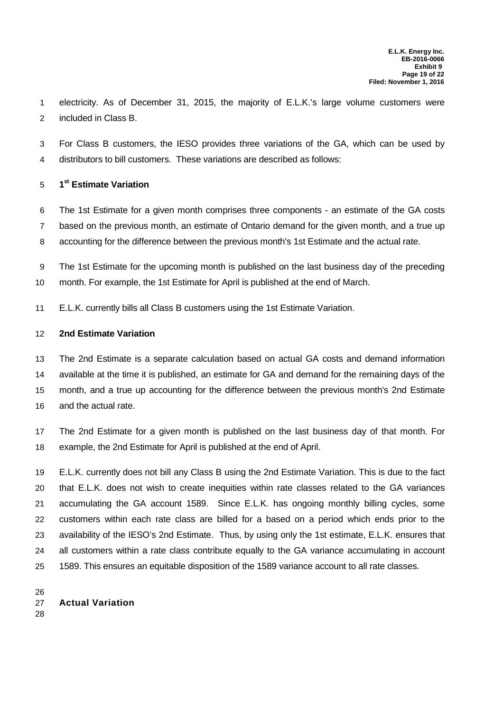electricity. As of December 31, 2015, the majority of E.L.K.'s large volume customers were included in Class B.

 For Class B customers, the IESO provides three variations of the GA, which can be used by distributors to bill customers. These variations are described as follows:

## **1 st Estimate Variation**

 The 1st Estimate for a given month comprises three components - an estimate of the GA costs based on the previous month, an estimate of Ontario demand for the given month, and a true up accounting for the difference between the previous month's 1st Estimate and the actual rate.

 The 1st Estimate for the upcoming month is published on the last business day of the preceding month. For example, the 1st Estimate for April is published at the end of March.

E.L.K. currently bills all Class B customers using the 1st Estimate Variation.

#### **2nd Estimate Variation**

 The 2nd Estimate is a separate calculation based on actual GA costs and demand information available at the time it is published, an estimate for GA and demand for the remaining days of the month, and a true up accounting for the difference between the previous month's 2nd Estimate and the actual rate.

 The 2nd Estimate for a given month is published on the last business day of that month. For example, the 2nd Estimate for April is published at the end of April.

 E.L.K. currently does not bill any Class B using the 2nd Estimate Variation. This is due to the fact that E.L.K. does not wish to create inequities within rate classes related to the GA variances accumulating the GA account 1589. Since E.L.K. has ongoing monthly billing cycles, some customers within each rate class are billed for a based on a period which ends prior to the availability of the IESO's 2nd Estimate. Thus, by using only the 1st estimate, E.L.K. ensures that all customers within a rate class contribute equally to the GA variance accumulating in account 1589. This ensures an equitable disposition of the 1589 variance account to all rate classes.

## **Actual Variation**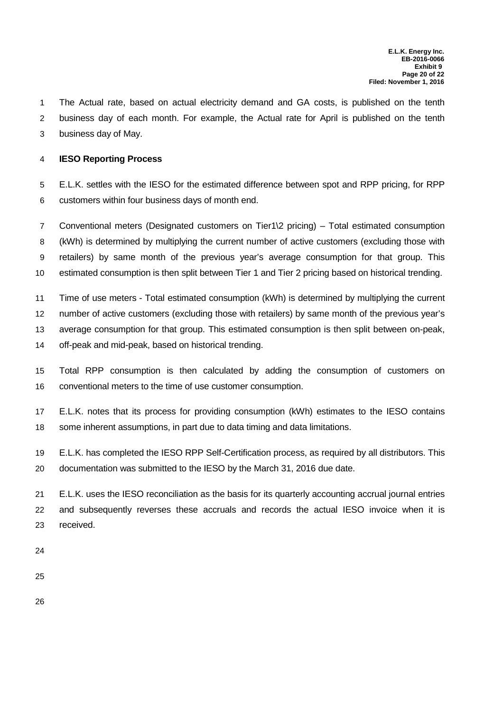The Actual rate, based on actual electricity demand and GA costs, is published on the tenth business day of each month. For example, the Actual rate for April is published on the tenth business day of May.

# **IESO Reporting Process**

 E.L.K. settles with the IESO for the estimated difference between spot and RPP pricing, for RPP customers within four business days of month end.

 Conventional meters (Designated customers on Tier1\2 pricing) – Total estimated consumption (kWh) is determined by multiplying the current number of active customers (excluding those with retailers) by same month of the previous year's average consumption for that group. This estimated consumption is then split between Tier 1 and Tier 2 pricing based on historical trending.

 Time of use meters - Total estimated consumption (kWh) is determined by multiplying the current number of active customers (excluding those with retailers) by same month of the previous year's average consumption for that group. This estimated consumption is then split between on-peak, off-peak and mid-peak, based on historical trending.

- Total RPP consumption is then calculated by adding the consumption of customers on conventional meters to the time of use customer consumption.
- E.L.K. notes that its process for providing consumption (kWh) estimates to the IESO contains some inherent assumptions, in part due to data timing and data limitations.
- E.L.K. has completed the IESO RPP Self-Certification process, as required by all distributors. This documentation was submitted to the IESO by the March 31, 2016 due date.

 E.L.K. uses the IESO reconciliation as the basis for its quarterly accounting accrual journal entries and subsequently reverses these accruals and records the actual IESO invoice when it is received.

- 
- 
-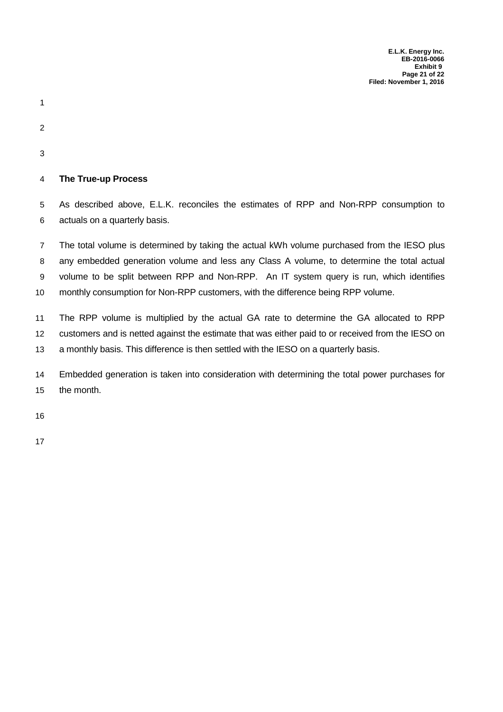**E.L.K. Energy Inc. EB-2016-0066 Exhibit 9 Page 21 of 22 Filed: November 1, 2016**

- 
- 
- 
- 

## **The True-up Process**

 As described above, E.L.K. reconciles the estimates of RPP and Non-RPP consumption to actuals on a quarterly basis.

 The total volume is determined by taking the actual kWh volume purchased from the IESO plus any embedded generation volume and less any Class A volume, to determine the total actual volume to be split between RPP and Non-RPP. An IT system query is run, which identifies monthly consumption for Non-RPP customers, with the difference being RPP volume.

 The RPP volume is multiplied by the actual GA rate to determine the GA allocated to RPP customers and is netted against the estimate that was either paid to or received from the IESO on a monthly basis. This difference is then settled with the IESO on a quarterly basis.

 Embedded generation is taken into consideration with determining the total power purchases for the month.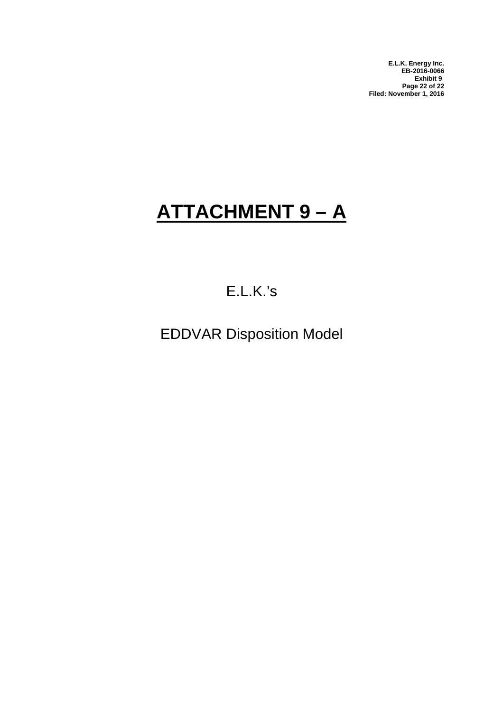**E.L.K. Energy Inc. EB-2016-0066 Exhibit 9 Page 22 of 22 Filed: November 1, 2016**

# **ATTACHMENT 9 – A**

# E.L.K.'s

EDDVAR Disposition Model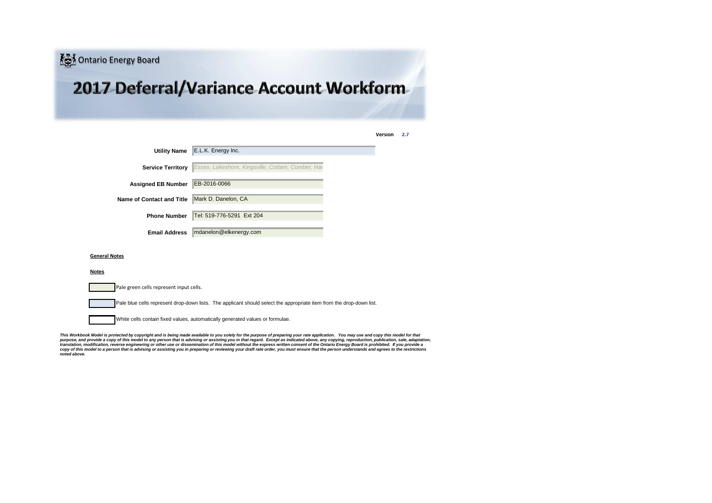

| <b>Utility Name</b><br>E.L.K. Energy Inc.         |  |
|---------------------------------------------------|--|
| Essex, Lakeshore, Kingsville, Cottam, Comber, Hai |  |
| EB-2016-0066                                      |  |
| Mark D. Danelon, CA                               |  |
| Tel: 519-776-5291 Ext 204                         |  |
| mdanelon@elkenergy.com                            |  |
|                                                   |  |

#### **General Notes**

#### **Notes**

| Pale green cells represent input cells.                                                                              |
|----------------------------------------------------------------------------------------------------------------------|
|                                                                                                                      |
| Pale blue cells represent drop-down lists. The applicant should select the appropriate item from the drop-down list. |
|                                                                                                                      |
| White cells contain fixed values, automatically generated values or formulae.                                        |

*This Workbook Model is protected by copyright and is being made available to you solely for the purpose of preparing your rate application. You may use and copy this model for that* purpose, and provide a copy of this model to any person that is advising or assisting you in that regard. Except as indicated above, any copying, reproduction, publication, sale, adaptation,<br>translation, modification, reve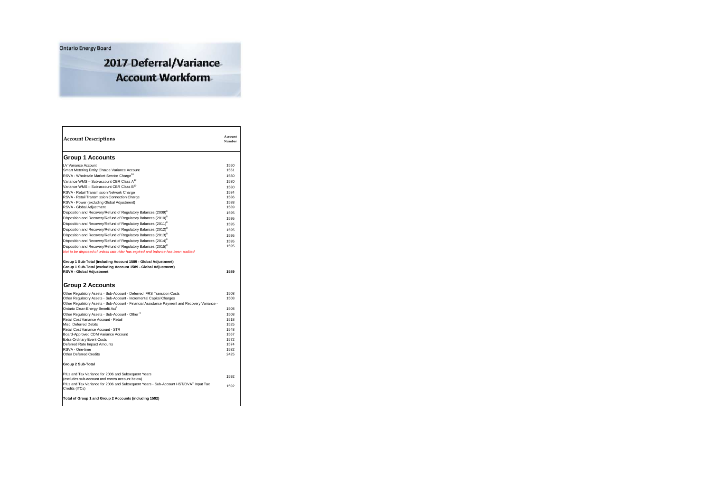Ontario Energy Board

2017 Deferral/Variance **Account Workform** 

| <b>Account Descriptions</b>                                                                                                                                    | Account<br>Number |
|----------------------------------------------------------------------------------------------------------------------------------------------------------------|-------------------|
| <b>Group 1 Accounts</b>                                                                                                                                        |                   |
| LV Variance Account                                                                                                                                            | 1550              |
| Smart Metering Entity Charge Variance Account                                                                                                                  | 1551              |
| RSVA - Wholesale Market Service Charge <sup>10</sup>                                                                                                           | 1580              |
| Variance WMS - Sub-account CBR Class A <sup>10</sup>                                                                                                           | 1580              |
| Variance WMS - Sub-account CBR Class B <sup>10</sup>                                                                                                           | 1580              |
| RSVA - Retail Transmission Network Charge                                                                                                                      | 1584              |
| RSVA - Retail Transmission Connection Charge                                                                                                                   | 1586              |
| RSVA - Power (excluding Global Adjustment)<br>RSVA - Global Adjustment                                                                                         | 1588<br>1589      |
| Disposition and Recovery/Refund of Regulatory Balances (2009) <sup>8</sup>                                                                                     | 1595              |
| Disposition and Recovery/Refund of Regulatory Balances (2010) <sup>8</sup>                                                                                     | 1595              |
| Disposition and Recovery/Refund of Regulatory Balances (2011) <sup>8</sup>                                                                                     | 1595              |
| Disposition and Recovery/Refund of Regulatory Balances (2012) <sup>8</sup>                                                                                     | 1595              |
| Disposition and Recovery/Refund of Regulatory Balances (2013) <sup>8</sup>                                                                                     |                   |
| Disposition and Recovery/Refund of Regulatory Balances (2014) <sup>8</sup>                                                                                     | 1595              |
|                                                                                                                                                                | 1595<br>1595      |
| Disposition and Recovery/Refund of Regulatory Balances (2015) <sup>8</sup><br>Not to be disposed of unless rate rider has expired and balance has been audited |                   |
| RSVA - Global Adjustment<br><b>Group 2 Accounts</b>                                                                                                            | 1589              |
| Other Regulatory Assets - Sub-Account - Deferred IFRS Transition Costs                                                                                         | 1508              |
| Other Regulatory Assets - Sub-Account - Incremental Capital Charges                                                                                            | 1508              |
| Other Regulatory Assets - Sub-Account - Financial Assistance Payment and Recovery Variance -                                                                   |                   |
| Ontario Clean Energy Benefit Act <sup>3</sup>                                                                                                                  | 1508              |
| Other Regulatory Assets - Sub-Account - Other 4                                                                                                                | 1508              |
| Retail Cost Variance Account - Retail                                                                                                                          | 1518              |
| Misc. Deferred Debits                                                                                                                                          | 1525              |
| Retail Cost Variance Account - STR                                                                                                                             | 1548              |
| Board-Approved CDM Variance Account<br><b>Extra-Ordinary Event Costs</b>                                                                                       | 1567<br>1572      |
| Deferred Rate Impact Amounts                                                                                                                                   | 1574              |
| RSVA - One-time                                                                                                                                                | 1582              |
| Other Deferred Credits                                                                                                                                         | 2425              |
| Group 2 Sub-Total                                                                                                                                              |                   |
| PILs and Tax Variance for 2006 and Subsequent Years                                                                                                            | 1592              |
| (excludes sub-account and contra account below)                                                                                                                |                   |
| PILs and Tax Variance for 2006 and Subsequent Years - Sub-Account HST/OVAT Input Tax<br>Credits (ITCs)                                                         | 1592              |
| Total of Group 1 and Group 2 Accounts (including 1592)                                                                                                         |                   |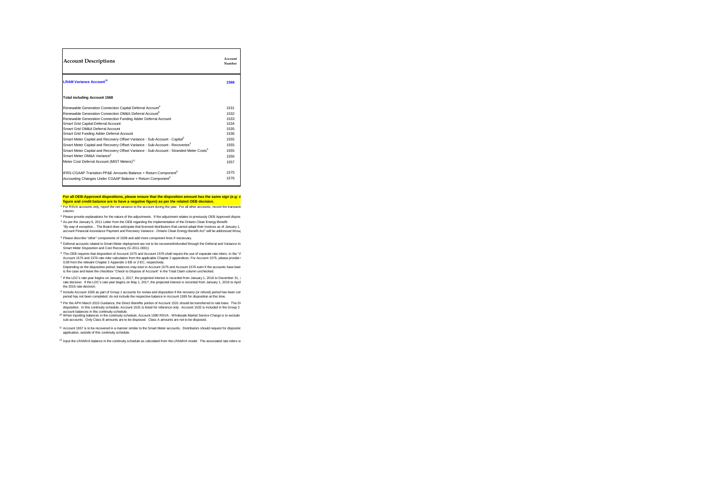| <b>Account Descriptions</b>                                                                        | Account<br>Number |
|----------------------------------------------------------------------------------------------------|-------------------|
| <b>LRAM Variance Account<sup>12</sup></b>                                                          | 1568              |
| <b>Total including Account 1568</b>                                                                |                   |
| Renewable Generation Connection Capital Deferral Account <sup>9</sup>                              | 1531              |
| Renewable Generation Connection OM&A Deferral Account <sup>9</sup>                                 | 1532              |
| Renewable Generation Connection Funding Adder Deferral Account                                     | 1533              |
| Smart Grid Capital Deferral Account                                                                | 1534              |
| Smart Grid OM&A Deferral Account                                                                   | 1535              |
| Smart Grid Funding Adder Deferral Account                                                          | 1536              |
| Smart Meter Capital and Recovery Offset Variance - Sub-Account - Capital <sup>5</sup>              | 1555              |
| Smart Meter Capital and Recovery Offset Variance - Sub-Account - Recoveries <sup>5</sup>           | 1555              |
| Smart Meter Capital and Recovery Offset Variance - Sub-Account - Stranded Meter Costs <sup>5</sup> | 1555              |
| Smart Meter OM&A Variance <sup>5</sup>                                                             | 1556              |
| Meter Cost Deferral Account (MIST Meters) <sup>11</sup>                                            | 1557              |
| IFRS-CGAAP Transition PP&E Amounts Balance + Return Component <sup>6</sup>                         | 1575              |
| Accounting Changes Under CGAAP Balance + Return Component <sup>6</sup>                             | 1576              |

#### **For all OEB-Approved dispositions, please ensure that the disposition amount has the same sign (e.g: debt) figure and credit balance are to have a negative figure) as per the related OEB decision.**

<sup>1</sup> For RSVA accounts only, report the net variance to the account during the year. For all other accounts, record the transacti<sub>i</sub><br>column.

<sup>2</sup> Please provide explanations for the nature of the adjustments. If the adjustment relates to previously OEB Approved dispos <sup>3</sup> As per the January 6, 2011 Letter from the OEB regarding the implementation of the Ontario Clean Energy Benefit: "By way of exception... The Board does anticipate that licensed distributors that cannot adapt their invoices as of January 1,

account Financial Assistance Payment and Recovery Variance - Ontario Clean Energy Benefit Act" will be addressed through

<sup>4</sup> Please describe "other" components of 1508 and add more component lines if necessary.

5 Deferral accounts related to Smart Meter deployment are not to be recovered/refunded through the Deferral and Variance Ao Smart Meter Disposition and Cost Recovery (G-2011-0001)

<sup>6</sup> The OEB requires that disposition of Account 1575 and Account 1576 shall require the use of separate rate riders. In the "A Account 1575 and 1576 rate rider calculation from the applicable Chapter 2 appendices. For Account 1575, please provide l<br>G39 from the relevant Chapter 2 Appendix 2-EB or 2-EC, respectively.

Depending on the disposition period, balances may exist in Account 1575 and Account 1576 even if the accounts have beer<br>is the case and leave the checkbox "Check to Dispose of Account" in the Total Claim column unchecked.

7 if the LDC's rate year begins on January 1, 2017, the projected interest is recorded from January 1, 2016 to December 31, .<br>rate decision. If the LDC's rate year begins on May 1, 2017, the projected interest is recorde the 2016 rate decision.

<sup>8</sup> Include Account 1595 as part of Group 1 accounts for review and disposition if the recovery (or refund) period has been con<br>- period has not been completed, do not include the respective balance in Account 1595 for dis

<sup>9</sup> Per the APH March 2015 Guidance, the Direct Benefits porton of Account 1531 should be transferred to rate base. The Di<br>disposition. In this continuity schedule, Account 1531 is listed for reference only. Account 1532 i

account balances in this continuity schedule.<br><sup>10</sup> When inputting balances in the continuity schedule, Account 1580 RSVA - Wholesale Market Service Charge is to exclude sub-accounts. Only Class B amounts are to be disposed. Class A amounts are not to be disposed.

<sup>11</sup> Account 1557 is to be recovered in a manner similar to the Smart Meter accounts. Distributors should request for dispositic application, outside of this continuity schedule.

<sup>12</sup> Input the LRAMVA balance in the continuity schedule as calculated from the LRAMVA model. The associated rate riders w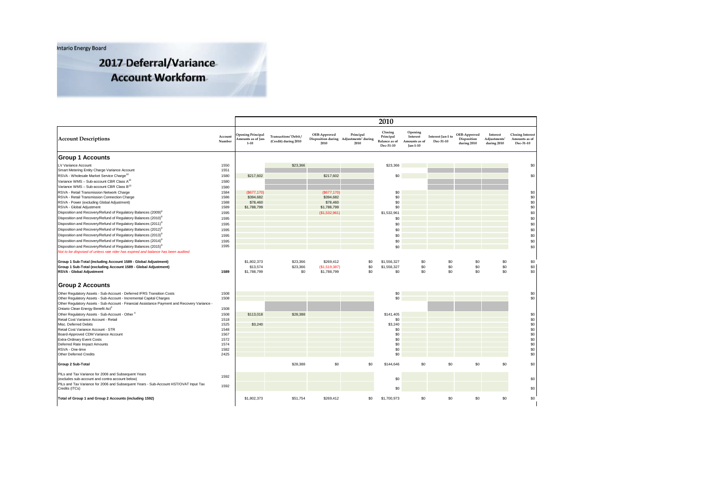**Intario Energy Board** 

2017 Deferral/Variance

# **Account Workform**

|                                                                                                                                               |                   |                                                           |                                                          |                      |                                                                         | 2010                                                      |                                                    |                                |                                            |                                                     |                                                       |
|-----------------------------------------------------------------------------------------------------------------------------------------------|-------------------|-----------------------------------------------------------|----------------------------------------------------------|----------------------|-------------------------------------------------------------------------|-----------------------------------------------------------|----------------------------------------------------|--------------------------------|--------------------------------------------|-----------------------------------------------------|-------------------------------------------------------|
| <b>Account Descriptions</b>                                                                                                                   | Account<br>Number | <b>Opening Principal</b><br>mounts as of Jan-<br>$1 - 10$ | Transactions <sup>1</sup> Debit/<br>(Credit) during 2010 | OEB-Approved<br>2010 | Principal<br>Disposition during Adjustments <sup>2</sup> during<br>2010 | Closing<br>Principal<br><b>Balance</b> as of<br>Dec-31-10 | Opening<br>Interest<br>Amounts as of<br>$Jan-1-10$ | Interest Jan-1 to<br>Dec-31-10 | OEB-Approved<br>Disposition<br>during 2010 | Interest<br>Adjustments <sup>1</sup><br>during 2010 | <b>Closing Interest</b><br>Amounts as of<br>Dec-31-10 |
| <b>Group 1 Accounts</b>                                                                                                                       |                   |                                                           |                                                          |                      |                                                                         |                                                           |                                                    |                                |                                            |                                                     |                                                       |
| LV Variance Account                                                                                                                           | 1550              |                                                           | \$23,366                                                 |                      |                                                                         | \$23,366                                                  |                                                    |                                |                                            |                                                     | \$0                                                   |
| Smart Metering Entity Charge Variance Account                                                                                                 | 1551              |                                                           |                                                          |                      |                                                                         |                                                           |                                                    |                                |                                            |                                                     |                                                       |
| RSVA - Wholesale Market Service Charge <sup>10</sup>                                                                                          | 1580              | \$217,602                                                 |                                                          | \$217,602            |                                                                         | \$0                                                       |                                                    |                                |                                            |                                                     | \$0                                                   |
| Variance WMS - Sub-account CBR Class A <sup>10</sup>                                                                                          | 1580              |                                                           |                                                          |                      |                                                                         |                                                           |                                                    |                                |                                            |                                                     |                                                       |
| Variance WMS - Sub-account CBR Class B <sup>10</sup>                                                                                          | 1580              |                                                           |                                                          |                      |                                                                         |                                                           |                                                    |                                |                                            |                                                     |                                                       |
| RSVA - Retail Transmission Network Charge                                                                                                     | 1584              | (\$677,170)                                               |                                                          | (\$677,170)          |                                                                         | \$0                                                       |                                                    |                                |                                            |                                                     | \$0                                                   |
| RSVA - Retail Transmission Connection Charge                                                                                                  | 1586              | \$394,682                                                 |                                                          | \$394,682            |                                                                         | \$0                                                       |                                                    |                                |                                            |                                                     | \$0                                                   |
| RSVA - Power (excluding Global Adjustment)                                                                                                    | 1588<br>1589      | \$78,460                                                  |                                                          | \$78,460             |                                                                         | \$0<br>\$0                                                |                                                    |                                |                                            |                                                     | \$0<br>\$0                                            |
| RSVA - Global Adjustment<br>Disposition and Recovery/Refund of Regulatory Balances (2009) <sup>8</sup>                                        | 1595              | \$1,788,799                                               |                                                          | \$1,788,799          |                                                                         |                                                           |                                                    |                                |                                            |                                                     | \$0                                                   |
|                                                                                                                                               |                   |                                                           |                                                          | (\$1,532,961]        |                                                                         | \$1,532,961                                               |                                                    |                                |                                            |                                                     |                                                       |
| Disposition and Recovery/Refund of Regulatory Balances (2010) <sup>8</sup>                                                                    | 1595              |                                                           |                                                          |                      |                                                                         | \$0                                                       |                                                    |                                |                                            |                                                     | \$0                                                   |
| Disposition and Recovery/Refund of Regulatory Balances (2011) <sup>8</sup>                                                                    | 1595              |                                                           |                                                          |                      |                                                                         | \$0                                                       |                                                    |                                |                                            |                                                     | \$0                                                   |
| Disposition and Recovery/Refund of Regulatory Balances (2012) <sup>8</sup>                                                                    | 1595              |                                                           |                                                          |                      |                                                                         | \$0                                                       |                                                    |                                |                                            |                                                     | \$0                                                   |
| Disposition and Recovery/Refund of Regulatory Balances (2013) <sup>8</sup>                                                                    | 1595              |                                                           |                                                          |                      |                                                                         | \$0                                                       |                                                    |                                |                                            |                                                     | \$0                                                   |
| Disposition and Recovery/Refund of Regulatory Balances (2014) <sup>8</sup>                                                                    | 1595              |                                                           |                                                          |                      |                                                                         | \$0                                                       |                                                    |                                |                                            |                                                     | \$0                                                   |
| Disposition and Recovery/Refund of Regulatory Balances (2015) <sup>8</sup>                                                                    | 1595              |                                                           |                                                          |                      |                                                                         | \$0                                                       |                                                    |                                |                                            |                                                     | \$0                                                   |
| Not to be disposed of unless rate rider has expired and balance has been audited                                                              |                   |                                                           |                                                          |                      |                                                                         |                                                           |                                                    |                                |                                            |                                                     |                                                       |
| Group 1 Sub-Total (including Account 1589 - Global Adjustment)                                                                                |                   | \$1,802,373                                               | \$23,366                                                 | \$269,412            | \$0                                                                     | \$1,556,327                                               | \$0                                                | \$0                            | \$0                                        | \$0                                                 | \$0                                                   |
| Group 1 Sub-Total (excluding Account 1589 - Global Adjustment)                                                                                |                   | \$13,574                                                  | \$23,366                                                 | (\$1,519,387)        | \$0                                                                     | \$1,556,327                                               | \$0                                                | \$0                            | \$0                                        | \$0                                                 | \$0                                                   |
| <b>RSVA - Global Adjustment</b>                                                                                                               | 1589              | \$1,788,799                                               | \$0                                                      | \$1,788,799          | \$0                                                                     | \$0                                                       | \$0                                                | \$0                            | \$0                                        | \$0                                                 | \$0                                                   |
|                                                                                                                                               |                   |                                                           |                                                          |                      |                                                                         |                                                           |                                                    |                                |                                            |                                                     |                                                       |
| <b>Group 2 Accounts</b>                                                                                                                       |                   |                                                           |                                                          |                      |                                                                         |                                                           |                                                    |                                |                                            |                                                     |                                                       |
|                                                                                                                                               |                   |                                                           |                                                          |                      |                                                                         |                                                           |                                                    |                                |                                            |                                                     |                                                       |
| Other Regulatory Assets - Sub-Account - Deferred IFRS Transition Costs<br>Other Regulatory Assets - Sub-Account - Incremental Capital Charges | 1508<br>1508      |                                                           |                                                          |                      |                                                                         | \$0<br>\$0                                                |                                                    |                                |                                            |                                                     | \$0<br>\$0                                            |
| Other Regulatory Assets - Sub-Account - Financial Assistance Payment and Recovery Variance -                                                  |                   |                                                           |                                                          |                      |                                                                         |                                                           |                                                    |                                |                                            |                                                     |                                                       |
| Ontario Clean Energy Benefit Act <sup>3</sup>                                                                                                 | 1508              |                                                           |                                                          |                      |                                                                         |                                                           |                                                    |                                |                                            |                                                     |                                                       |
| Other Regulatory Assets - Sub-Account - Other 4                                                                                               | 1508              | \$113,018                                                 | \$28,388                                                 |                      |                                                                         | \$141,405                                                 |                                                    |                                |                                            |                                                     | \$0                                                   |
| Retail Cost Variance Account - Retail                                                                                                         | 1518              |                                                           |                                                          |                      |                                                                         | \$0                                                       |                                                    |                                |                                            |                                                     | $\$0$                                                 |
| Misc. Deferred Debits                                                                                                                         | 1525              | \$3,240                                                   |                                                          |                      |                                                                         | \$3,240                                                   |                                                    |                                |                                            |                                                     | \$0                                                   |
| Retail Cost Variance Account - STR                                                                                                            | 1548              |                                                           |                                                          |                      |                                                                         | \$0                                                       |                                                    |                                |                                            |                                                     | $$0$<br>$$0$<br>$$0$<br>$$0$                          |
| Board-Approved CDM Variance Account                                                                                                           | 1567              |                                                           |                                                          |                      |                                                                         | \$0                                                       |                                                    |                                |                                            |                                                     |                                                       |
| <b>Extra-Ordinary Event Costs</b>                                                                                                             | 1572              |                                                           |                                                          |                      |                                                                         | \$0                                                       |                                                    |                                |                                            |                                                     |                                                       |
| Deferred Rate Impact Amounts                                                                                                                  | 1574              |                                                           |                                                          |                      |                                                                         | \$0                                                       |                                                    |                                |                                            |                                                     | \$0                                                   |
| RSVA - One-time                                                                                                                               | 1582              |                                                           |                                                          |                      |                                                                         | \$0                                                       |                                                    |                                |                                            |                                                     | \$0                                                   |
| Other Deferred Credits                                                                                                                        | 2425              |                                                           |                                                          |                      |                                                                         | \$0                                                       |                                                    |                                |                                            |                                                     | \$0                                                   |
| Group 2 Sub-Total                                                                                                                             |                   |                                                           | \$28,388                                                 | \$0                  | \$0                                                                     | \$144,646                                                 | \$0                                                | \$0                            | \$0                                        | \$0                                                 | \$0                                                   |
| PILs and Tax Variance for 2006 and Subsequent Years                                                                                           |                   |                                                           |                                                          |                      |                                                                         |                                                           |                                                    |                                |                                            |                                                     |                                                       |
| (excludes sub-account and contra account below)                                                                                               | 1592              |                                                           |                                                          |                      |                                                                         | \$0                                                       |                                                    |                                |                                            |                                                     | \$0                                                   |
| PILs and Tax Variance for 2006 and Subsequent Years - Sub-Account HST/OVAT Input Tax                                                          |                   |                                                           |                                                          |                      |                                                                         |                                                           |                                                    |                                |                                            |                                                     |                                                       |
| Credits (ITCs)                                                                                                                                | 1592              |                                                           |                                                          |                      |                                                                         | \$0                                                       |                                                    |                                |                                            |                                                     | \$0                                                   |
| Total of Group 1 and Group 2 Accounts (including 1592)                                                                                        |                   | \$1,802,373                                               | \$51,754                                                 | \$269,412            | \$0                                                                     | \$1,700,973                                               | \$0                                                | \$0                            | \$0                                        | \$0                                                 | \$0                                                   |
|                                                                                                                                               |                   |                                                           |                                                          |                      |                                                                         |                                                           |                                                    |                                |                                            |                                                     |                                                       |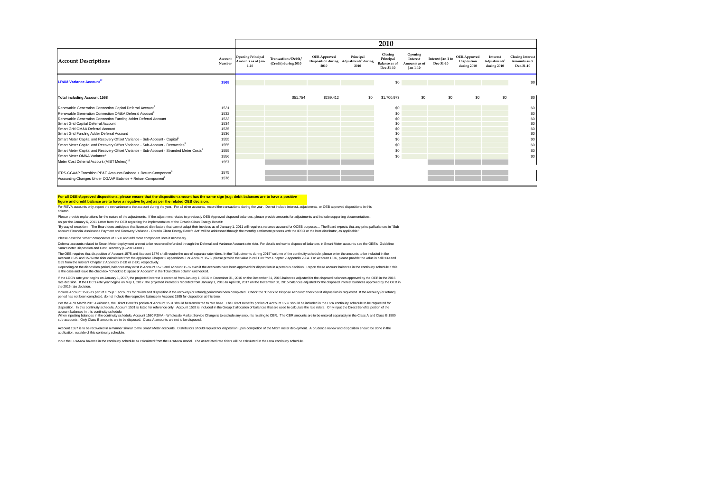|                                                                                                    |                   |                                                            |                                               |                      |                                                                         | 2010                                                      |                                                         |                                |                                            |                                                     |                                                       |
|----------------------------------------------------------------------------------------------------|-------------------|------------------------------------------------------------|-----------------------------------------------|----------------------|-------------------------------------------------------------------------|-----------------------------------------------------------|---------------------------------------------------------|--------------------------------|--------------------------------------------|-----------------------------------------------------|-------------------------------------------------------|
| <b>Account Descriptions</b>                                                                        | Account<br>Number | <b>Opening Principal</b><br>Amounts as of Jan-<br>$1 - 10$ | Transactions' Debit /<br>(Credit) during 2010 | OEB-Approved<br>2010 | Principal<br>Disposition during Adjustments <sup>2</sup> during<br>2010 | Closing<br>Principal<br><b>Balance</b> as of<br>Dec-31-10 | Opening<br>Interest<br>Amounts as of<br><b>Jan-1-10</b> | Interest Jan-1 to<br>Dec-31-10 | OEB-Approved<br>Disposition<br>during 2010 | Interest<br>Adjustments <sup>1</sup><br>during 2010 | <b>Closing Interest</b><br>Amounts as of<br>Dec-31-10 |
| <b>LRAM Variance Account<sup>12</sup></b>                                                          | 1568              |                                                            |                                               |                      |                                                                         | \$0                                                       |                                                         |                                |                                            |                                                     | \$0                                                   |
| <b>Total including Account 1568</b>                                                                |                   |                                                            | \$51,754                                      | \$269,412            | \$0                                                                     | \$1,700.973                                               | \$0                                                     | \$0                            | \$0                                        | \$0                                                 | \$0                                                   |
| Renewable Generation Connection Capital Deferral Account <sup>9</sup>                              | 1531              |                                                            |                                               |                      |                                                                         | \$0                                                       |                                                         |                                |                                            |                                                     | \$0                                                   |
| Renewable Generation Connection OM&A Deferral Account <sup>9</sup>                                 | 1532              |                                                            |                                               |                      |                                                                         | \$0                                                       |                                                         |                                |                                            |                                                     | \$0                                                   |
| Renewable Generation Connection Funding Adder Deferral Account                                     | 1533              |                                                            |                                               |                      |                                                                         | \$0                                                       |                                                         |                                |                                            |                                                     | \$0                                                   |
| Smart Grid Capital Deferral Account                                                                | 1534              |                                                            |                                               |                      |                                                                         | \$0                                                       |                                                         |                                |                                            |                                                     | \$0                                                   |
| Smart Grid OM&A Deferral Account                                                                   | 1535              |                                                            |                                               |                      |                                                                         | \$0                                                       |                                                         |                                |                                            |                                                     | \$0                                                   |
| Smart Grid Funding Adder Deferral Account                                                          | 1536              |                                                            |                                               |                      |                                                                         | \$0                                                       |                                                         |                                |                                            |                                                     | \$0                                                   |
| Smart Meter Capital and Recovery Offset Variance - Sub-Account - Capital <sup>5</sup>              | 1555              |                                                            |                                               |                      |                                                                         | \$0                                                       |                                                         |                                |                                            |                                                     | \$0                                                   |
| Smart Meter Capital and Recovery Offset Variance - Sub-Account - Recoveries <sup>5</sup>           | 1555              |                                                            |                                               |                      |                                                                         | \$0                                                       |                                                         |                                |                                            |                                                     | \$0                                                   |
| Smart Meter Capital and Recovery Offset Variance - Sub-Account - Stranded Meter Costs <sup>5</sup> | 1555              |                                                            |                                               |                      |                                                                         | \$0                                                       |                                                         |                                |                                            |                                                     | \$0                                                   |
| Smart Meter OM&A Variance <sup>5</sup>                                                             | 1556              |                                                            |                                               |                      |                                                                         | \$0                                                       |                                                         |                                |                                            |                                                     | \$0                                                   |
| Meter Cost Deferral Account (MIST Meters) <sup>11</sup>                                            | 1557              |                                                            |                                               |                      |                                                                         |                                                           |                                                         |                                |                                            |                                                     |                                                       |
| IFRS-CGAAP Transition PP&E Amounts Balance + Return Component <sup>6</sup>                         | 1575              |                                                            |                                               |                      |                                                                         |                                                           |                                                         |                                |                                            |                                                     |                                                       |
| Accounting Changes Under CGAAP Balance + Return Component <sup>6</sup>                             | 1576              |                                                            |                                               |                      |                                                                         |                                                           |                                                         |                                |                                            |                                                     |                                                       |

#### **For all OEB-Approved dispositions, please ensure that the disposition amount has the same sign (e.g: debit balances are to have a positive**

**figure and credit balance are to have a negative figure) as per the related OEB decision.**

For RSVA accounts only, report the net variance to the account during the year. For all other accounts, record the transactions during the year. Do not include interest, adjustments, or OEB approved dispositions in this column.

Please provide explanations for the nature of the adjustments. If the adjustment relates to previously OEB Approved disposed balances, please provide amounts for adjustments and include supporting documentations. As per the January 6, 2011 Letter from the OEB regarding the implementation of the Ontario Clean Energy Benefit:

"By way of exception... The Board does anticipate that licensed distributors that cannot adapt their invoices as of January 1, 2011 will require a variance account for OCEB purposes... The Board expects that any principal account Financial Assistance Payment and Recovery Variance - Ontario Clean Energy Benefit Act" will be addressed through the monthly settlement process with the IESO or the host distributor, as applicable."

Please describe "other" components of 1508 and add more component lines if necessary.

Deferral accounts related to Smart Meter deoloyment are not to be recovered/refunded through the Deferral and Variance Account rate rider. For details on how to dispose of balances in Smart Meter accounts see the OEB's Gui Smart Meter Disposition and Cost Recovery (G-2011-0001)

The OEB requires that disposition of Account 1575 and Account 1576 shall require the use of separate rate riders. In the "Adjustments during 2015" column of the continuity schedule, please enter the amounts to be included Account 1575 and 1576 rate rider calculation from the applicable Chapter 2 appendixes. For Account 1575, please provide the value in cell F39 from Chapter 2 Appendix 2-EA. For Account 1576, please provide the value in cell G39 from the relevant Chapter 2 Appendix 2-EB or 2-EC, respectively.

Depending on the disposition period, balances may exist in Account 1575 and Account 1576 even if the accounts have been approved for disposition in a previous decision. Report these account balances in the continuity sched is the case and leave the checkbox "Check to Dispose of Account" in the Total Claim column unchecked.

if the LDC's rate year on January 1, 2017, the projected interest is recorded from January 1, 2016 to December 31, 2016 or the December 31, 2015 balances adjusted for the disposed balances approved by the OEB in<br>rate decis the 2016 rate decision.

Include Account 1595 as part of Group 1 accounts for review and disposition if the recovery (or relund) period has been completed. Check the "Check to Dispose Account" checkbox if disposition is requested. If the recovery

Per the APH March 2015 Guidance, the Direct Benefits portion of Account 1531 should be transfered to rate base. The Direct Benefits portion of Account 1532 is included in the Divide in the Direct Benefits portion of the Di

account balances in this continuity schedule, Account 1580 RSVA - Wholesale Market Service Charge is to exclude any amounts relating to CBR. The CBR amounts are to be entered separately in the Class A and Class B 1580<br>When sub-accounts. Only Class B amounts are to be disposed. Class A amounts are not to be disposed.

Account 1557 is to be recovered in a manner similar to the Smart Meter accounts. Distributors should request for disposition upon completion of the MIST meter deployment. A prudence review and disposition should be done in application, outside of this continuity schedule.

Input the LRAMVA balance in the continuity schedule as calculated from the LRAMVA model. The associated rate riders will be calculated in the DVA continuity schedule.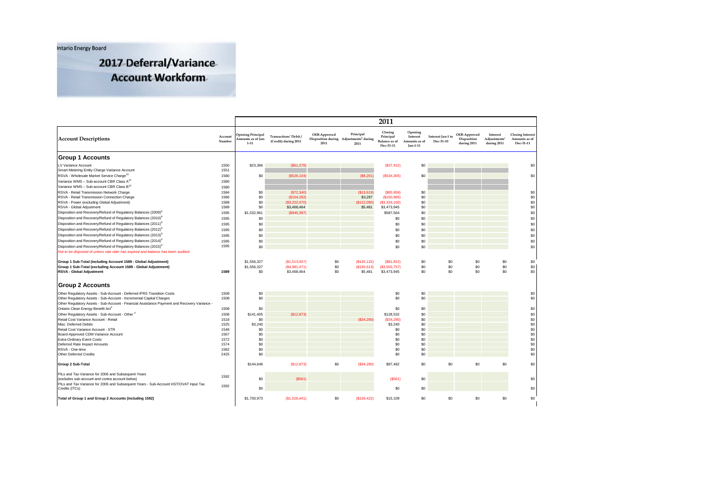**Intario Energy Board** 

2017 Deferral/Variance **Account Workform** 

|                                                                                                                                                                     |                   |                                                            |                                                          |                      |                                                                         | 2011                                                      |                                                  |                                |                                            |                                                     |                                                       |
|---------------------------------------------------------------------------------------------------------------------------------------------------------------------|-------------------|------------------------------------------------------------|----------------------------------------------------------|----------------------|-------------------------------------------------------------------------|-----------------------------------------------------------|--------------------------------------------------|--------------------------------|--------------------------------------------|-----------------------------------------------------|-------------------------------------------------------|
| <b>Account Descriptions</b>                                                                                                                                         | Account<br>Number | <b>Opening Principal</b><br>Amounts as of Jan-<br>$1 - 11$ | Transactions <sup>1</sup> Debit/<br>(Credit) during 2011 | OEB-Approved<br>2011 | Principal<br>Disposition during Adjustments <sup>2</sup> during<br>2011 | Closing<br>Principal<br><b>Balance</b> as of<br>Dec-31-11 | Opening<br>Interest<br>Amounts as of<br>Jan-1-11 | Interest Jan-1 to<br>Dec-31-10 | OEB-Approved<br>Disposition<br>during 2011 | Interest<br>Adjustments <sup>2</sup><br>during 2011 | <b>Closing Interest</b><br>Amounts as of<br>Dec-31-11 |
| <b>Group 1 Accounts</b>                                                                                                                                             |                   |                                                            |                                                          |                      |                                                                         |                                                           |                                                  |                                |                                            |                                                     |                                                       |
| LV Variance Account                                                                                                                                                 | 1550              | \$23,366                                                   | (S61, 278)                                               |                      |                                                                         | (S37, 912)                                                | \$0                                              |                                |                                            |                                                     | \$0                                                   |
| Smart Metering Entity Charge Variance Account                                                                                                                       | 1551              |                                                            |                                                          |                      |                                                                         |                                                           |                                                  |                                |                                            |                                                     |                                                       |
| RSVA - Wholesale Market Service Charge <sup>10</sup>                                                                                                                | 1580              | \$0                                                        | (S526, 104)                                              |                      | (S8, 201)                                                               | (S534,305)                                                | \$0                                              |                                |                                            |                                                     | \$0                                                   |
| Variance WMS - Sub-account CBR Class A <sup>10</sup>                                                                                                                | 1580              |                                                            |                                                          |                      |                                                                         |                                                           |                                                  |                                |                                            |                                                     |                                                       |
| Variance WMS - Sub-account CBR Class B <sup>10</sup>                                                                                                                | 1580              |                                                            |                                                          |                      |                                                                         |                                                           |                                                  |                                |                                            |                                                     |                                                       |
| RSVA - Retail Transmission Network Charge                                                                                                                           | 1584              | \$0                                                        | (S72, 340)                                               |                      | (S13, 619)                                                              | ( \$85, 959)                                              | \$0                                              |                                |                                            |                                                     | \$0                                                   |
| RSVA - Retail Transmission Connection Charge                                                                                                                        | 1586              | \$0                                                        | (S154, 282)                                              |                      | \$3,297                                                                 | (S150, 985)                                               | \$0                                              |                                |                                            |                                                     | \$0                                                   |
| RSVA - Power (excluding Global Adjustment)                                                                                                                          | 1588<br>1589      | \$0<br>\$0                                                 | (\$3,222,070)                                            |                      | (\$112,090)                                                             | (\$3,334,160)                                             | \$0<br>\$0                                       |                                |                                            |                                                     | \$0<br>\$0                                            |
| RSVA - Global Adjustment<br>Disposition and Recovery/Refund of Regulatory Balances (2009) <sup>8</sup>                                                              |                   |                                                            | \$3,468,464                                              |                      | \$5,481                                                                 | \$3,473,945                                               | \$0                                              |                                |                                            |                                                     | \$0                                                   |
| Disposition and Recovery/Refund of Regulatory Balances (2010) <sup>8</sup>                                                                                          | 1595              | \$1,532,961                                                | (S945, 397)                                              |                      |                                                                         | \$587,564                                                 | \$0                                              |                                |                                            |                                                     |                                                       |
|                                                                                                                                                                     | 1595              | \$0                                                        |                                                          |                      |                                                                         | \$0                                                       |                                                  |                                |                                            |                                                     | \$0                                                   |
| Disposition and Recovery/Refund of Regulatory Balances (2011) <sup>8</sup>                                                                                          | 1595              | \$0                                                        |                                                          |                      |                                                                         | \$0                                                       | \$0                                              |                                |                                            |                                                     | \$0                                                   |
| Disposition and Recovery/Refund of Regulatory Balances (2012) <sup>8</sup>                                                                                          | 1595              | \$0                                                        |                                                          |                      |                                                                         | \$0                                                       | \$0                                              |                                |                                            |                                                     | \$0                                                   |
| Disposition and Recovery/Refund of Regulatory Balances (2013) <sup>8</sup>                                                                                          | 1595              | \$0                                                        |                                                          |                      |                                                                         | \$0                                                       | \$0                                              |                                |                                            |                                                     | \$0                                                   |
| Disposition and Recovery/Refund of Regulatory Balances (2014) <sup>8</sup>                                                                                          | 1595              | \$0                                                        |                                                          |                      |                                                                         | \$0                                                       | \$0                                              |                                |                                            |                                                     | \$0                                                   |
| Disposition and Recovery/Refund of Regulatory Balances (2015) <sup>8</sup><br>Not to be disposed of unless rate rider has expired and balance has been audited      | 1595              | \$0                                                        |                                                          |                      |                                                                         | \$0                                                       | \$0                                              |                                |                                            |                                                     | \$0                                                   |
| Group 1 Sub-Total (including Account 1589 - Global Adjustment)<br>Group 1 Sub-Total (excluding Account 1589 - Global Adjustment)<br><b>RSVA - Global Adjustment</b> | 1589              | \$1,556,327<br>\$1,556,327<br>\$0                          | (\$1,513,007)<br>(S4,981,471)<br>\$3,468,464             | \$0<br>\$0<br>\$0    | (\$125, 132)<br>(\$130,613)<br>\$5,481                                  | (\$81,812)<br>(\$3,555,757)<br>\$3,473,945                | \$0<br>\$0<br>\$0                                | \$0<br>\$0<br>\$0              | \$0<br>\$0<br>\$0                          | \$0<br>\$0<br>\$0                                   | \$0<br>\$0<br>\$0                                     |
| <b>Group 2 Accounts</b>                                                                                                                                             |                   |                                                            |                                                          |                      |                                                                         |                                                           |                                                  |                                |                                            |                                                     |                                                       |
| Other Regulatory Assets - Sub-Account - Deferred IFRS Transition Costs                                                                                              | 1508              | \$0                                                        |                                                          |                      |                                                                         | \$0                                                       | \$0                                              |                                |                                            |                                                     | \$0                                                   |
| Other Regulatory Assets - Sub-Account - Incremental Capital Charges                                                                                                 | 1508              | \$0                                                        |                                                          |                      |                                                                         | \$0                                                       | \$0                                              |                                |                                            |                                                     | \$0                                                   |
| Other Regulatory Assets - Sub-Account - Financial Assistance Payment and Recovery Variance -                                                                        |                   |                                                            |                                                          |                      |                                                                         |                                                           |                                                  |                                |                                            |                                                     |                                                       |
| Ontario Clean Energy Benefit Act <sup>3</sup>                                                                                                                       | 1508              | \$0                                                        |                                                          |                      |                                                                         | \$0                                                       | \$0                                              |                                |                                            |                                                     | \$0                                                   |
| Other Regulatory Assets - Sub-Account - Other <sup>4</sup>                                                                                                          | 1508              | \$141,405                                                  | (\$12,873)                                               |                      |                                                                         | \$128,532                                                 | \$0                                              |                                |                                            |                                                     | \$0                                                   |
| Retail Cost Variance Account - Retail                                                                                                                               | 1518              | \$0                                                        |                                                          |                      | (S34, 290)                                                              | (\$34,290)                                                | \$0                                              |                                |                                            |                                                     | \$0                                                   |
| Misc. Deferred Debits                                                                                                                                               | 1525              | \$3,240                                                    |                                                          |                      |                                                                         | \$3,240                                                   | \$0                                              |                                |                                            |                                                     | $\$0$                                                 |
| Retail Cost Variance Account - STR<br>Board-Approved CDM Variance Account                                                                                           | 1548<br>1567      | \$0<br>\$0                                                 |                                                          |                      |                                                                         | \$0<br>\$0                                                | \$0<br>\$0                                       |                                |                                            |                                                     | \$0<br>\$0                                            |
| <b>Extra-Ordinary Event Costs</b>                                                                                                                                   | 1572              | \$0                                                        |                                                          |                      |                                                                         | \$0                                                       | \$0                                              |                                |                                            |                                                     | \$0                                                   |
| Deferred Rate Impact Amounts                                                                                                                                        | 1574              | \$0                                                        |                                                          |                      |                                                                         | \$0                                                       | \$0                                              |                                |                                            |                                                     | \$0                                                   |
| RSVA - One-time                                                                                                                                                     | 1582              | \$0                                                        |                                                          |                      |                                                                         | \$0                                                       | \$0                                              |                                |                                            |                                                     | \$0                                                   |
| Other Deferred Credits                                                                                                                                              | 2425              | \$0                                                        |                                                          |                      |                                                                         | \$0                                                       | \$0                                              |                                |                                            |                                                     | \$0                                                   |
| Group 2 Sub-Total                                                                                                                                                   |                   | \$144,646                                                  | (\$12,873)                                               | \$0                  | (S34, 290)                                                              | \$97,482                                                  | \$0                                              | \$0                            | \$0                                        | \$0                                                 | \$0                                                   |
| PILs and Tax Variance for 2006 and Subsequent Years<br>(excludes sub-account and contra account below)                                                              | 1592              | \$0                                                        | (S561)                                                   |                      |                                                                         | (S561)                                                    | \$0                                              |                                |                                            |                                                     | \$0                                                   |
| PILs and Tax Variance for 2006 and Subsequent Years - Sub-Account HST/OVAT Input Tax                                                                                | 1592              |                                                            |                                                          |                      |                                                                         |                                                           |                                                  |                                |                                            |                                                     |                                                       |
| Credits (ITCs)                                                                                                                                                      |                   | \$0                                                        |                                                          |                      |                                                                         | \$0                                                       | \$0                                              |                                |                                            |                                                     | \$0                                                   |
| Total of Group 1 and Group 2 Accounts (including 1592)                                                                                                              |                   | \$1,700,973                                                | (S1, 526, 441)                                           | \$0                  | (\$159, 422)                                                            | \$15,109                                                  | \$0                                              | \$0                            | \$0                                        | \$0                                                 | \$0                                                   |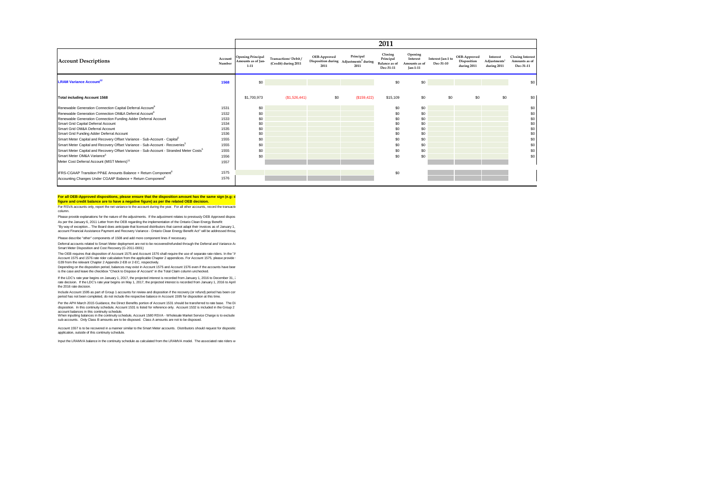|                                                                                                    |                   |                                                            |                                                           |                      |                                                                         | 2011                                                      |                                                         |                                |                                            |                                                     |                                                       |
|----------------------------------------------------------------------------------------------------|-------------------|------------------------------------------------------------|-----------------------------------------------------------|----------------------|-------------------------------------------------------------------------|-----------------------------------------------------------|---------------------------------------------------------|--------------------------------|--------------------------------------------|-----------------------------------------------------|-------------------------------------------------------|
| <b>Account Descriptions</b>                                                                        | Account<br>Number | <b>Opening Principal</b><br>Amounts as of Ian-<br>$1 - 11$ | Transactions <sup>1</sup> Debit /<br>(Credit) during 2011 | OEB-Approved<br>2011 | Principal<br>Disposition during Adjustments <sup>2</sup> during<br>2011 | Closing<br>Principal<br><b>Balance</b> as of<br>Dec-31-11 | Opening<br>Interest<br>Amounts as of<br><b>Jan-1-11</b> | Interest Ian-1 to<br>Dec-31-10 | OEB-Approved<br>Disposition<br>during 2011 | Interest<br>Adjustments <sup>2</sup><br>during 2011 | <b>Closing Interest</b><br>Amounts as of<br>Dec-31-11 |
| <b>LRAM Variance Account<sup>12</sup></b>                                                          | 1568              | \$0                                                        |                                                           |                      |                                                                         | \$0                                                       | \$0                                                     |                                |                                            |                                                     | \$0                                                   |
| <b>Total including Account 1568</b>                                                                |                   | \$1,700.973                                                | (S1, 526, 441)                                            | \$0                  | (\$159, 422)                                                            | \$15,109                                                  | \$0                                                     | \$0                            | \$0                                        | \$0                                                 | \$0                                                   |
| Renewable Generation Connection Capital Deferral Account <sup>9</sup>                              | 1531              | \$0                                                        |                                                           |                      |                                                                         | \$0                                                       | \$0                                                     |                                |                                            |                                                     | \$0                                                   |
| Renewable Generation Connection OM&A Deferral Account <sup>9</sup>                                 | 1532              | \$0                                                        |                                                           |                      |                                                                         | \$0                                                       | \$0                                                     |                                |                                            |                                                     | \$0                                                   |
| Renewable Generation Connection Funding Adder Deferral Account                                     | 1533              | \$0                                                        |                                                           |                      |                                                                         | \$0                                                       | \$0                                                     |                                |                                            |                                                     | \$0                                                   |
| Smart Grid Capital Deferral Account                                                                | 1534              | \$0                                                        |                                                           |                      |                                                                         | \$0                                                       | \$0                                                     |                                |                                            |                                                     | \$0                                                   |
| Smart Grid OM&A Deferral Account                                                                   | 1535              | \$0                                                        |                                                           |                      |                                                                         | \$0                                                       | \$0                                                     |                                |                                            |                                                     | \$0                                                   |
| Smart Grid Funding Adder Deferral Account                                                          | 1536              | \$0                                                        |                                                           |                      |                                                                         | \$0                                                       | \$0                                                     |                                |                                            |                                                     | \$0                                                   |
| Smart Meter Capital and Recovery Offset Variance - Sub-Account - Capital <sup>5</sup>              | 1555              | \$0                                                        |                                                           |                      |                                                                         | \$0                                                       | \$0                                                     |                                |                                            |                                                     | \$0                                                   |
| Smart Meter Capital and Recovery Offset Variance - Sub-Account - Recoveries <sup>5</sup>           | 1555              | \$0                                                        |                                                           |                      |                                                                         | \$0                                                       | \$0                                                     |                                |                                            |                                                     | \$0                                                   |
| Smart Meter Capital and Recovery Offset Variance - Sub-Account - Stranded Meter Costs <sup>5</sup> | 1555              | \$0                                                        |                                                           |                      |                                                                         | \$0                                                       | \$0                                                     |                                |                                            |                                                     | \$0                                                   |
| Smart Meter OM&A Variance <sup>5</sup>                                                             | 1556              | \$0                                                        |                                                           |                      |                                                                         | \$0                                                       | \$0                                                     |                                |                                            |                                                     | \$0                                                   |
| Meter Cost Deferral Account (MIST Meters) <sup>11</sup>                                            | 1557              |                                                            |                                                           |                      |                                                                         |                                                           |                                                         |                                |                                            |                                                     |                                                       |
| IFRS-CGAAP Transition PP&E Amounts Balance + Return Component <sup>6</sup>                         | 1575              |                                                            |                                                           |                      |                                                                         | \$0                                                       |                                                         |                                |                                            |                                                     |                                                       |
| Accounting Changes Under CGAAP Balance + Return Component <sup>6</sup>                             | 1576              |                                                            |                                                           |                      |                                                                         |                                                           |                                                         |                                |                                            |                                                     |                                                       |

#### For all OEB-Approved dispositions, please ensure that the disposition amount has the same sign (e.g: d **figure and credit balance are to have a negative figure) as per the related OEB decision.**

For RSVA accounts only, report the net variance to the account during the year. For all other accounts, record the transactions column.

Please provide explanations for the nature of the adjustments. If the adjustment relates to previously OEB Approved disposed amounts for the adjustments of the adjustment relates to previously OEB Approved dispose As per the January 6, 2011 Letter from the OEB regarding the implementation of the Ontainc Clean Energy Benefit<br>"By way of exception... The Board does anticipate that licensed distributors that cannot adapt their invoices

Please describe "other" components of 1508 and add more component lines if necessary. account Financial Assistance Payment and Recovery Variance - Ontario Clean Energy Benefit Act" will be addressed through

Deferral accounts related to Smart Meter deployment are not to be recovered/refunded through the Deferral and Variance Ax<br>Smart Meter Disposition and Cost Recovery (G-2011-0001)

The OEB requires that disposition of Account 1575 and Account 1576 shall require the use of separate rate riders. In the "A Account 1575 and 1576 rate rider calculation from the applicable Chapter 2 appendices. For Account 1575, please provide t<br>G39 from the relevant Chapter 2 Appendix 2-EB or 2-EC, respectively.

Depending on the disposition period, balances may exist in Account 1575 and Account 1576 even if the accounts have beer<br>is the case and leave the checkbox "Check to Dispose of Account" in the Total Claim column unchecked.

if the LDC's rate year begins on January 1, 2017, the projected interest is recorded from January 1, 2016 to December 31, 2<br>rate decision. If the LDC's rate year begins on May 1, 2017, the projected interest is recorded f the 2016 rate decision.

Include Account 1595 as part of Group 1 accounts for review and disposition if the recovery (or refund) period has been con<br>period has not been completed, do not include the respective balance in Account 1595 for dispositi

Per the APH March 2015 Guidance, the Direct Benefits portion of Account 1531 should be transferred to rate base. The Di<br>disposition. In this continuity schedule, Account 1531 is listed for reference only. Account 1532 is i

account balances in this continuity schedule.<br>When inputting balances in the continuity schedule, Account 1580 RSVA - Wholesale Market Service Charge is to exclude sub-accounts. Only Class B amounts are to be disposed. Class A amounts are not to be disposed.

Account 1557 is to be recovered in a manner similar to the Smart Meter accounts. Distributors should request for dispositio application, outside of this continuity schedule.

Input the LRAMVA balance in the continuity schedule as calculated from the LRAMVA model. The associated rate riders w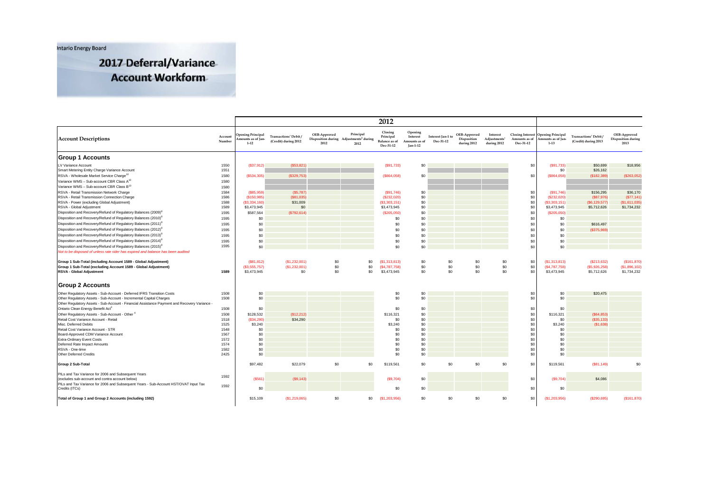**Intario Energy Board** 

2017 Deferral/Variance **Account Workform** 

|                                                                                                                                                                |                   |                                                            |                                               |                      |                                                                         | 2012                                                      |                                                  |                                |                                            |                                                     |                            |                                                                      |                                                           |                                            |
|----------------------------------------------------------------------------------------------------------------------------------------------------------------|-------------------|------------------------------------------------------------|-----------------------------------------------|----------------------|-------------------------------------------------------------------------|-----------------------------------------------------------|--------------------------------------------------|--------------------------------|--------------------------------------------|-----------------------------------------------------|----------------------------|----------------------------------------------------------------------|-----------------------------------------------------------|--------------------------------------------|
| <b>Account Descriptions</b>                                                                                                                                    | Account<br>Number | <b>Opening Principal</b><br>Amounts as of Jan-<br>$1 - 12$ | Transactions' Debit /<br>(Credit) during 2012 | OEB-Approved<br>2012 | Principal<br>Disposition during Adjustments <sup>2</sup> during<br>2012 | Closing<br>Principal<br><b>Balance</b> as of<br>Dec-31-12 | Opening<br>Interest<br>Amounts as of<br>Jan-1-12 | Interest Jan-1 to<br>Dec-31-12 | OEB-Approved<br>Disposition<br>during 2012 | Interest<br>Adjustments <sup>1</sup><br>during 2012 | Amounts as of<br>Dec-31-12 | Closing Interest Opening Principal<br>Amounts as of Jan-<br>$1 - 13$ | Transactions <sup>1</sup> Debit /<br>(Credit) during 2013 | OEB-Approved<br>Disposition during<br>2013 |
| <b>Group 1 Accounts</b>                                                                                                                                        |                   |                                                            |                                               |                      |                                                                         |                                                           |                                                  |                                |                                            |                                                     |                            |                                                                      |                                                           |                                            |
| LV Variance Account                                                                                                                                            | 1550              | (S37, 912)                                                 | (S53, 821)                                    |                      |                                                                         | (S91, 733)                                                | \$0                                              |                                |                                            |                                                     | \$0                        | (S91,733)                                                            | \$50,699                                                  | \$18,956                                   |
| Smart Metering Entity Charge Variance Account                                                                                                                  | 1551              |                                                            |                                               |                      |                                                                         |                                                           |                                                  |                                |                                            |                                                     |                            | \$0                                                                  | \$26,162                                                  |                                            |
| RSVA - Wholesale Market Service Charge <sup>10</sup>                                                                                                           | 1580              | (\$534,305)                                                | (S329,753)                                    |                      |                                                                         | (S864,058)                                                | \$0                                              |                                |                                            |                                                     | \$0                        | (\$864,058)                                                          | (S182, 389)                                               | (\$263,052)                                |
| Variance WMS - Sub-account CBR Class A <sup>10</sup>                                                                                                           | 1580              |                                                            |                                               |                      |                                                                         |                                                           |                                                  |                                |                                            |                                                     |                            |                                                                      |                                                           |                                            |
| Variance WMS - Sub-account CBR Class B <sup>10</sup>                                                                                                           | 1580              |                                                            |                                               |                      |                                                                         |                                                           |                                                  |                                |                                            |                                                     |                            |                                                                      |                                                           |                                            |
| RSVA - Retail Transmission Network Charge                                                                                                                      | 1584              | (S85.959)                                                  | (S5, 787)                                     |                      |                                                                         | (\$91,746)                                                | \$0                                              |                                |                                            |                                                     | \$0                        | (S91,746)                                                            | \$156,295                                                 | \$36,170                                   |
| RSVA - Retail Transmission Connection Charge                                                                                                                   | 1586              | (\$150,985)                                                | (\$81,035)                                    |                      |                                                                         | (S232,020)                                                | \$0                                              |                                |                                            |                                                     | \$0                        | (\$232,020)                                                          | (S87, 976)                                                | (S77, 141)                                 |
| RSVA - Power (excluding Global Adjustment)                                                                                                                     | 1588              | (S3, 334, 160)                                             | \$31,009                                      |                      |                                                                         | (\$3,303,151)                                             | $\$0$<br>\$0                                     |                                |                                            |                                                     | \$0                        | ( \$3,303,151)                                                       | (\$6, 129, 577)                                           | (\$1,611,035)                              |
| RSVA - Global Adjustment                                                                                                                                       | 1589              | \$3,473,945                                                | \$0                                           |                      |                                                                         | \$3,473,945                                               |                                                  |                                |                                            |                                                     | \$0                        | \$3,473,945                                                          | \$5,712,626                                               | \$1,734,232                                |
| Disposition and Recovery/Refund of Regulatory Balances (2009) <sup>8</sup>                                                                                     | 1595              | \$587,564                                                  | (S792, 614)                                   |                      |                                                                         | (\$205,050)                                               | \$0                                              |                                |                                            |                                                     | \$0                        | (\$205,050)                                                          |                                                           |                                            |
| Disposition and Recovery/Refund of Regulatory Balances (2010) <sup>8</sup>                                                                                     | 1595              | \$0                                                        |                                               |                      |                                                                         | \$0                                                       | \$0                                              |                                |                                            |                                                     | \$0                        | \$0                                                                  |                                                           |                                            |
| Disposition and Recovery/Refund of Regulatory Balances (2011) <sup>8</sup>                                                                                     | 1595              | \$0                                                        |                                               |                      |                                                                         | \$0                                                       | \$0                                              |                                |                                            |                                                     | \$0                        | \$0                                                                  | \$616,497                                                 |                                            |
| Disposition and Recovery/Refund of Regulatory Balances (2012) <sup>8</sup>                                                                                     | 1595              | \$0                                                        |                                               |                      |                                                                         | \$0                                                       | \$0                                              |                                |                                            |                                                     | \$0                        | \$0                                                                  | (S375,969)                                                |                                            |
| Disposition and Recovery/Refund of Regulatory Balances (2013) <sup>8</sup>                                                                                     | 1595              | \$0                                                        |                                               |                      |                                                                         | \$0                                                       | \$0                                              |                                |                                            |                                                     | \$0                        | \$0                                                                  |                                                           |                                            |
| Disposition and Recovery/Refund of Regulatory Balances (2014) <sup>8</sup>                                                                                     | 1595              | \$0                                                        |                                               |                      |                                                                         | \$0                                                       | \$0                                              |                                |                                            |                                                     | \$0                        | \$0                                                                  |                                                           |                                            |
| Disposition and Recovery/Refund of Regulatory Balances (2015) <sup>8</sup><br>Not to be disposed of unless rate rider has expired and balance has been audited | 1595              | \$0                                                        |                                               |                      |                                                                         | \$0                                                       | \$0                                              |                                |                                            |                                                     | \$0                        | \$0                                                                  |                                                           |                                            |
|                                                                                                                                                                |                   |                                                            |                                               |                      |                                                                         |                                                           |                                                  |                                |                                            |                                                     |                            |                                                                      |                                                           |                                            |
| Group 1 Sub-Total (including Account 1589 - Global Adjustment)                                                                                                 |                   | (S81, 812)                                                 | (S1, 232, 001)                                | \$0                  | \$0                                                                     | (S1.313.813)                                              | \$0                                              | \$0                            | \$0                                        | \$0                                                 | \$0                        | (S1, 313, 813)                                                       | (S213, 632)                                               | (S161, 870)                                |
| Group 1 Sub-Total (excluding Account 1589 - Global Adjustment)                                                                                                 |                   | (S3, 555, 757)                                             | (S1, 232, 001)                                | \$0                  | \$0                                                                     | (S4, 787, 758)                                            | \$0                                              | \$0                            | \$0                                        | \$0                                                 | \$0                        | (S4, 787, 758)                                                       | (\$5,926,258)                                             | (\$1,896,102)                              |
| <b>RSVA - Global Adjustment</b>                                                                                                                                | 1589              | \$3,473,945                                                | \$0                                           | \$0                  | \$0                                                                     | \$3,473,945                                               | \$0                                              | \$0                            | \$0                                        | \$0                                                 | \$0                        | \$3,473,945                                                          | \$5,712,626                                               | \$1,734,232                                |
| <b>Group 2 Accounts</b>                                                                                                                                        |                   |                                                            |                                               |                      |                                                                         |                                                           |                                                  |                                |                                            |                                                     |                            |                                                                      |                                                           |                                            |
| Other Regulatory Assets - Sub-Account - Deferred IFRS Transition Costs                                                                                         | 1508              | \$0                                                        |                                               |                      |                                                                         | \$0                                                       | \$0                                              |                                |                                            |                                                     | \$0                        | \$0                                                                  | \$20,475                                                  |                                            |
| Other Regulatory Assets - Sub-Account - Incremental Capital Charges                                                                                            | 1508              | \$0                                                        |                                               |                      |                                                                         | \$0                                                       | \$0                                              |                                |                                            |                                                     | \$0                        | \$0                                                                  |                                                           |                                            |
| Other Regulatory Assets - Sub-Account - Financial Assistance Payment and Recovery Variance -                                                                   |                   |                                                            |                                               |                      |                                                                         |                                                           |                                                  |                                |                                            |                                                     |                            |                                                                      |                                                           |                                            |
| Ontario Clean Energy Benefit Act <sup>3</sup>                                                                                                                  | 1508              | \$0                                                        |                                               |                      |                                                                         | \$0                                                       | \$0                                              |                                |                                            |                                                     | \$0                        | \$0                                                                  |                                                           |                                            |
| Other Regulatory Assets - Sub-Account - Other 4                                                                                                                | 1508              | \$128,532                                                  | (\$12,212)                                    |                      |                                                                         | \$116,321                                                 | \$0                                              |                                |                                            |                                                     | \$0                        | \$116,321                                                            | (S64, 853)                                                |                                            |
| Retail Cost Variance Account - Retail                                                                                                                          | 1518              | (S34, 290)                                                 | \$34,290                                      |                      |                                                                         | \$0                                                       | \$0                                              |                                |                                            |                                                     | \$0                        | \$0                                                                  | (\$35, 133)                                               |                                            |
| Misc. Deferred Debits                                                                                                                                          | 1525              | \$3,240                                                    |                                               |                      |                                                                         | \$3,240                                                   | \$0                                              |                                |                                            |                                                     | \$0                        | \$3,240                                                              | (S1, 638)                                                 |                                            |
| Retail Cost Variance Account - STR                                                                                                                             | 1548              | \$0                                                        |                                               |                      |                                                                         | \$0                                                       | \$0                                              |                                |                                            |                                                     | \$0                        | \$0<br>\$0                                                           |                                                           |                                            |
| Board-Approved CDM Variance Account<br>Extra-Ordinary Event Costs                                                                                              | 1567<br>1572      | \$0<br>\$0                                                 |                                               |                      |                                                                         | \$0<br>\$0                                                | \$0<br>\$0                                       |                                |                                            |                                                     | \$0<br>\$0                 | \$0                                                                  |                                                           |                                            |
| Deferred Rate Impact Amounts                                                                                                                                   | 1574              | \$0                                                        |                                               |                      |                                                                         | \$0                                                       | \$0                                              |                                |                                            |                                                     | \$0                        | \$0                                                                  |                                                           |                                            |
| RSVA - One-time                                                                                                                                                | 1582              | \$0                                                        |                                               |                      |                                                                         | \$0                                                       | \$0                                              |                                |                                            |                                                     | \$0                        | \$0                                                                  |                                                           |                                            |
| Other Deferred Credits                                                                                                                                         | 2425              | \$0                                                        |                                               |                      |                                                                         | \$0                                                       | \$0                                              |                                |                                            |                                                     | \$0                        | \$0                                                                  |                                                           |                                            |
| Group 2 Sub-Total                                                                                                                                              |                   | \$97,482                                                   | \$22,079                                      | \$0                  | \$0                                                                     | \$119,561                                                 | \$0                                              | \$0                            | \$0                                        | \$0                                                 | \$0                        | \$119,561                                                            | (S81, 149)                                                | \$0                                        |
| PILs and Tax Variance for 2006 and Subsequent Years<br>(excludes sub-account and contra account below)                                                         | 1592              | (S561)                                                     | (S9, 143)                                     |                      |                                                                         | (S9,704)                                                  | \$0                                              |                                |                                            |                                                     | \$0                        | (S9,704)                                                             | \$4,086                                                   |                                            |
| PILs and Tax Variance for 2006 and Subsequent Years - Sub-Account HST/OVAT Input Tax                                                                           |                   |                                                            |                                               |                      |                                                                         |                                                           |                                                  |                                |                                            |                                                     |                            |                                                                      |                                                           |                                            |
| Credits (ITCs)                                                                                                                                                 | 1592              | \$0                                                        |                                               |                      |                                                                         | \$0                                                       | \$0                                              |                                |                                            |                                                     | \$0                        | \$0                                                                  |                                                           |                                            |
| Total of Group 1 and Group 2 Accounts (including 1592)                                                                                                         |                   | \$15,109                                                   | (S1, 219, 065)                                | \$0                  | \$0                                                                     | (S1, 203, 956)                                            | \$0                                              | \$0                            | \$0                                        | \$0                                                 | \$0                        | (S1, 203, 956)                                                       | (S290, 695)                                               | (S161, 870)                                |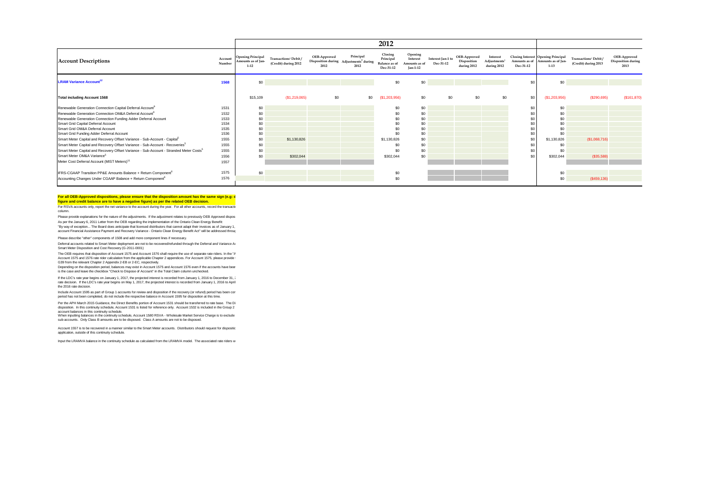|                                                                                                    |                   |                                                            |                                                           |                      |                                                                         | 2012                                                      |                                                  |                                |                                            |                                                     |           |                                                                                    |                                                          |                                                   |
|----------------------------------------------------------------------------------------------------|-------------------|------------------------------------------------------------|-----------------------------------------------------------|----------------------|-------------------------------------------------------------------------|-----------------------------------------------------------|--------------------------------------------------|--------------------------------|--------------------------------------------|-----------------------------------------------------|-----------|------------------------------------------------------------------------------------|----------------------------------------------------------|---------------------------------------------------|
| <b>Account Descriptions</b>                                                                        | Account<br>Number | <b>Opening Principal</b><br>Amounts as of Ian-<br>$1 - 12$ | Transactions <sup>1</sup> Debit /<br>(Credit) during 2012 | OEB-Approved<br>2012 | Principal<br>Disposition during Adjustments <sup>2</sup> during<br>2012 | Closing<br>Principal<br><b>Balance</b> as of<br>Dec-31-12 | Opening<br>Interest<br>Amounts as of<br>Jan-1-12 | Interest Jan-1 to<br>Dec-31-12 | OEB-Approved<br>Disposition<br>during 2012 | Interest<br>Adjustments <sup>2</sup><br>during 2012 | Dec-31-12 | Closing Interest Opening Principal<br>Amounts as of Amounts as of Jan-<br>$1 - 13$ | Transactions <sup>1</sup> Debit/<br>(Credit) during 2013 | OEB-Approved<br><b>Disposition during</b><br>2013 |
| <b>LRAM Variance Account<sup>12</sup></b>                                                          | 1568              | \$0                                                        |                                                           |                      |                                                                         | \$0                                                       | \$0                                              |                                |                                            |                                                     | \$0       | \$0                                                                                |                                                          |                                                   |
| <b>Total including Account 1568</b>                                                                |                   | \$15,109                                                   | (\$1,219,065)                                             | \$0                  | \$0                                                                     | (\$1,203,956)                                             | \$0                                              | \$0                            | \$0                                        | \$0                                                 | \$0       | (S1, 203, 956)                                                                     | (S290, 695)                                              | (S161, 870)                                       |
| Renewable Generation Connection Capital Deferral Account <sup>9</sup>                              | 1531              | \$0                                                        |                                                           |                      |                                                                         | \$0                                                       | \$0                                              |                                |                                            |                                                     | \$0       | \$0                                                                                |                                                          |                                                   |
| Renewable Generation Connection OM&A Deferral Account <sup>9</sup>                                 | 1532              | \$0                                                        |                                                           |                      |                                                                         | \$0                                                       | \$0                                              |                                |                                            |                                                     | \$C       | \$0                                                                                |                                                          |                                                   |
| Renewable Generation Connection Funding Adder Deferral Account                                     | 1533              | \$0                                                        |                                                           |                      |                                                                         | \$0                                                       | \$0                                              |                                |                                            |                                                     | \$C       | \$0                                                                                |                                                          |                                                   |
| Smart Grid Capital Deferral Account                                                                | 1534              | \$0                                                        |                                                           |                      |                                                                         | \$C                                                       | \$0                                              |                                |                                            |                                                     | s         | \$0                                                                                |                                                          |                                                   |
| Smart Grid OM&A Deferral Account                                                                   | 1535              | \$0                                                        |                                                           |                      |                                                                         | \$0                                                       | \$0                                              |                                |                                            |                                                     | \$C       | \$0                                                                                |                                                          |                                                   |
| Smart Grid Funding Adder Deferral Account                                                          | 1536              | \$0                                                        |                                                           |                      |                                                                         | \$0                                                       | \$0                                              |                                |                                            |                                                     | $s$ c     | \$0                                                                                |                                                          |                                                   |
| Smart Meter Capital and Recovery Offset Variance - Sub-Account - Capital <sup>5</sup>              | 1555              | \$0                                                        | \$1,130,826                                               |                      |                                                                         | \$1,130,826                                               | \$0                                              |                                |                                            |                                                     | \$0       | \$1,130,826                                                                        | (S1,068,716)                                             |                                                   |
| Smart Meter Capital and Recovery Offset Variance - Sub-Account - Recoveries <sup>5</sup>           | 1555              | \$0                                                        |                                                           |                      |                                                                         | \$0                                                       | \$0                                              |                                |                                            |                                                     | \$0       | \$0                                                                                |                                                          |                                                   |
| Smart Meter Capital and Recovery Offset Variance - Sub-Account - Stranded Meter Costs <sup>5</sup> | 1555              | \$0                                                        |                                                           |                      |                                                                         | \$0                                                       | \$0                                              |                                |                                            |                                                     | \$0       | \$0                                                                                |                                                          |                                                   |
| Smart Meter OM&A Variance <sup>5</sup>                                                             | 1556              | \$0                                                        | \$302,044                                                 |                      |                                                                         | \$302,044                                                 | \$0                                              |                                |                                            |                                                     | \$0       | \$302,044                                                                          | $($ \$35,588)                                            |                                                   |
| Meter Cost Deferral Account (MIST Meters) <sup>11</sup>                                            | 1557              |                                                            |                                                           |                      |                                                                         |                                                           |                                                  |                                |                                            |                                                     |           |                                                                                    |                                                          |                                                   |
| IFRS-CGAAP Transition PP&E Amounts Balance + Return Component <sup>6</sup>                         | 1575              | \$0                                                        |                                                           |                      |                                                                         | \$0                                                       |                                                  |                                |                                            |                                                     |           | \$0                                                                                |                                                          |                                                   |
| Accounting Changes Under CGAAP Balance + Return Component <sup>6</sup>                             | 1576              |                                                            |                                                           |                      |                                                                         | \$0                                                       |                                                  |                                |                                            |                                                     |           | \$0                                                                                | (S459, 136)                                              |                                                   |

#### For all OEB-Approved dispositions, please ensure that the disposition amount has the same sign (e.g: d **figure and credit balance are to have a negative figure) as per the related OEB decision.**

For RSVA accounts only, report the net variance to the account during the year. For all other accounts, record the transactiv column.

Please provide explanations for the nature of the adjustments. If the adjustment relates to previously OEB Approved disposed amounts for the adjustments of the adjustment relates to previously OEB Approved dispose As per the January 6, 2011 Letter from the OEB regarding the implementation of the Ontainc Clean Energy Benefit<br>"By way of exception... The Board does anticipate that licensed distributors that cannot adapt their invoices account Financial Assistance Payment and Recovery Variance - Ontario Clean Energy Benefit Act" will be addressed through

Please describe "other" components of 1508 and add more component lines if necessary.

Deferral accounts related to Smart Meter deployment are not to be recovered/refunded through the Deferral and Variance Ax<br>Smart Meter Disposition and Cost Recovery (G-2011-0001)

The OEB requires that disposition of Account 1575 and Account 1576 shall require the use of separate rate riders. In the "A Account 1575 and 1576 rate rider calculation from the applicable Chapter 2 appendices. For Account 1575, please provide t<br>G39 from the relevant Chapter 2 Appendix 2-EB or 2-EC, respectively.

Depending on the disposition period, balances may exist in Account 1575 and Account 1576 even if the accounts have beer<br>is the case and leave the checkbox "Check to Dispose of Account" in the Total Claim column unchecked.

if the LDC's rate year begins on January 1, 2017, the projected interest is recorded from January 1, 2016 to December 31, 2<br>rate decision. If the LDC's rate year begins on May 1, 2017, the projected interest is recorded f the 2016 rate decision.

Include Account 1595 as part of Group 1 accounts for review and disposition if the recovery (or refund) period has been con<br>period has not been completed, do not include the respective balance in Account 1595 for dispositi

Per the APH March 2015 Guidance, the Direct Benefits portion of Account 1531 should be transferred to rate base. The Di<br>disposition. In this continuity schedule, Account 1531 is listed for reference only. Account 1532 is i

account balances in this continuity schedule.<br>When inputting balances in the continuity schedule, Account 1580 RSVA - Wholesale Market Service Charge is to exclude sub-accounts. Only Class B amounts are to be disposed. Class A amounts are not to be disposed.

Account 1557 is to be recovered in a manner similar to the Smart Meter accounts. Distributors should request for dispositio application, outside of this continuity schedule.

Input the LRAMVA balance in the continuity schedule as calculated from the LRAMVA model. The associated rate riders w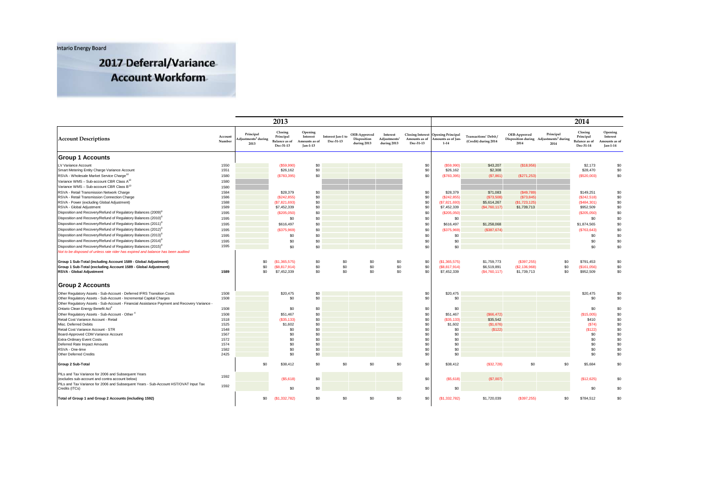**Intario Energy Board** 

2017 Deferral/Variance **Account Workform** 

|                                                                                                                                                                     |                   |                                                     | 2013                                                      |                                                 |                                |                                            |                                        |                            |                                                                      |                                                          |                      |                                                                         | 2014                                                      |                                                  |
|---------------------------------------------------------------------------------------------------------------------------------------------------------------------|-------------------|-----------------------------------------------------|-----------------------------------------------------------|-------------------------------------------------|--------------------------------|--------------------------------------------|----------------------------------------|----------------------------|----------------------------------------------------------------------|----------------------------------------------------------|----------------------|-------------------------------------------------------------------------|-----------------------------------------------------------|--------------------------------------------------|
| <b>Account Descriptions</b>                                                                                                                                         | Account<br>Number | Principal<br>djustments <sup>2</sup> during<br>2013 | Closing<br>Principal<br><b>Balance</b> as of<br>Dec-31-13 | Opening<br>Interest<br>Amounts as o<br>Jan-1-13 | Interest Jan-1 to<br>Dec-31-13 | OEB-Approved<br>Disposition<br>during 2013 | Interest<br>Adjustments<br>during 2013 | Amounts as of<br>Dec-31-13 | Closing Interest Opening Principal<br>Amounts as of Jan-<br>$1 - 14$ | Transactions <sup>1</sup> Debit/<br>(Credit) during 2014 | OEB-Approved<br>2014 | Principal<br>Disposition during Adjustments <sup>2</sup> during<br>2014 | Closing<br>Principal<br><b>Balance</b> as of<br>Dec-31-14 | Opening<br>Interest<br>Amounts as of<br>Jan-1-14 |
| <b>Group 1 Accounts</b>                                                                                                                                             |                   |                                                     |                                                           |                                                 |                                |                                            |                                        |                            |                                                                      |                                                          |                      |                                                                         |                                                           |                                                  |
| LV Variance Account                                                                                                                                                 | 1550              |                                                     | (S59,990)                                                 | \$0                                             |                                |                                            |                                        | \$0                        | (S59.990)                                                            | \$43,207                                                 | (\$18,956)           |                                                                         | \$2,173                                                   | \$0                                              |
| Smart Metering Entity Charge Variance Account                                                                                                                       | 1551              |                                                     | \$26,162                                                  | \$0                                             |                                |                                            |                                        | \$0                        | \$26,162                                                             | \$2,308                                                  |                      |                                                                         | \$28,470                                                  | \$0                                              |
| RSVA - Wholesale Market Service Charge <sup>10</sup>                                                                                                                | 1580              |                                                     | (S783,395)                                                | \$0                                             |                                |                                            |                                        | \$0                        | (\$783,395)                                                          | (S7, 861)                                                | (S271.253)           |                                                                         | (\$520,003)                                               | \$0                                              |
| Variance WMS - Sub-account CBR Class A <sup>10</sup>                                                                                                                | 1580              |                                                     |                                                           |                                                 |                                |                                            |                                        |                            |                                                                      |                                                          |                      |                                                                         |                                                           |                                                  |
| Variance WMS - Sub-account CBR Class B <sup>10</sup>                                                                                                                | 1580              |                                                     |                                                           |                                                 |                                |                                            |                                        |                            |                                                                      |                                                          |                      |                                                                         |                                                           |                                                  |
| RSVA - Retail Transmission Network Charge                                                                                                                           | 1584              |                                                     | \$28,379                                                  | \$0                                             |                                |                                            |                                        | \$0                        | \$28,379                                                             | \$71,083                                                 | (S49,789)            |                                                                         | \$149,251                                                 | \$0                                              |
| RSVA - Retail Transmission Connection Charge                                                                                                                        | 1586              |                                                     | (\$242,855)                                               | \$0                                             |                                |                                            |                                        | \$0                        | (\$242,855)                                                          | (S73,508)                                                | (\$73,845)           |                                                                         | (\$242,518)                                               | \$0                                              |
| RSVA - Power (excluding Global Adjustment)                                                                                                                          | 1588              |                                                     | (S7, 821, 693)                                            | \$0                                             |                                |                                            |                                        | \$0                        | (S7, 821, 693)                                                       | \$5,614,267                                              | (\$1,723,125)        |                                                                         | (\$484,301)                                               | \$0                                              |
| RSVA - Global Adjustment                                                                                                                                            | 1589              |                                                     | \$7,452,339                                               | \$0                                             |                                |                                            |                                        | \$0                        | \$7,452,339                                                          | (S4, 760, 117)                                           | \$1,739,713          |                                                                         | \$952,509                                                 | \$0                                              |
| Disposition and Recovery/Refund of Regulatory Balances (2009) <sup>8</sup>                                                                                          | 1595              |                                                     | (\$205,050)                                               | \$0                                             |                                |                                            |                                        | \$0                        | (\$205,050)                                                          |                                                          |                      |                                                                         | (\$205,050)                                               | \$0                                              |
| Disposition and Recovery/Refund of Regulatory Balances (2010) <sup>8</sup>                                                                                          | 1595              |                                                     | \$0                                                       | \$0                                             |                                |                                            |                                        | \$0                        | \$0                                                                  |                                                          |                      |                                                                         | \$0                                                       | \$0                                              |
| Disposition and Recovery/Refund of Regulatory Balances (2011) <sup>8</sup>                                                                                          | 1595              |                                                     | \$616,497                                                 | \$0                                             |                                |                                            |                                        | \$0                        | \$616,497                                                            | \$1,258,068                                              |                      |                                                                         | \$1,874,565                                               | \$0                                              |
| Disposition and Recovery/Refund of Regulatory Balances (2012) <sup>8</sup>                                                                                          | 1595              |                                                     | (S375,969)                                                | \$0                                             |                                |                                            |                                        | \$0                        | (\$375,969)                                                          | (\$387,674)                                              |                      |                                                                         | (S763, 643)                                               | \$0                                              |
| Disposition and Recovery/Refund of Regulatory Balances (2013) <sup>8</sup>                                                                                          | 1595              |                                                     | \$0                                                       | \$0                                             |                                |                                            |                                        | \$0                        | \$0                                                                  |                                                          |                      |                                                                         | \$0                                                       | \$0                                              |
| Disposition and Recovery/Refund of Regulatory Balances (2014) <sup>8</sup>                                                                                          | 1595              |                                                     | \$0                                                       | \$0                                             |                                |                                            |                                        | \$0                        | \$0                                                                  |                                                          |                      |                                                                         | \$0                                                       | \$0                                              |
| Disposition and Recovery/Refund of Regulatory Balances (2015) <sup>8</sup>                                                                                          | 1595              |                                                     | \$0                                                       | \$0                                             |                                |                                            |                                        | \$0                        | \$0                                                                  |                                                          |                      |                                                                         | \$0                                                       | \$0                                              |
| Not to be disposed of unless rate rider has expired and balance has been audited                                                                                    |                   |                                                     |                                                           |                                                 |                                |                                            |                                        |                            |                                                                      |                                                          |                      |                                                                         |                                                           |                                                  |
|                                                                                                                                                                     |                   |                                                     |                                                           |                                                 |                                |                                            |                                        |                            |                                                                      |                                                          |                      |                                                                         |                                                           |                                                  |
| Group 1 Sub-Total (including Account 1589 - Global Adjustment)                                                                                                      |                   | \$0                                                 | (\$1,365,575)                                             | \$0                                             | \$0                            | \$0                                        | \$0                                    | \$0                        | (S1, 365, 575)                                                       | \$1,759,773                                              | (\$397,255)          | \$0                                                                     | \$791,453                                                 | \$0                                              |
| Group 1 Sub-Total (excluding Account 1589 - Global Adjustment)                                                                                                      |                   | \$0                                                 | (S8.817.914)                                              | \$0                                             | \$0                            | \$0                                        | \$0                                    | \$0                        | (S8.817.914)                                                         | \$6,519,891                                              | (S2.136.968)         | \$0                                                                     | (S161.056)                                                | \$0                                              |
| RSVA - Global Adjustment                                                                                                                                            | 1589              | \$0                                                 | \$7,452,339                                               | \$0                                             | \$0                            | \$0                                        | \$0                                    | \$0                        | \$7,452,339                                                          | ( \$4,760,117)                                           | \$1,739,713          | \$0                                                                     | \$952,509                                                 | \$0                                              |
|                                                                                                                                                                     |                   |                                                     |                                                           |                                                 |                                |                                            |                                        |                            |                                                                      |                                                          |                      |                                                                         |                                                           |                                                  |
| <b>Group 2 Accounts</b>                                                                                                                                             |                   |                                                     |                                                           |                                                 |                                |                                            |                                        |                            |                                                                      |                                                          |                      |                                                                         |                                                           |                                                  |
|                                                                                                                                                                     |                   |                                                     |                                                           |                                                 |                                |                                            |                                        |                            |                                                                      |                                                          |                      |                                                                         |                                                           |                                                  |
| Other Regulatory Assets - Sub-Account - Deferred IFRS Transition Costs                                                                                              | 1508              |                                                     | \$20,475                                                  | \$0<br>\$0                                      |                                |                                            |                                        | \$0<br>\$0                 | \$20.475<br>\$0                                                      |                                                          |                      |                                                                         | \$20,475<br>\$0                                           | \$0<br>\$0                                       |
| Other Regulatory Assets - Sub-Account - Incremental Capital Charges<br>Other Regulatory Assets - Sub-Account - Financial Assistance Payment and Recovery Variance - | 1508              |                                                     | \$0                                                       |                                                 |                                |                                            |                                        |                            |                                                                      |                                                          |                      |                                                                         |                                                           |                                                  |
| Ontario Clean Energy Benefit Act <sup>3</sup>                                                                                                                       | 1508              |                                                     | \$0                                                       | \$0                                             |                                |                                            |                                        | \$0                        | \$0                                                                  |                                                          |                      |                                                                         | \$0                                                       | \$0                                              |
| Other Regulatory Assets - Sub-Account - Other                                                                                                                       | 1508              |                                                     | \$51,467                                                  | \$0                                             |                                |                                            |                                        | \$0                        | \$51,467                                                             | (S66, 472)                                               |                      |                                                                         | (S15,005)                                                 | \$0                                              |
| Retail Cost Variance Account - Retail                                                                                                                               | 1518              |                                                     | (S35.133)                                                 | \$0                                             |                                |                                            |                                        | \$0                        | (S35.133)                                                            | \$35,542                                                 |                      |                                                                         | \$410                                                     | \$0                                              |
| Misc. Deferred Debits                                                                                                                                               | 1525              |                                                     | \$1,602                                                   | \$0                                             |                                |                                            |                                        | \$0                        | \$1,602                                                              | (S1, 676)                                                |                      |                                                                         | (S74)                                                     | \$0                                              |
| Retail Cost Variance Account - STR                                                                                                                                  | 1548              |                                                     | \$0                                                       | \$0                                             |                                |                                            |                                        | \$0                        | \$0                                                                  | (\$122)                                                  |                      |                                                                         | (S122)                                                    | \$0                                              |
| Board-Approved CDM Variance Account                                                                                                                                 | 1567              |                                                     | \$0                                                       | \$0                                             |                                |                                            |                                        | \$0                        | \$0                                                                  |                                                          |                      |                                                                         | \$0                                                       | \$0                                              |
| <b>Extra-Ordinary Event Costs</b>                                                                                                                                   | 1572              |                                                     | \$0                                                       | \$0                                             |                                |                                            |                                        | \$0                        | \$0                                                                  |                                                          |                      |                                                                         | \$0                                                       | \$0                                              |
| Deferred Rate Impact Amounts                                                                                                                                        | 1574              |                                                     | \$0                                                       | \$0                                             |                                |                                            |                                        | \$0                        | \$0                                                                  |                                                          |                      |                                                                         | \$0                                                       | \$0                                              |
| RSVA - One-time                                                                                                                                                     | 1582              |                                                     | \$0                                                       | \$0                                             |                                |                                            |                                        | \$0                        | \$0                                                                  |                                                          |                      |                                                                         | \$0                                                       | \$0                                              |
| Other Deferred Credits                                                                                                                                              | 2425              |                                                     | \$0                                                       | \$0                                             |                                |                                            |                                        | \$0                        | \$0                                                                  |                                                          |                      |                                                                         | \$0                                                       | \$0                                              |
| Group 2 Sub-Total                                                                                                                                                   |                   | \$0                                                 | \$38,412                                                  | \$0                                             | \$0                            | \$0                                        | \$0                                    | \$0                        | \$38,412                                                             | (S32, 728)                                               | \$0                  | \$0                                                                     | \$5,684                                                   | \$0                                              |
| PILs and Tax Variance for 2006 and Subsequent Years                                                                                                                 | 1592              |                                                     |                                                           |                                                 |                                |                                            |                                        |                            |                                                                      |                                                          |                      |                                                                         |                                                           |                                                  |
| (excludes sub-account and contra account below)                                                                                                                     |                   |                                                     | (S5, 618)                                                 | \$0                                             |                                |                                            |                                        | \$0                        | (S5, 618)                                                            | (S7,007)                                                 |                      |                                                                         | (\$12,625)                                                | \$0                                              |
| PILs and Tax Variance for 2006 and Subsequent Years - Sub-Account HST/OVAT Input Tax                                                                                | 1592              |                                                     |                                                           |                                                 |                                |                                            |                                        |                            |                                                                      |                                                          |                      |                                                                         |                                                           |                                                  |
| Credits (ITCs)                                                                                                                                                      |                   |                                                     | \$0                                                       | \$0                                             |                                |                                            |                                        | \$0                        | \$0                                                                  |                                                          |                      |                                                                         | \$0                                                       | \$0                                              |
| Total of Group 1 and Group 2 Accounts (including 1592)                                                                                                              |                   | \$0                                                 | (S1.332.782)                                              | \$0                                             | \$0                            | \$0                                        | \$0                                    | \$0                        | (S1.332.782)                                                         | \$1,720,039                                              | (S397.255)           | \$0                                                                     | \$784.512                                                 | \$0                                              |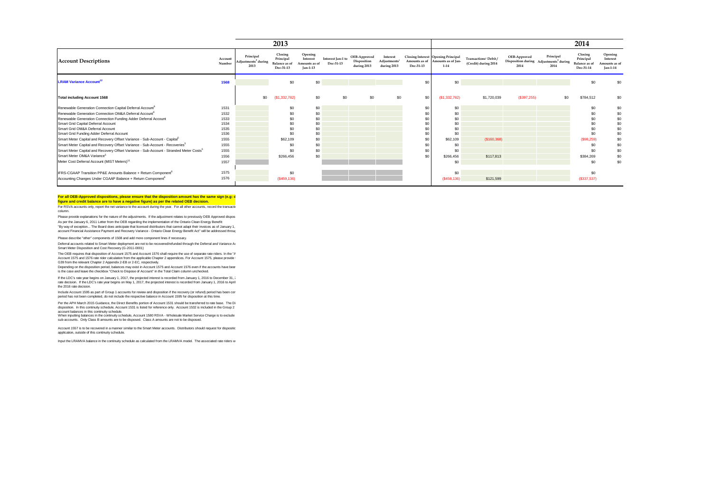|                                                                                                    |                   |                                                      | 2013                                                      |                                                         |                                |                                            |                                                     |                            |                                                                      |                                                          |                      |                                                                         | 2014                                               |                                                 |
|----------------------------------------------------------------------------------------------------|-------------------|------------------------------------------------------|-----------------------------------------------------------|---------------------------------------------------------|--------------------------------|--------------------------------------------|-----------------------------------------------------|----------------------------|----------------------------------------------------------------------|----------------------------------------------------------|----------------------|-------------------------------------------------------------------------|----------------------------------------------------|-------------------------------------------------|
| <b>Account Descriptions</b>                                                                        | Account<br>Number | Principal<br>Adjustments <sup>2</sup> during<br>2013 | Closing<br>Principal<br><b>Balance</b> as of<br>Dec-31-13 | Opening<br>Interest<br>Amounts as of<br><b>Jan-1-13</b> | Interest Jan-1 to<br>Dec-31-13 | OEB-Approved<br>Disposition<br>during 2013 | Interest<br>Adjustments <sup>1</sup><br>during 2013 | Amounts as of<br>Dec-31-13 | Closing Interest Opening Principal<br>Amounts as of Jan-<br>$1 - 14$ | Transactions <sup>1</sup> Debit/<br>(Credit) during 2014 | OEB-Approved<br>2014 | Principal<br>Disposition during Adjustments <sup>2</sup> during<br>2014 | Closing<br>Principal<br>Balance as of<br>Dec-31-14 | Opening<br>Interest<br>mounts as of<br>Jan-1-14 |
| <b>LRAM Variance Account<sup>12</sup></b>                                                          | 1568              |                                                      | \$0                                                       | \$0                                                     |                                |                                            |                                                     | \$0                        | \$0                                                                  |                                                          |                      |                                                                         | \$0                                                | \$0                                             |
| <b>Total including Account 1568</b>                                                                |                   | \$0                                                  | (S1, 332, 782)                                            | \$0                                                     | \$0                            | \$0                                        | \$0                                                 | \$0                        | (S1, 332, 782)                                                       | \$1,720,039                                              | (\$397,255)          | \$0                                                                     | \$784,512                                          | \$0                                             |
| Renewable Generation Connection Capital Deferral Account <sup>9</sup>                              | 1531              |                                                      | \$0                                                       | \$0                                                     |                                |                                            |                                                     | \$0                        | \$0                                                                  |                                                          |                      |                                                                         | \$0                                                | \$0                                             |
| Renewable Generation Connection OM&A Deferral Account <sup>9</sup>                                 | 1532              |                                                      | \$0                                                       | \$0                                                     |                                |                                            |                                                     | \$0                        | \$0                                                                  |                                                          |                      |                                                                         | \$0                                                | \$0                                             |
| Renewable Generation Connection Funding Adder Deferral Account                                     | 1533              |                                                      | \$0                                                       | \$0                                                     |                                |                                            |                                                     | \$0                        | \$0                                                                  |                                                          |                      |                                                                         | \$0                                                | \$0                                             |
| Smart Grid Capital Deferral Account                                                                | 1534              |                                                      | \$0                                                       | \$0                                                     |                                |                                            |                                                     | \$0                        | \$0                                                                  |                                                          |                      |                                                                         | \$0                                                | \$0                                             |
| Smart Grid OM&A Deferral Account                                                                   | 1535              |                                                      | \$0                                                       | \$0                                                     |                                |                                            |                                                     | \$0                        | \$0                                                                  |                                                          |                      |                                                                         | \$0                                                | \$0                                             |
| Smart Grid Funding Adder Deferral Account                                                          | 1536              |                                                      | \$0                                                       | \$0                                                     |                                |                                            |                                                     | \$0                        | \$0                                                                  |                                                          |                      |                                                                         | \$0                                                | \$0                                             |
| Smart Meter Capital and Recovery Offset Variance - Sub-Account - Capital <sup>5</sup>              | 1555              |                                                      | \$62,109                                                  | \$0                                                     |                                |                                            |                                                     | \$0                        | \$62,109                                                             | (S160, 368)                                              |                      |                                                                         | (\$98,259)                                         | \$0                                             |
| Smart Meter Capital and Recovery Offset Variance - Sub-Account - Recoveries <sup>5</sup>           | 1555              |                                                      | \$0                                                       | \$0                                                     |                                |                                            |                                                     | \$0                        | \$0                                                                  |                                                          |                      |                                                                         | \$0                                                | \$0                                             |
| Smart Meter Capital and Recovery Offset Variance - Sub-Account - Stranded Meter Costs <sup>5</sup> | 1555              |                                                      | \$0                                                       | \$0                                                     |                                |                                            |                                                     | \$0                        | \$0                                                                  |                                                          |                      |                                                                         | \$0                                                | \$0                                             |
| Smart Meter OM&A Variance <sup>5</sup>                                                             | 1556              |                                                      | \$266,456                                                 | \$0                                                     |                                |                                            |                                                     | \$0                        | \$266,456                                                            | \$117,813                                                |                      |                                                                         | \$384,269                                          | \$0                                             |
| Meter Cost Deferral Account (MIST Meters) <sup>11</sup>                                            | 1557              |                                                      |                                                           |                                                         |                                |                                            |                                                     |                            | \$0                                                                  |                                                          |                      |                                                                         | \$0                                                | \$0                                             |
| IFRS-CGAAP Transition PP&E Amounts Balance + Return Component <sup>6</sup>                         | 1575              |                                                      | \$0                                                       |                                                         |                                |                                            |                                                     |                            | \$0                                                                  |                                                          |                      |                                                                         | \$0                                                |                                                 |
| Accounting Changes Under CGAAP Balance + Return Component <sup>6</sup>                             | 1576              |                                                      | $($ \$459,136)                                            |                                                         |                                |                                            |                                                     |                            | (\$459,136)                                                          | \$121,599                                                |                      |                                                                         | (\$337,537)                                        |                                                 |
|                                                                                                    |                   |                                                      |                                                           |                                                         |                                |                                            |                                                     |                            |                                                                      |                                                          |                      |                                                                         |                                                    |                                                 |

#### For all OEB-Approved dispositions, please ensure that the disposition amount has the same sign (e.g: d **figure and credit balance are to have a negative figure) as per the related OEB decision.**

For RSVA accounts only, report the net variance to the account during the year. For all other accounts, record the transactions column.

Please provide explanations for the nature of the adjustments. If the adjustment relates to previously OEB Approved disposed amounts for the adjustments of the adjustment relates to previously OEB Approved dispose As per the January 6, 2011 Letter from the OEB regarding the implementation of the Ontainc Clean Energy Benefit<br>"By way of exception... The Board does anticipate that licensed distributors that cannot adapt their invoices account Financial Assistance Payment and Recovery Variance - Ontario Clean Energy Benefit Act" will be addressed through

Please describe "other" components of 1508 and add more component lines if necessary.

Deferral accounts related to Smart Meter deployment are not to be recovered/refunded through the Deferral and Variance Ax<br>Smart Meter Disposition and Cost Recovery (G-2011-0001)

The OEB requires that disposition of Account 1575 and Account 1576 shall require the use of separate rate riders. In the "A Account 1575 and 1576 rate rider calculation from the applicable Chapter 2 appendices. For Account 1575, please provide t<br>G39 from the relevant Chapter 2 Appendix 2-EB or 2-EC, respectively.

Depending on the disposition period, balances may exist in Account 1575 and Account 1576 even if the accounts have beer<br>is the case and leave the checkbox "Check to Dispose of Account" in the Total Claim column unchecked.

if the LDC's rate year begins on January 1, 2017, the projected interest is recorded from January 1, 2016 to December 31, 2<br>rate decision. If the LDC's rate year begins on May 1, 2017, the projected interest is recorded f the 2016 rate decision.

Include Account 1595 as part of Group 1 accounts for review and disposition if the recovery (or refund) period has been con<br>period has not been completed, do not include the respective balance in Account 1595 for dispositi

Per the APH March 2015 Guidance, the Direct Benefits portion of Account 1531 should be transferred to rate base. The Di<br>disposition. In this continuity schedule, Account 1531 is listed for reference only. Account 1532 is i

account balances in this continuity schedule.<br>When inputting balances in the continuity schedule, Account 1580 RSVA - Wholesale Market Service Charge is to exclude sub-accounts. Only Class B amounts are to be disposed. Class A amounts are not to be disposed.

Account 1557 is to be recovered in a manner similar to the Smart Meter accounts. Distributors should request for dispositio application, outside of this continuity schedule.

Input the LRAMVA balance in the continuity schedule as calculated from the LRAMVA model. The associated rate riders w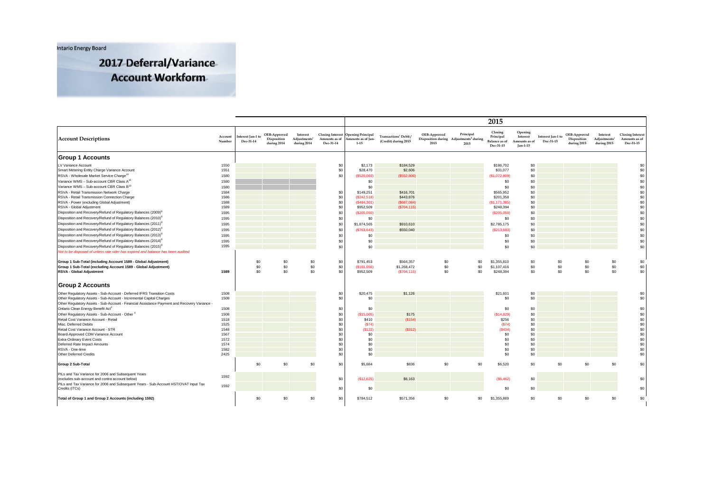**Intario Energy Board** 

2017 Deferral/Variance **Account Workform** 

|                                                                                              |                   |                               |                                            |                                                     |                                                       |                                                           |                                                          |                      |                                                                         | 2015                                                      |                                                  |                                |                                            |                                                     |                                                       |
|----------------------------------------------------------------------------------------------|-------------------|-------------------------------|--------------------------------------------|-----------------------------------------------------|-------------------------------------------------------|-----------------------------------------------------------|----------------------------------------------------------|----------------------|-------------------------------------------------------------------------|-----------------------------------------------------------|--------------------------------------------------|--------------------------------|--------------------------------------------|-----------------------------------------------------|-------------------------------------------------------|
| <b>Account Descriptions</b>                                                                  | Account<br>Number | nterest Jan-1 to<br>Dec-31-14 | OEB-Approved<br>Disposition<br>during 2014 | Interest<br>Adjustments <sup>2</sup><br>during 2014 | <b>Closing Interest</b><br>Amounts as of<br>Dec-31-14 | <b>Opening Principal</b><br>mounts as of Jan-<br>$1 - 15$ | Transactions <sup>1</sup> Debit/<br>(Credit) during 2015 | OEB-Approved<br>2015 | Principal<br>Disposition during Adjustments <sup>2</sup> during<br>2015 | Closing<br>Principal<br><b>Balance</b> as of<br>Dec-31-15 | Opening<br>Interest<br>Amounts as of<br>Jan-1-15 | Interest Jan-1 to<br>Dec-31-15 | OEB-Approved<br>Disposition<br>during 2015 | Interest<br>Adjustments <sup>2</sup><br>during 2015 | <b>Closing Interest</b><br>Amounts as of<br>Dec-31-15 |
| <b>Group 1 Accounts</b>                                                                      |                   |                               |                                            |                                                     |                                                       |                                                           |                                                          |                      |                                                                         |                                                           |                                                  |                                |                                            |                                                     |                                                       |
| LV Variance Account<br>Smart Metering Entity Charge Variance Account                         | 1550<br>1551      |                               |                                            |                                                     | \$0<br>\$0                                            | \$2,173<br>\$28,470                                       | \$184,529<br>\$2,606                                     |                      |                                                                         | \$186,702<br>\$31,077                                     | \$0<br>\$0                                       |                                |                                            |                                                     | \$0<br>\$0                                            |
| RSVA - Wholesale Market Service Charge <sup>10</sup>                                         | 1580              |                               |                                            |                                                     | \$0                                                   | (\$520,003)                                               | (\$552,806)                                              |                      |                                                                         | (S1,072,809)                                              | \$0                                              |                                |                                            |                                                     | \$0                                                   |
| Variance WMS - Sub-account CBR Class A <sup>10</sup>                                         | 1580              |                               |                                            |                                                     |                                                       | \$0                                                       |                                                          |                      |                                                                         | \$0                                                       | \$0                                              |                                |                                            |                                                     | $$0$                                                  |
| Variance WMS - Sub-account CBR Class B <sup>10</sup>                                         | 1580              |                               |                                            |                                                     |                                                       | \$0                                                       |                                                          |                      |                                                                         | \$0                                                       | \$0                                              |                                |                                            |                                                     | \$0                                                   |
| RSVA - Retail Transmission Network Charge                                                    | 1584              |                               |                                            |                                                     | \$0                                                   | \$149,251                                                 | \$416,701                                                |                      |                                                                         | \$565,952                                                 | \$0                                              |                                |                                            |                                                     | $$0$                                                  |
| RSVA - Retail Transmission Connection Charge                                                 | 1586              |                               |                                            |                                                     | \$0                                                   | (\$242,518)                                               | \$443,876                                                |                      |                                                                         | \$201,358                                                 | \$0                                              |                                |                                            |                                                     | \$0                                                   |
| RSVA - Power (excluding Global Adjustment)                                                   | 1588              |                               |                                            |                                                     | \$0                                                   | (S484, 301)                                               | (S687,084)                                               |                      |                                                                         | (S1, 171, 385)                                            | \$0                                              |                                |                                            |                                                     | $$0$                                                  |
| RSVA - Global Adjustment                                                                     | 1589              |                               |                                            |                                                     | \$0                                                   | \$952,509                                                 | (\$704, 115)                                             |                      |                                                                         | \$248,394                                                 | \$0                                              |                                |                                            |                                                     | \$0                                                   |
| Disposition and Recovery/Refund of Regulatory Balances (2009) <sup>8</sup>                   | 1595              |                               |                                            |                                                     | \$0                                                   | (S205,050)                                                |                                                          |                      |                                                                         | (\$205,050)                                               | \$0                                              |                                |                                            |                                                     | $$0$                                                  |
| Disposition and Recovery/Refund of Regulatory Balances (2010) <sup>8</sup>                   | 1595              |                               |                                            |                                                     | \$0                                                   | \$0                                                       |                                                          |                      |                                                                         | \$0                                                       | \$0                                              |                                |                                            |                                                     | \$0                                                   |
| Disposition and Recovery/Refund of Regulatory Balances (2011) <sup>8</sup>                   | 1595              |                               |                                            |                                                     | \$0                                                   | \$1,874,565                                               | \$910,610                                                |                      |                                                                         | \$2,785,175                                               | \$0                                              |                                |                                            |                                                     | $$0$                                                  |
| Disposition and Recovery/Refund of Regulatory Balances (2012) <sup>8</sup>                   | 1595              |                               |                                            |                                                     | \$0                                                   | (S763, 643)                                               | \$550,040                                                |                      |                                                                         | (\$213,603)                                               | \$0                                              |                                |                                            |                                                     | \$0                                                   |
| Disposition and Recovery/Refund of Regulatory Balances (2013) <sup>6</sup>                   | 1595              |                               |                                            |                                                     | \$0                                                   | \$0                                                       |                                                          |                      |                                                                         | \$0                                                       | \$0                                              |                                |                                            |                                                     | \$0                                                   |
| Disposition and Recovery/Refund of Regulatory Balances (2014) <sup>8</sup>                   | 1595              |                               |                                            |                                                     | \$0                                                   | \$0                                                       |                                                          |                      |                                                                         | \$0                                                       | \$0                                              |                                |                                            |                                                     | \$0                                                   |
| Disposition and Recovery/Refund of Regulatory Balances (2015) <sup>8</sup>                   | 1595              |                               |                                            |                                                     | \$0                                                   | \$0                                                       |                                                          |                      |                                                                         | \$0                                                       | \$0                                              |                                |                                            |                                                     | \$0                                                   |
| Not to be disposed of unless rate rider has expired and balance has been audited             |                   |                               |                                            |                                                     |                                                       |                                                           |                                                          |                      |                                                                         |                                                           |                                                  |                                |                                            |                                                     |                                                       |
|                                                                                              |                   |                               |                                            |                                                     |                                                       |                                                           |                                                          |                      |                                                                         |                                                           |                                                  |                                |                                            |                                                     |                                                       |
| Group 1 Sub-Total (including Account 1589 - Global Adjustment)                               |                   | \$0                           | \$0                                        | \$0                                                 | \$0                                                   | \$791,453                                                 | \$564,357                                                | \$0                  | \$0                                                                     | \$1,355,810                                               | \$0                                              | \$0                            | \$0                                        | \$0                                                 | \$0                                                   |
| Group 1 Sub-Total (excluding Account 1589 - Global Adjustment)                               |                   | \$0                           | \$0                                        | \$0                                                 | \$0                                                   | (S161,056)                                                | \$1,268,472                                              | \$0                  | \$0                                                                     | \$1,107,416                                               | \$0                                              | \$0                            | \$0                                        | \$0                                                 | \$0                                                   |
| <b>RSVA - Global Adjustment</b>                                                              | 1589              | \$0                           | \$0                                        | \$0                                                 | \$0                                                   | \$952,509                                                 | (S704, 115)                                              | \$0                  | \$0                                                                     | \$248,394                                                 | \$0                                              | \$0                            | \$0                                        | \$0                                                 | \$0                                                   |
|                                                                                              |                   |                               |                                            |                                                     |                                                       |                                                           |                                                          |                      |                                                                         |                                                           |                                                  |                                |                                            |                                                     |                                                       |
| <b>Group 2 Accounts</b>                                                                      |                   |                               |                                            |                                                     |                                                       |                                                           |                                                          |                      |                                                                         |                                                           |                                                  |                                |                                            |                                                     |                                                       |
| Other Regulatory Assets - Sub-Account - Deferred IFRS Transition Costs                       | 1508              |                               |                                            |                                                     | \$0                                                   | \$20,475                                                  | \$1,126                                                  |                      |                                                                         | \$21,601                                                  | \$0                                              |                                |                                            |                                                     | \$0                                                   |
| Other Regulatory Assets - Sub-Account - Incremental Capital Charges                          | 1508              |                               |                                            |                                                     | \$0                                                   | \$0                                                       |                                                          |                      |                                                                         | \$0                                                       | \$0                                              |                                |                                            |                                                     | \$0                                                   |
| Other Regulatory Assets - Sub-Account - Financial Assistance Payment and Recovery Variance - |                   |                               |                                            |                                                     |                                                       |                                                           |                                                          |                      |                                                                         |                                                           |                                                  |                                |                                            |                                                     |                                                       |
| Ontario Clean Energy Benefit Act <sup>3</sup>                                                | 1508              |                               |                                            |                                                     | \$0                                                   | \$0                                                       |                                                          |                      |                                                                         | \$0                                                       | \$0                                              |                                |                                            |                                                     | \$0                                                   |
| Other Regulatory Assets - Sub-Account - Other                                                | 1508              |                               |                                            |                                                     | \$0                                                   | (S15,005)                                                 | \$175                                                    |                      |                                                                         | (S14, 829)                                                | \$0                                              |                                |                                            |                                                     | \$0                                                   |
| Retail Cost Variance Account - Retail                                                        | 1518              |                               |                                            |                                                     | \$0                                                   | \$410                                                     | (\$154)                                                  |                      |                                                                         | \$256                                                     | \$0                                              |                                |                                            |                                                     | $$0$                                                  |
| Misc. Deferred Debits                                                                        | 1525              |                               |                                            |                                                     | \$0                                                   | (S74)                                                     |                                                          |                      |                                                                         | (S74)                                                     | \$0                                              |                                |                                            |                                                     | $\$0$                                                 |
| Retail Cost Variance Account - STR                                                           | 1548              |                               |                                            |                                                     | \$0                                                   | (S122)                                                    | (S312)                                                   |                      |                                                                         | (S434)                                                    | \$0                                              |                                |                                            |                                                     | \$0                                                   |
| Board-Approved CDM Variance Account                                                          | 1567              |                               |                                            |                                                     | \$0                                                   | \$0                                                       |                                                          |                      |                                                                         | \$0                                                       | \$0                                              |                                |                                            |                                                     | \$0                                                   |
| <b>Extra-Ordinary Event Costs</b>                                                            | 1572              |                               |                                            |                                                     | \$0                                                   | \$0                                                       |                                                          |                      |                                                                         | \$0                                                       | \$0                                              |                                |                                            |                                                     | \$0                                                   |
| Deferred Rate Impact Amounts                                                                 | 1574              |                               |                                            |                                                     | \$0                                                   | \$0                                                       |                                                          |                      |                                                                         | \$0                                                       | \$0                                              |                                |                                            |                                                     | \$0                                                   |
| RSVA - One-time<br>Other Deferred Credits                                                    | 1582<br>2425      |                               |                                            |                                                     | \$0<br>\$0                                            | \$0<br>\$0                                                |                                                          |                      |                                                                         | \$0<br>\$0                                                | \$0<br>\$0                                       |                                |                                            |                                                     | \$0<br>\$0                                            |
|                                                                                              |                   |                               |                                            |                                                     |                                                       |                                                           |                                                          |                      |                                                                         |                                                           |                                                  |                                |                                            |                                                     |                                                       |
| Group 2 Sub-Total                                                                            |                   | \$0                           | \$0                                        | \$0                                                 | \$0                                                   | \$5,684                                                   | \$836                                                    | \$0                  | \$0                                                                     | \$6,520                                                   | \$0                                              | \$0                            | \$0                                        | \$0                                                 | \$0                                                   |
| PILs and Tax Variance for 2006 and Subsequent Years                                          | 1592              |                               |                                            |                                                     |                                                       |                                                           |                                                          |                      |                                                                         |                                                           |                                                  |                                |                                            |                                                     |                                                       |
| (excludes sub-account and contra account below)                                              |                   |                               |                                            |                                                     | \$0                                                   | (S12, 625)                                                | \$6,163                                                  |                      |                                                                         | (\$6,462)                                                 | \$0                                              |                                |                                            |                                                     | \$0                                                   |
| PILs and Tax Variance for 2006 and Subsequent Years - Sub-Account HST/OVAT Input Tax         | 1592              |                               |                                            |                                                     |                                                       |                                                           |                                                          |                      |                                                                         |                                                           |                                                  |                                |                                            |                                                     |                                                       |
| Credits (ITCs)                                                                               |                   |                               |                                            |                                                     | \$0                                                   | \$0                                                       |                                                          |                      |                                                                         | \$0                                                       | \$0                                              |                                |                                            |                                                     | \$0                                                   |
| Total of Group 1 and Group 2 Accounts (including 1592)                                       |                   | \$0                           | \$0                                        | \$0                                                 | \$0                                                   | \$784,512                                                 | \$571.356                                                | \$0                  | \$0                                                                     | \$1,355,869                                               | \$0                                              | \$0                            | \$0                                        | \$0                                                 | \$0                                                   |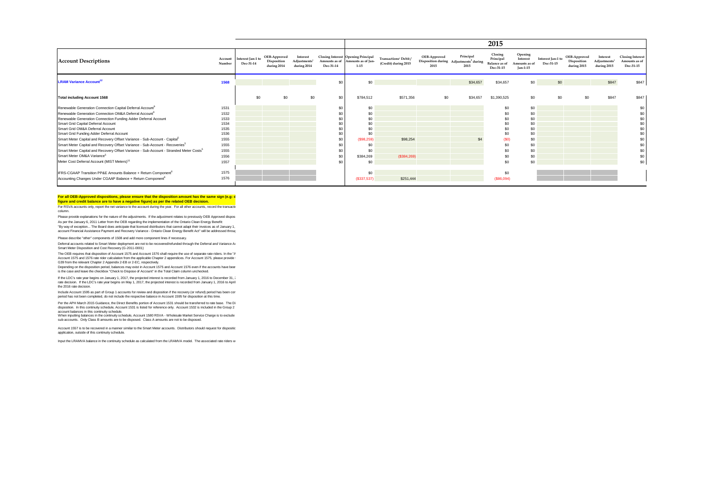|                                                                                                    |                   |                                |                                            |                                                     |                            |                                                                      |                                                           |                      |                                                                         | 2015                                               |                                                         |                                |                                            |                                                     |                                                       |
|----------------------------------------------------------------------------------------------------|-------------------|--------------------------------|--------------------------------------------|-----------------------------------------------------|----------------------------|----------------------------------------------------------------------|-----------------------------------------------------------|----------------------|-------------------------------------------------------------------------|----------------------------------------------------|---------------------------------------------------------|--------------------------------|--------------------------------------------|-----------------------------------------------------|-------------------------------------------------------|
| <b>Account Descriptions</b>                                                                        | Account<br>Number | Interest Jan-1 to<br>Dec-31-14 | OEB-Approved<br>Disposition<br>during 2014 | Interest<br>Adjustments <sup>2</sup><br>during 2014 | Amounts as of<br>Dec-31-14 | Closing Interest Opening Principal<br>Amounts as of Jan-<br>$1 - 15$ | Transactions <sup>1</sup> Debit /<br>(Credit) during 2015 | OEB-Approved<br>2015 | Principal<br>Disposition during Adjustments <sup>2</sup> during<br>2015 | Closing<br>Principal<br>Balance as of<br>Dec-31-15 | Opening<br>Interest<br>Amounts as of<br><b>Jan-1-15</b> | Interest Jan-1 to<br>Dec-31-15 | OEB-Approved<br>Disposition<br>during 2015 | Interest<br>Adjustments <sup>2</sup><br>during 2015 | <b>Closing Interest</b><br>Amounts as of<br>Dec-31-15 |
| <b>LRAM Variance Account<sup>12</sup></b>                                                          | 1568              |                                |                                            |                                                     | \$0                        | \$0                                                                  |                                                           |                      | \$34,657                                                                | \$34,657                                           | \$0                                                     | \$0                            |                                            | \$847                                               | \$847                                                 |
| <b>Total including Account 1568</b>                                                                |                   | \$0                            | \$0                                        | \$0                                                 | \$0                        | \$784,512                                                            | \$571,356                                                 | \$0                  | \$34,657                                                                | \$1,390,525                                        | \$0                                                     | \$0                            | \$0                                        | \$847                                               | \$847                                                 |
| Renewable Generation Connection Capital Deferral Account <sup>9</sup>                              | 1531              |                                |                                            |                                                     | \$0                        | \$0                                                                  |                                                           |                      |                                                                         | \$0                                                | \$0                                                     |                                |                                            |                                                     |                                                       |
| Renewable Generation Connection OM&A Deferral Account                                              | 1532              |                                |                                            |                                                     | \$0                        | \$0                                                                  |                                                           |                      |                                                                         | \$0                                                | \$0                                                     |                                |                                            |                                                     | \$0                                                   |
| Renewable Generation Connection Funding Adder Deferral Account                                     | 1533              |                                |                                            |                                                     |                            | \$0                                                                  |                                                           |                      |                                                                         | \$0                                                | \$0                                                     |                                |                                            |                                                     | \$0                                                   |
| Smart Grid Capital Deferral Account                                                                | 1534              |                                |                                            |                                                     |                            | \$0                                                                  |                                                           |                      |                                                                         | \$0                                                | \$0                                                     |                                |                                            |                                                     | \$0                                                   |
| Smart Grid OM&A Deferral Account                                                                   | 1535              |                                |                                            |                                                     |                            | \$0                                                                  |                                                           |                      |                                                                         | \$0                                                | \$0                                                     |                                |                                            |                                                     | \$0                                                   |
| Smart Grid Funding Adder Deferral Account                                                          | 1536              |                                |                                            |                                                     |                            | \$0                                                                  |                                                           |                      |                                                                         | \$0                                                | \$0                                                     |                                |                                            |                                                     | \$0                                                   |
| Smart Meter Capital and Recovery Offset Variance - Sub-Account - Capital <sup>5</sup>              | 1555              |                                |                                            |                                                     | \$0                        | (S98, 259)                                                           | \$98,254                                                  |                      |                                                                         | (SO)                                               | \$0                                                     |                                |                                            |                                                     | \$0                                                   |
| Smart Meter Capital and Recovery Offset Variance - Sub-Account - Recoveries <sup>5</sup>           | 1555              |                                |                                            |                                                     |                            | \$0                                                                  |                                                           |                      |                                                                         | \$0                                                | \$0                                                     |                                |                                            |                                                     | \$0                                                   |
| Smart Meter Capital and Recovery Offset Variance - Sub-Account - Stranded Meter Costs <sup>5</sup> | 1555              |                                |                                            |                                                     | \$0                        | \$0                                                                  |                                                           |                      |                                                                         | \$0                                                | \$0                                                     |                                |                                            |                                                     | \$0                                                   |
| Smart Meter OM&A Variance <sup>5</sup>                                                             | 1556              |                                |                                            |                                                     | \$0                        | \$384,269                                                            | (\$384,269)                                               |                      |                                                                         | \$0                                                | \$0                                                     |                                |                                            |                                                     | \$0                                                   |
| Meter Cost Deferral Account (MIST Meters) <sup>11</sup>                                            | 1557              |                                |                                            |                                                     | \$0                        | \$0                                                                  |                                                           |                      |                                                                         | \$0                                                | \$0                                                     |                                |                                            |                                                     | \$0                                                   |
| IFRS-CGAAP Transition PP&E Amounts Balance + Return Component <sup>6</sup>                         | 1575              |                                |                                            |                                                     |                            | \$0                                                                  |                                                           |                      |                                                                         | \$0                                                |                                                         |                                |                                            |                                                     |                                                       |
| Accounting Changes Under CGAAP Balance + Return Component <sup>6</sup>                             | 1576              |                                |                                            |                                                     |                            | (S337, 537)                                                          | \$251,444                                                 |                      |                                                                         | (\$86,094)                                         |                                                         |                                |                                            |                                                     |                                                       |

#### For all OEB-Approved dispositions, please ensure that the disposition amount has the same sign (e.g: d **figure and credit balance are to have a negative figure) as per the related OEB decision.**

For RSVA accounts only, report the net variance to the account during the year. For all other accounts, record the transactiv column.

Please provide explanations for the nature of the adjustments. If the adjustment relates to previously OEB Approved disposed amounts for the adjustments of the adjustment relates to previously OEB Approved dispose As per the January 6, 2011 Letter from the OEB regarding the implementation of the Ontainc Clean Energy Benefit<br>"By way of exception... The Board does anticipate that licensed distributors that cannot adapt their invoices account Financial Assistance Payment and Recovery Variance - Ontario Clean Energy Benefit Act" will be addressed through

Please describe "other" components of 1508 and add more component lines if necessary.

Deferral accounts related to Smart Meter deployment are not to be recovered/refunded through the Deferral and Variance Ax<br>Smart Meter Disposition and Cost Recovery (G-2011-0001)

The OEB requires that disposition of Account 1575 and Account 1576 shall require the use of separate rate riders. In the "A Account 1575 and 1576 rate rider calculation from the applicable Chapter 2 appendices. For Account 1575, please provide t<br>G39 from the relevant Chapter 2 Appendix 2-EB or 2-EC, respectively.

Depending on the disposition period, balances may exist in Account 1575 and Account 1576 even if the accounts have beer<br>is the case and leave the checkbox "Check to Dispose of Account" in the Total Claim column unchecked.

if the LDC's rate year begins on January 1, 2017, the projected interest is recorded from January 1, 2016 to December 31, 2<br>rate decision. If the LDC's rate year begins on May 1, 2017, the projected interest is recorded f the 2016 rate decision.

Include Account 1595 as part of Group 1 accounts for review and disposition if the recovery (or refund) period has been con<br>period has not been completed, do not include the respective balance in Account 1595 for dispositi

Per the APH March 2015 Guidance, the Direct Benefits portion of Account 1531 should be transferred to rate base. The Di<br>disposition. In this continuity schedule, Account 1531 is listed for reference only. Account 1532 is i

account balances in this continuity schedule.<br>When inputting balances in the continuity schedule, Account 1580 RSVA - Wholesale Market Service Charge is to exclude sub-accounts. Only Class B amounts are to be disposed. Class A amounts are not to be disposed.

Account 1557 is to be recovered in a manner similar to the Smart Meter accounts. Distributors should request for dispositio application, outside of this continuity schedule.

Input the LRAMVA balance in the continuity schedule as calculated from the LRAMVA model. The associated rate riders w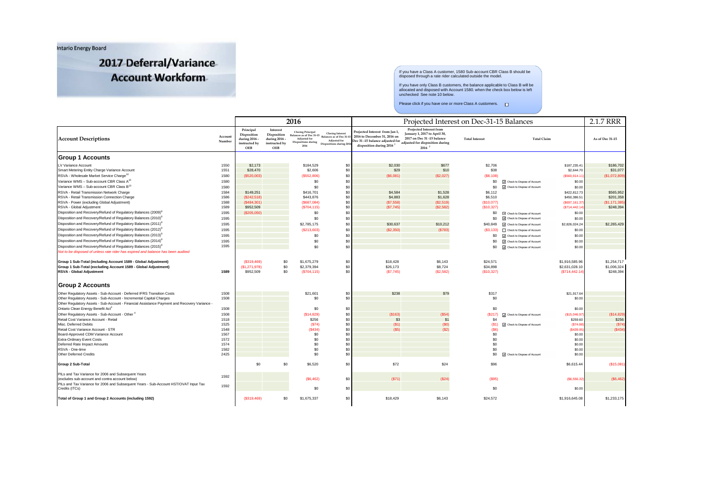Intario Energy Board

2017 Deferral/Variance **Account Workform** 

If you have a Class A customer, 1580 Sub-account CBR Class B should be disposed through a rate rider calculated outside the model.

If you have only Class B customers, the balance applicable to Class B will be allocated and disposed with Account 1580. when the check box below is left unchecked See note 10 below.

#### Please click if you have one or more Class A customers.

|                                                                                                                                                                     |                   |                                                                   |                                                                  | 2016                                                                         |                                                                                                                                                                                                                                                                                     | Projected Interest on Dec-31-15 Balances                                                                                                 |                                                                                                                                   |                                    |                               |                                                   |                                         |
|---------------------------------------------------------------------------------------------------------------------------------------------------------------------|-------------------|-------------------------------------------------------------------|------------------------------------------------------------------|------------------------------------------------------------------------------|-------------------------------------------------------------------------------------------------------------------------------------------------------------------------------------------------------------------------------------------------------------------------------------|------------------------------------------------------------------------------------------------------------------------------------------|-----------------------------------------------------------------------------------------------------------------------------------|------------------------------------|-------------------------------|---------------------------------------------------|-----------------------------------------|
| <b>Account Descriptions</b>                                                                                                                                         | Account<br>Number | Principal<br>Disposition<br>during 2016 -<br>instructed by<br>OEB | Interest<br>Disposition<br>during 2016 -<br>instructed by<br>OEB | <b>Closing Principal</b><br>Balances as of Dec 31-15<br>Adjusted for<br>2016 | <b>Closing Interest</b><br>Balances as of Dec 31-1<br>Adjusted for<br>$\begin{tabular}{ll} Dispositions during & \begin{tabular}{l} \hline \textbf{L} & \textbf{L} & \textbf{L} \\ \textbf{D} & \textbf{L} & \textbf{D} \\ \end{tabular} \end{tabular} \end{tabular} \end{tabular}$ | Projected Interest from Jan 1,<br>2016 to December 31, 2016 on<br>Dec 31-15 balance adjusted for<br>disposition during 2016 <sup>7</sup> | Projected Interest from<br>January 1, 2017 to April 30,<br>2017 on Dec 31-15 balance<br>adjusted for disposition during<br>2016 7 | <b>Total Interest</b>              | <b>Total Claim</b>            |                                                   | As of Dec 31-15                         |
| <b>Group 1 Accounts</b>                                                                                                                                             |                   |                                                                   |                                                                  |                                                                              |                                                                                                                                                                                                                                                                                     |                                                                                                                                          |                                                                                                                                   |                                    |                               |                                                   |                                         |
| LV Variance Account                                                                                                                                                 | 1550              | \$2,173                                                           |                                                                  | \$184,529                                                                    | \$0                                                                                                                                                                                                                                                                                 | \$2,030                                                                                                                                  | \$677                                                                                                                             | \$2,706                            |                               | \$187,235.41                                      | \$186,702                               |
| Smart Metering Entity Charge Variance Account                                                                                                                       | 1551              | \$28,470                                                          |                                                                  | \$2,606                                                                      | \$0                                                                                                                                                                                                                                                                                 | \$29                                                                                                                                     | \$10                                                                                                                              | \$38                               |                               | \$2,644.70                                        | \$31,077                                |
| RSVA - Wholesale Market Service Charge <sup>10</sup>                                                                                                                | 1580              | (\$520,003)                                                       |                                                                  | (S552, 806)                                                                  | \$0                                                                                                                                                                                                                                                                                 | (S6,081)                                                                                                                                 | (S2,027)                                                                                                                          | (S8, 108)                          |                               | (\$560,914.11                                     | (\$1,072,809                            |
| Variance WMS - Sub-account CBR Class A <sup>10</sup>                                                                                                                | 1580              |                                                                   |                                                                  | \$0                                                                          | \$0                                                                                                                                                                                                                                                                                 |                                                                                                                                          |                                                                                                                                   | \$0                                | T Check to Dispose of Account | \$0.00                                            |                                         |
| Variance WMS - Sub-account CBR Class B <sup>10</sup>                                                                                                                | 1580              |                                                                   |                                                                  | \$0                                                                          | \$0                                                                                                                                                                                                                                                                                 |                                                                                                                                          |                                                                                                                                   | \$0                                | T Check to Dispose of Account | \$0.00                                            |                                         |
| RSVA - Retail Transmission Network Charge                                                                                                                           | 1584              | \$149,251                                                         |                                                                  | \$416,701                                                                    | \$0                                                                                                                                                                                                                                                                                 | \$4,584                                                                                                                                  | \$1,528                                                                                                                           | \$6,112                            |                               | \$422,812.73                                      | \$565,952                               |
| RSVA - Retail Transmission Connection Charge                                                                                                                        | 1586              | (\$242,518)                                                       |                                                                  | \$443,876                                                                    | \$0                                                                                                                                                                                                                                                                                 | \$4,883                                                                                                                                  | \$1,628                                                                                                                           | \$6,510                            |                               | \$450,386.51                                      | \$201,358                               |
| RSVA - Power (excluding Global Adjustment)                                                                                                                          | 1588              | (\$484,301)                                                       |                                                                  | (\$687,084)                                                                  | \$0                                                                                                                                                                                                                                                                                 | (\$7,558)                                                                                                                                | (\$2,519)                                                                                                                         | (S10, 077)                         |                               | (\$697,161.37                                     | (\$1, 171, 385                          |
| RSVA - Global Adjustment                                                                                                                                            | 1589              | \$952,509                                                         |                                                                  | (S704, 115)                                                                  | \$0                                                                                                                                                                                                                                                                                 | (S7, 745)                                                                                                                                | (S2, 582)                                                                                                                         | (S10, 327)                         |                               | (\$714,442.14)                                    | \$248,394                               |
| Disposition and Recovery/Refund of Regulatory Balances (2009) <sup>8</sup>                                                                                          | 1595              | (\$205,050)                                                       |                                                                  | \$0                                                                          | \$0                                                                                                                                                                                                                                                                                 |                                                                                                                                          |                                                                                                                                   | \$0                                | Check to Dispose of Account   | \$0.00                                            |                                         |
| Disposition and Recovery/Refund of Regulatory Balances (2010) <sup>8</sup>                                                                                          | 1595              |                                                                   |                                                                  | \$0                                                                          | \$0                                                                                                                                                                                                                                                                                 |                                                                                                                                          |                                                                                                                                   | \$0                                | T Check to Dispose of Account | \$0.00                                            |                                         |
| Disposition and Recovery/Refund of Regulatory Balances (2011) <sup>8</sup>                                                                                          | 1595              |                                                                   |                                                                  | \$2,785,175                                                                  | \$0                                                                                                                                                                                                                                                                                 | \$30,637                                                                                                                                 | \$10,212                                                                                                                          | \$40,849                           | Check to Dispose of Account   | \$2,826,024.24                                    | \$2,265,429                             |
| Disposition and Recovery/Refund of Regulatory Balances (2012) <sup>8</sup>                                                                                          | 1595              |                                                                   |                                                                  | (S213,603)                                                                   | \$0                                                                                                                                                                                                                                                                                 | (S2, 350)                                                                                                                                | (S783)                                                                                                                            | (S3, 133)                          | Check to Dispose of Account   | \$0.00                                            |                                         |
| Disposition and Recovery/Refund of Regulatory Balances (2013) <sup>8</sup>                                                                                          | 1595              |                                                                   |                                                                  | \$0                                                                          | \$0                                                                                                                                                                                                                                                                                 |                                                                                                                                          |                                                                                                                                   | \$0                                | Check to Dispose of Account   | \$0.00                                            |                                         |
| Disposition and Recovery/Refund of Regulatory Balances (2014) <sup>8</sup>                                                                                          | 1595              |                                                                   |                                                                  | \$0                                                                          | \$0                                                                                                                                                                                                                                                                                 |                                                                                                                                          |                                                                                                                                   |                                    |                               |                                                   |                                         |
|                                                                                                                                                                     | 1595              |                                                                   |                                                                  |                                                                              |                                                                                                                                                                                                                                                                                     |                                                                                                                                          |                                                                                                                                   | \$0                                | Check to Dispose of Account   | \$0.00                                            |                                         |
| Disposition and Recovery/Refund of Regulatory Balances (2015) <sup>8</sup><br>Not to be disposed of unless rate rider has expired and balance has been audited      |                   |                                                                   |                                                                  | \$0                                                                          | \$0                                                                                                                                                                                                                                                                                 |                                                                                                                                          |                                                                                                                                   | \$0                                | T Check to Dispose of Account | \$0.00                                            |                                         |
|                                                                                                                                                                     |                   |                                                                   |                                                                  |                                                                              |                                                                                                                                                                                                                                                                                     |                                                                                                                                          |                                                                                                                                   |                                    |                               |                                                   |                                         |
| Group 1 Sub-Total (including Account 1589 - Global Adjustment)<br>Group 1 Sub-Total (excluding Account 1589 - Global Adjustment)<br><b>RSVA - Global Adiustment</b> | 1589              | (\$319,469)<br>(S1, 271, 978)<br>\$952.509                        | \$0<br>\$0<br>\$0                                                | \$1,675,279<br>\$2,379,394<br>(S704, 115)                                    | \$0<br>\$0<br>\$0                                                                                                                                                                                                                                                                   | \$18,428<br>\$26,173<br>(S7, 745)                                                                                                        | \$6.143<br>\$8,724<br>(S2, 582)                                                                                                   | \$24,571<br>\$34,898<br>(S10, 327) |                               | \$1,916,585,96<br>\$2,631,028.10<br>(\$714,442.14 | \$1,254,717<br>\$1,006,324<br>\$248,394 |
| <b>Group 2 Accounts</b>                                                                                                                                             |                   |                                                                   |                                                                  |                                                                              |                                                                                                                                                                                                                                                                                     |                                                                                                                                          |                                                                                                                                   |                                    |                               |                                                   |                                         |
| Other Regulatory Assets - Sub-Account - Deferred IFRS Transition Costs                                                                                              | 1508              |                                                                   |                                                                  | \$21,601                                                                     | \$0                                                                                                                                                                                                                                                                                 | \$238                                                                                                                                    | \$79                                                                                                                              | \$317                              |                               | \$21,917.64                                       |                                         |
| Other Regulatory Assets - Sub-Account - Incremental Capital Charges                                                                                                 | 1508              |                                                                   |                                                                  | \$0                                                                          | \$0                                                                                                                                                                                                                                                                                 |                                                                                                                                          |                                                                                                                                   | \$0                                |                               | \$0.00                                            |                                         |
| Other Regulatory Assets - Sub-Account - Financial Assistance Payment and Recovery Variance -                                                                        |                   |                                                                   |                                                                  |                                                                              |                                                                                                                                                                                                                                                                                     |                                                                                                                                          |                                                                                                                                   |                                    |                               |                                                   |                                         |
| Ontario Clean Energy Benefit Act <sup>3</sup>                                                                                                                       | 1508              |                                                                   |                                                                  | \$0                                                                          | \$0                                                                                                                                                                                                                                                                                 |                                                                                                                                          |                                                                                                                                   | \$0                                |                               | \$0.00                                            |                                         |
| Other Regulatory Assets - Sub-Account - Other                                                                                                                       | 1508              |                                                                   |                                                                  | (\$14,829)                                                                   | \$0                                                                                                                                                                                                                                                                                 | (S163)                                                                                                                                   | (S54)                                                                                                                             | (S217)                             | Check to Dispose of Account   | (\$15,046.97                                      | (S14, 829)                              |
| Retail Cost Variance Account - Retail                                                                                                                               | 1518              |                                                                   |                                                                  | \$256                                                                        | \$0                                                                                                                                                                                                                                                                                 | \$3                                                                                                                                      | \$1                                                                                                                               | \$4                                |                               | \$259.60                                          | \$256                                   |
| Misc. Deferred Debits                                                                                                                                               | 1525              |                                                                   |                                                                  | (S74)                                                                        | \$0                                                                                                                                                                                                                                                                                 | (S1)                                                                                                                                     | (SO)                                                                                                                              | (S1)                               | Check to Dispose of Account   | (S74.88)                                          | (\$74)                                  |
| Retail Cost Variance Account - STR                                                                                                                                  | 1548              |                                                                   |                                                                  | (\$434)                                                                      | \$0                                                                                                                                                                                                                                                                                 | (S5)                                                                                                                                     | (S2)                                                                                                                              | (S6)                               |                               | (\$439.95                                         | (S434)                                  |
| Board-Approved CDM Variance Account                                                                                                                                 | 1567              |                                                                   |                                                                  | \$0                                                                          | \$0                                                                                                                                                                                                                                                                                 |                                                                                                                                          |                                                                                                                                   | \$0                                |                               | \$0.00                                            |                                         |
| <b>Extra-Ordinary Event Costs</b>                                                                                                                                   | 1572              |                                                                   |                                                                  | \$0                                                                          | \$0                                                                                                                                                                                                                                                                                 |                                                                                                                                          |                                                                                                                                   | \$0                                |                               | \$0.00                                            |                                         |
| Deferred Rate Impact Amounts                                                                                                                                        | 1574              |                                                                   |                                                                  | \$0                                                                          | \$0                                                                                                                                                                                                                                                                                 |                                                                                                                                          |                                                                                                                                   | \$0                                |                               | \$0.00                                            |                                         |
| RSVA - One-time<br>Other Deferred Credits                                                                                                                           | 1582<br>2425      |                                                                   |                                                                  | \$0<br>\$0                                                                   | \$0<br>\$0                                                                                                                                                                                                                                                                          |                                                                                                                                          |                                                                                                                                   | \$0<br>\$0                         |                               | \$0.00                                            |                                         |
|                                                                                                                                                                     |                   |                                                                   |                                                                  |                                                                              |                                                                                                                                                                                                                                                                                     |                                                                                                                                          |                                                                                                                                   |                                    | Check to Dispose of Account   | \$0.00                                            |                                         |
| Group 2 Sub-Total                                                                                                                                                   |                   | \$0                                                               | \$0                                                              | \$6,520                                                                      | \$0                                                                                                                                                                                                                                                                                 | \$72                                                                                                                                     | \$24                                                                                                                              | \$96                               |                               | \$6,615.44                                        | (S15,081)                               |
| PILs and Tax Variance for 2006 and Subsequent Years<br>(excludes sub-account and contra account below)                                                              | 1592              |                                                                   |                                                                  | (S6, 462)                                                                    | \$0                                                                                                                                                                                                                                                                                 | (S71)                                                                                                                                    | (S24)                                                                                                                             | (S95)                              |                               | (S6, 556.32)                                      | (\$6,462                                |
| PILs and Tax Variance for 2006 and Subsequent Years - Sub-Account HST/OVAT Input Tax                                                                                |                   |                                                                   |                                                                  |                                                                              |                                                                                                                                                                                                                                                                                     |                                                                                                                                          |                                                                                                                                   |                                    |                               |                                                   |                                         |
| Credits (ITCs)                                                                                                                                                      | 1592              |                                                                   |                                                                  | \$0                                                                          | \$0                                                                                                                                                                                                                                                                                 |                                                                                                                                          |                                                                                                                                   | \$0                                |                               | \$0.00                                            |                                         |
| Total of Group 1 and Group 2 Accounts (including 1592)                                                                                                              |                   | (\$319,469)                                                       | \$0                                                              | \$1,675,337                                                                  | \$0                                                                                                                                                                                                                                                                                 | \$18,429                                                                                                                                 | \$6,143                                                                                                                           | \$24,572                           |                               | \$1,916,645.08                                    | \$1,233,175                             |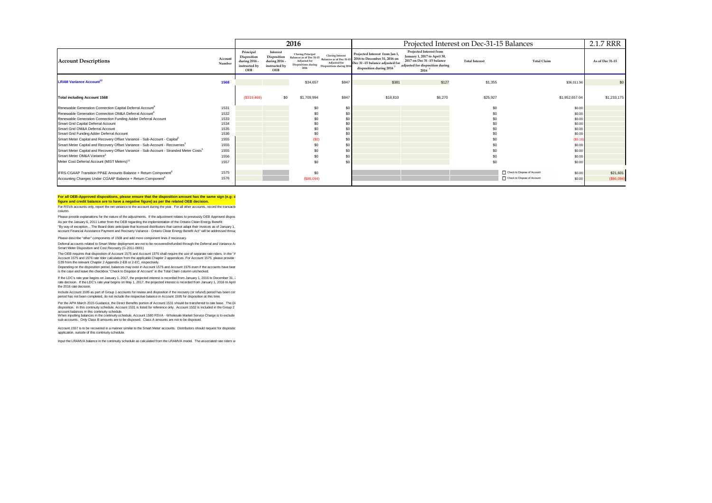|                                                                                                    |                   | 2016                                                                     |                                                                  |                                                                                                                            |                                          |                                                                                                                                          | Projected Interest on Dec-31-15 Balances                                                                                                              |                       |                                       | 2.1.7 RRR       |
|----------------------------------------------------------------------------------------------------|-------------------|--------------------------------------------------------------------------|------------------------------------------------------------------|----------------------------------------------------------------------------------------------------------------------------|------------------------------------------|------------------------------------------------------------------------------------------------------------------------------------------|-------------------------------------------------------------------------------------------------------------------------------------------------------|-----------------------|---------------------------------------|-----------------|
| <b>Account Descriptions</b>                                                                        | Account<br>Number | Principal<br>Disposition<br>during 2016 -<br>instructed by<br><b>OEB</b> | Interest<br>Disposition<br>during 2016 -<br>instructed by<br>OEB | <b>Closing Principal</b><br>Balances as of Dec 31-15 Balances as of Dec 31-<br>Adjusted for<br>Dispositions during<br>2016 | Adjusted for<br>Dispositions during 2016 | Projected Interest from Jan 1,<br>2016 to December 31, 2016 on<br>Dec 31-15 balance adjusted for<br>disposition during 2016 <sup>7</sup> | <b>Projected Interest from</b><br>January 1, 2017 to April 30,<br>2017 on Dec 31-15 balance<br>adjusted for disposition during<br>$2016$ <sup>7</sup> | <b>Total Interest</b> | <b>Total Claim</b>                    | As of Dec 31-15 |
| <b>LRAM Variance Account<sup>12</sup></b>                                                          | 1568              |                                                                          |                                                                  | \$34,657                                                                                                                   | \$847                                    | \$381                                                                                                                                    | \$127                                                                                                                                                 | \$1,355               | \$36,011.96                           | \$0             |
|                                                                                                    |                   |                                                                          |                                                                  |                                                                                                                            |                                          |                                                                                                                                          |                                                                                                                                                       |                       |                                       |                 |
| <b>Total including Account 1568</b>                                                                |                   | (\$319,469)                                                              | \$0                                                              | \$1,709,994                                                                                                                | \$847                                    | \$18,810                                                                                                                                 | \$6,270                                                                                                                                               | \$25,927              | \$1,952,657.04                        | \$1,233,175     |
| Renewable Generation Connection Capital Deferral Account <sup>9</sup>                              | 1531              |                                                                          |                                                                  | \$0                                                                                                                        | \$0                                      |                                                                                                                                          |                                                                                                                                                       | \$ſ                   | \$0.00                                |                 |
| Renewable Generation Connection OM&A Deferral Account                                              | 1532              |                                                                          |                                                                  | \$0                                                                                                                        | \$0                                      |                                                                                                                                          |                                                                                                                                                       |                       | \$0.00                                |                 |
| Renewable Generation Connection Funding Adder Deferral Account                                     | 1533              |                                                                          |                                                                  | \$0                                                                                                                        | \$0                                      |                                                                                                                                          |                                                                                                                                                       |                       | \$0.00                                |                 |
| Smart Grid Capital Deferral Account                                                                | 1534              |                                                                          |                                                                  | \$0                                                                                                                        | \$0                                      |                                                                                                                                          |                                                                                                                                                       |                       | \$0.00                                |                 |
| Smart Grid OM&A Deferral Account                                                                   | 1535              |                                                                          |                                                                  | \$0                                                                                                                        | \$0                                      |                                                                                                                                          |                                                                                                                                                       |                       | \$0.00                                |                 |
| Smart Grid Funding Adder Deferral Account                                                          | 1536              |                                                                          |                                                                  | \$0                                                                                                                        | \$0                                      |                                                                                                                                          |                                                                                                                                                       |                       | \$0.00                                |                 |
| Smart Meter Capital and Recovery Offset Variance - Sub-Account - Capital <sup>5</sup>              | 1555              |                                                                          |                                                                  | (SO)                                                                                                                       | \$0                                      |                                                                                                                                          |                                                                                                                                                       |                       | (S0.18)                               |                 |
| Smart Meter Capital and Recovery Offset Variance - Sub-Account - Recoveries <sup>5</sup>           | 1555              |                                                                          |                                                                  | \$0                                                                                                                        | \$0                                      |                                                                                                                                          |                                                                                                                                                       |                       | \$0.00                                |                 |
| Smart Meter Capital and Recovery Offset Variance - Sub-Account - Stranded Meter Costs <sup>5</sup> | 1555              |                                                                          |                                                                  | \$0                                                                                                                        | \$0                                      |                                                                                                                                          |                                                                                                                                                       |                       | \$0.00                                |                 |
| Smart Meter OM&A Variance <sup>5</sup>                                                             | 1556              |                                                                          |                                                                  | \$0                                                                                                                        | \$0                                      |                                                                                                                                          |                                                                                                                                                       |                       | \$0.00                                |                 |
| Meter Cost Deferral Account (MIST Meters) <sup>11</sup>                                            | 1557              |                                                                          |                                                                  | \$0                                                                                                                        | \$0                                      |                                                                                                                                          |                                                                                                                                                       |                       | \$0.00                                |                 |
| IFRS-CGAAP Transition PP&E Amounts Balance + Return Component <sup>6</sup>                         | 1575              |                                                                          |                                                                  | \$0                                                                                                                        |                                          |                                                                                                                                          |                                                                                                                                                       |                       | Check to Dispose of Account<br>\$0.00 | \$21,601        |
| Accounting Changes Under CGAAP Balance + Return Component <sup>6</sup>                             | 1576              |                                                                          |                                                                  | (\$86,094)                                                                                                                 |                                          |                                                                                                                                          |                                                                                                                                                       |                       | Check to Dispose of Account<br>\$0.00 | (\$86,094)      |
|                                                                                                    |                   |                                                                          |                                                                  |                                                                                                                            |                                          |                                                                                                                                          |                                                                                                                                                       |                       |                                       |                 |

#### For all OEB-Approved dispositions, please ensure that the disposition amount has the same sign (e.g: d **figure and credit balance are to have a negative figure) as per the related OEB decision.**

For RSVA accounts only, report the net variance to the account during the year. For all other accounts, record the transactiv column.

Please provide explanations for the nature of the adjustments. If the adjustment relates to previously OEB Approved disposed amounts for the adjustments of the adjustment relates to previously OEB Approved dispose As per the January 6, 2011 Letter from the OEB regarding the implementation of the Ontainc Clean Energy Benefit<br>"By way of exception... The Board does anticipate that licensed distributors that cannot adapt their invoices account Financial Assistance Payment and Recovery Variance - Ontario Clean Energy Benefit Act" will be addressed through

Please describe "other" components of 1508 and add more component lines if necessary.

Deferral accounts related to Smart Meter deployment are not to be recovered/refunded through the Deferral and Variance Ax<br>Smart Meter Disposition and Cost Recovery (G-2011-0001)

The OEB requires that disposition of Account 1575 and Account 1576 shall require the use of separate rate riders. In the "A Account 1575 and 1576 rate rider calculation from the applicable Chapter 2 appendices. For Account 1575, please provide t<br>G39 from the relevant Chapter 2 Appendix 2-EB or 2-EC, respectively.

Depending on the disposition period, balances may exist in Account 1575 and Account 1576 even if the accounts have beer<br>is the case and leave the checkbox "Check to Dispose of Account" in the Total Claim column unchecked.

if the LDC's rate year begins on January 1, 2017, the projected interest is recorded from January 1, 2016 to December 31, 2<br>rate decision. If the LDC's rate year begins on May 1, 2017, the projected interest is recorded f the 2016 rate decision.

Include Account 1595 as part of Group 1 accounts for review and disposition if the recovery (or refund) period has been con<br>period has not been completed, do not include the respective balance in Account 1595 for dispositi

Per the APH March 2015 Guidance, the Direct Benefits portion of Account 1531 should be transferred to rate base. The Di<br>disposition. In this continuity schedule, Account 1531 is listed for reference only. Account 1532 is i

account balances in this continuity schedule.<br>When inputting balances in the continuity schedule, Account 1580 RSVA - Wholesale Market Service Charge is to exclude sub-accounts. Only Class B amounts are to be disposed. Class A amounts are not to be disposed.

Account 1557 is to be recovered in a manner similar to the Smart Meter accounts. Distributors should request for dispositio application, outside of this continuity schedule.

Input the LRAMVA balance in the continuity schedule as calculated from the LRAMVA model. The associated rate riders w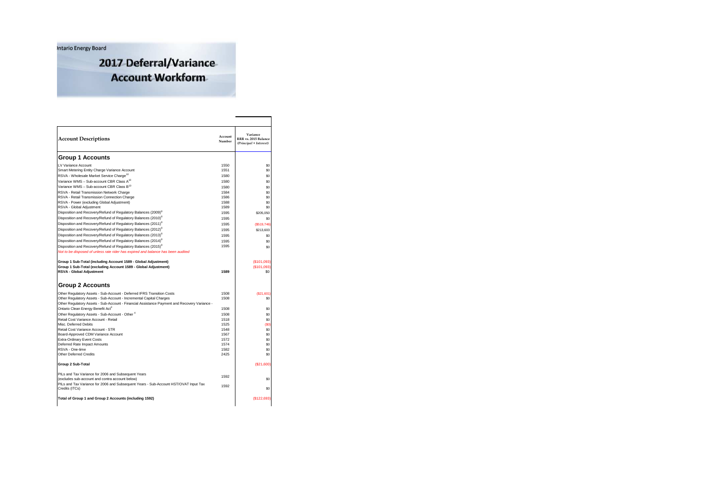**Intario Energy Board** 

2017 Deferral/Variance **Account Workform** 

| <b>Account Descriptions</b>                                                                            | Account<br>Number | Variance<br>RRR vs. 2015 Balance<br>(Principal + Interest) |
|--------------------------------------------------------------------------------------------------------|-------------------|------------------------------------------------------------|
| <b>Group 1 Accounts</b>                                                                                |                   |                                                            |
| LV Variance Account                                                                                    | 1550              | S <sub>0</sub>                                             |
| Smart Metering Entity Charge Variance Account                                                          | 1551              | \$0                                                        |
| RSVA - Wholesale Market Service Charge <sup>10</sup>                                                   | 1580              | \$0                                                        |
| Variance WMS - Sub-account CBR Class A <sup>10</sup>                                                   | 1580              | S <sub>0</sub>                                             |
| Variance WMS - Sub-account CBR Class B <sup>10</sup>                                                   | 1580              | S <sub>0</sub>                                             |
| RSVA - Retail Transmission Network Charge                                                              | 1584              | \$0                                                        |
| RSVA - Retail Transmission Connection Charge                                                           | 1586              | \$0                                                        |
| RSVA - Power (excluding Global Adjustment)                                                             | 1588              | \$0                                                        |
| RSVA - Global Adjustment                                                                               | 1589              | \$0                                                        |
| Disposition and Recovery/Refund of Regulatory Balances (2009) <sup>8</sup>                             | 1595              | \$205,050                                                  |
| Disposition and Recovery/Refund of Regulatory Balances (2010) <sup>8</sup>                             | 1595              | S <sub>0</sub>                                             |
| Disposition and Recovery/Refund of Regulatory Balances (2011) <sup>8</sup>                             | 1595              | (\$519,746)                                                |
| Disposition and Recovery/Refund of Regulatory Balances (2012) <sup>8</sup>                             | 1595              | \$213,603                                                  |
| Disposition and Recovery/Refund of Regulatory Balances (2013) <sup>8</sup>                             | 1595              | \$0                                                        |
| Disposition and Recovery/Refund of Regulatory Balances (2014) <sup>8</sup>                             | 1595              | \$0                                                        |
| Disposition and Recovery/Refund of Regulatory Balances (2015) <sup>8</sup>                             | 1595              | S <sub>0</sub>                                             |
| Not to be disposed of unless rate rider has expired and balance has been audited                       |                   |                                                            |
|                                                                                                        |                   |                                                            |
| Group 1 Sub-Total (including Account 1589 - Global Adjustment)                                         |                   | (\$101.093)                                                |
| Group 1 Sub-Total (excluding Account 1589 - Global Adjustment)                                         |                   | (\$101,093                                                 |
| RSVA - Global Adjustment                                                                               | 1589              | \$0                                                        |
| <b>Group 2 Accounts</b>                                                                                |                   |                                                            |
| Other Regulatory Assets - Sub-Account - Deferred IFRS Transition Costs                                 | 1508              | (\$21.601)                                                 |
| Other Regulatory Assets - Sub-Account - Incremental Capital Charges                                    | 1508              | \$0                                                        |
| Other Regulatory Assets - Sub-Account - Financial Assistance Payment and Recovery Variance -           |                   |                                                            |
| Ontario Clean Energy Benefit Act <sup>3</sup>                                                          | 1508              | \$0                                                        |
| Other Regulatory Assets - Sub-Account - Other <sup>4</sup>                                             | 1508              | S <sub>0</sub>                                             |
| Retail Cost Variance Account - Retail                                                                  | 1518              | S <sub>0</sub>                                             |
| Misc. Deferred Debits                                                                                  | 1525              | (S <sub>0</sub> )                                          |
| Retail Cost Variance Account - STR                                                                     | 1548              | \$0                                                        |
| Board-Approved CDM Variance Account                                                                    | 1567              | \$0                                                        |
| <b>Extra-Ordinary Event Costs</b>                                                                      | 1572              | S <sub>0</sub>                                             |
| Deferred Rate Impact Amounts<br>RSVA - One-time                                                        | 1574<br>1582      | \$0<br>S <sub>0</sub>                                      |
| Other Deferred Credits                                                                                 | 2425              | S <sub>0</sub>                                             |
| Group 2 Sub-Total                                                                                      |                   | (S21,600)                                                  |
| PILs and Tax Variance for 2006 and Subsequent Years                                                    | 1592              |                                                            |
| (excludes sub-account and contra account below)                                                        |                   | S <sub>0</sub>                                             |
| PILs and Tax Variance for 2006 and Subsequent Years - Sub-Account HST/OVAT Input Tax<br>Credits (ITCs) | 1592              | S <sub>0</sub>                                             |
| Total of Group 1 and Group 2 Accounts (including 1592)                                                 |                   | (\$122,693                                                 |
|                                                                                                        |                   |                                                            |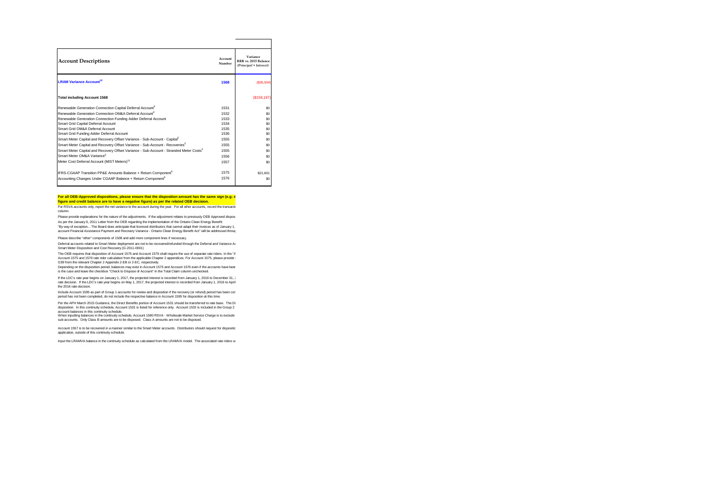| <b>Account Descriptions</b>                                                                        | Account<br>Number | Variance<br>RRR vs. 2015 Balance<br>(Principal + Interest) |
|----------------------------------------------------------------------------------------------------|-------------------|------------------------------------------------------------|
| <b>LRAM Variance Account<sup>12</sup></b>                                                          | 1568              | (\$35,504)                                                 |
| <b>Total including Account 1568</b>                                                                |                   | (\$158, 197)                                               |
| Renewable Generation Connection Capital Deferral Account <sup>9</sup>                              | 1531              | S <sub>0</sub>                                             |
| Renewable Generation Connection OM&A Deferral Account <sup>9</sup>                                 | 1532              | S <sub>0</sub>                                             |
| Renewable Generation Connection Funding Adder Deferral Account                                     | 1533              | S <sub>0</sub>                                             |
| Smart Grid Capital Deferral Account                                                                | 1534              | S <sub>0</sub>                                             |
| Smart Grid OM&A Deferral Account                                                                   | 1535              | S <sub>0</sub>                                             |
| Smart Grid Funding Adder Deferral Account                                                          | 1536              | S <sub>0</sub>                                             |
| Smart Meter Capital and Recovery Offset Variance - Sub-Account - Capital <sup>5</sup>              | 1555              | S <sub>0</sub>                                             |
| Smart Meter Capital and Recovery Offset Variance - Sub-Account - Recoveries <sup>5</sup>           | 1555              | S <sub>0</sub>                                             |
| Smart Meter Capital and Recovery Offset Variance - Sub-Account - Stranded Meter Costs <sup>5</sup> | 1555              | S <sub>0</sub>                                             |
| Smart Meter OM&A Variance <sup>5</sup>                                                             | 1556              | S <sub>0</sub>                                             |
| Meter Cost Deferral Account (MIST Meters) <sup>11</sup>                                            | 1557              | S <sub>0</sub>                                             |
| IFRS-CGAAP Transition PP&E Amounts Balance + Return Component <sup>6</sup>                         | 1575              | \$21.601                                                   |
| Accounting Changes Under CGAAP Balance + Return Component <sup>6</sup>                             | 1576              | S <sub>0</sub>                                             |

#### For all OEB-Approved dispositions, please ensure that the disposition amount has the same sign (e.g: d **figure and credit balance are to have a negative figure) as per the related OEB decision.**

For RSVA accounts only, report the net variance to the account during the year. For all other accounts, record the transactions column.

Please provide explanations for the nature of the adjustments. If the adjustment relates to previously OEB Approved disposed amounts for the adjustments of the adjustment relates to previously OEB Approved dispose As per the January 6, 2011 Letter from the OEB regarding the implementation of the Ontainc Clean Energy Benefit<br>"By way of exception... The Board does anticipate that licensed distributors that cannot adapt their invoices

Please describe "other" components of 1508 and add more component lines if necessary. account Financial Assistance Payment and Recovery Variance - Ontario Clean Energy Benefit Act" will be addressed through

Deferral accounts related to Smart Meter deployment are not to be recovered/refunded through the Deferral and Variance Ar Smart Meter Disposition and Cost Recovery (G-2011-0001)

The OEB requires that disposition of Account 1575 and Account 1576 shall require the use of separate rate riders. In the "A Account 1575 and 1576 rate rider calculation from the applicable Chapter 2 appendices. For Account 1575, please provide t<br>G39 from the relevant Chapter 2 Appendix 2-EB or 2-EC, respectively.

Depending on the disposition period, balances may exist in Account 1575 and Account 1576 even if the accounts have beer is the case and leave the checkbox "Check to Dispose of Account" in the Total Claim column unchecked.

if the LDC's rate year begins on January 1, 2017, the projected interest is recorded from January 1, 2016 to December 31, 2<br>rate decision. If the LDC's rate year begins on May 1, 2017, the projected interest is recorded f the 2016 rate decision.

Include Account 1595 as part of Group 1 accounts for review and disposition if the recovery (or refund) period has been con<br>period has not been completed, do not include the respective balance in Account 1595 for dispositi

Per the APH March 2015 Guidance, the Direct Benefits portion of Account 1531 should be transferred to rate base. The Di<br>disposition. In this continuity schedule, Account 1531 is listed for reference only. Account 1532 is i

account balances in this continuity schedule.<br>When inputting balances in the continuity schedule, Account 1580 RSVA - Wholesale Market Service Charge is to exclude sub-accounts. Only Class B amounts are to be disposed. Class A amounts are not to be disposed.

Account 1557 is to be recovered in a manner similar to the Smart Meter accounts. Distributors should request for dispositio application, outside of this continuity schedule.

Input the LRAMVA balance in the continuity schedule as calculated from the LRAMVA model. The associated rate riders w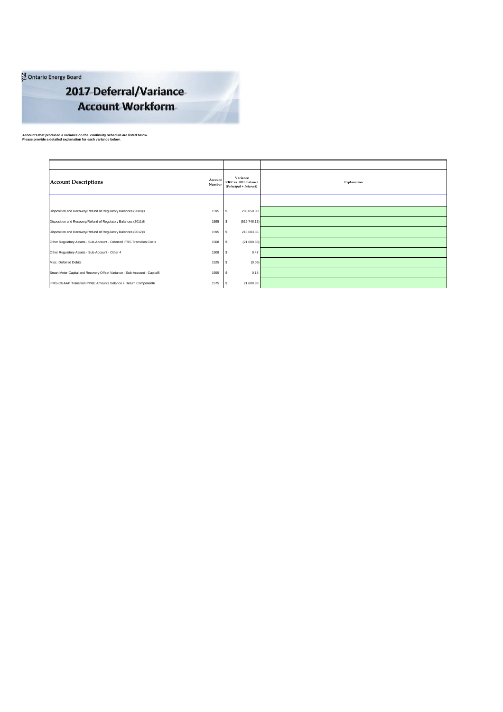Ontario Energy Board

# 2017 Deferral/Variance **Account Workform**

**Accounts that produced a variance on the continuity schedule are listed below. Please provide a detailed explanation for each variance below.**

**Canadian Niagara Power Inc. - Eastern Ontario Power**

| <b>Account Descriptions</b>                                               | Account<br>Number | Variance<br>RRR vs. 2015 Balance<br>(Principal + Interest) | Explanation |
|---------------------------------------------------------------------------|-------------------|------------------------------------------------------------|-------------|
|                                                                           |                   |                                                            |             |
| Disposition and Recovery/Refund of Regulatory Balances (2009)8            | 1595              | 205,050.00                                                 |             |
| Disposition and Recovery/Refund of Regulatory Balances (2011)8            | 1595              | (519, 746.13)                                              |             |
| Disposition and Recovery/Refund of Regulatory Balances (2012)8            | 1595              | 213,603.36                                                 |             |
| Other Regulatory Assets - Sub-Account - Deferred IFRS Transition Costs    | 1508              | (21,600.83)                                                |             |
| Other Regulatory Assets - Sub-Account - Other 4                           | 1508              | 0.47                                                       |             |
| Misc. Deferred Debits                                                     | 1525              | (0.05)                                                     |             |
| Smart Meter Capital and Recovery Offset Variance - Sub-Account - Capital5 | 1555              | 0.18                                                       |             |
| IFRS-CGAAP Transition PP&E Amounts Balance + Return Component6            | 1575              | 21,600.83                                                  |             |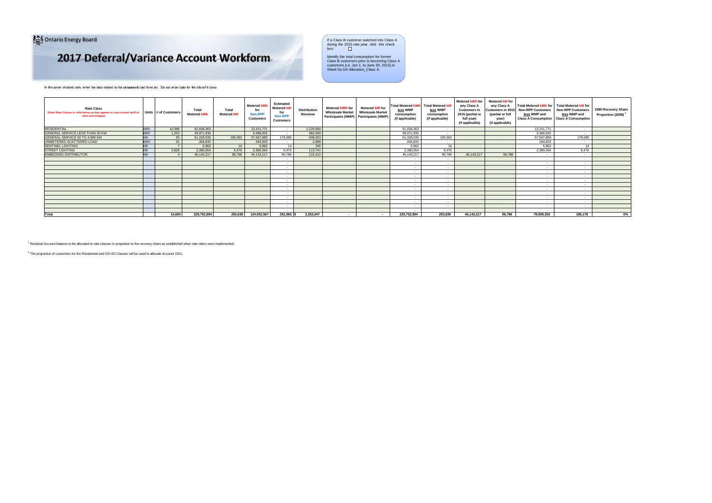Ontario Energy Board

# 2017 Deferral/Variance Account Workform

Ontario Energy Board<br> **Ontario Energy Board**<br>
State year, click this check<br>
The Class B customer switched into Class A<br>
ox: <u>The Class A</u>

Identify the total consumption for former Class B customers prior to becoming Class A customers (i.e. Jan 1. to June 30, 2015) in Sheet 5a GA Allocation\_Class A.

In the green shaded cells, enter the data related to the **proposed** load forecast. Do not enter data for the MicroFit class.

| <b>Rate Class</b><br>(Enter Rate Classes in cells below as they appear on your current tariff of<br>rates and charges) | Units # of Customers | Total<br><b>Metered kWh</b> | Total<br><b>Metered kW</b> | <b>Metered kWI</b><br>for<br>Non-RP<br><b>Customers</b> | Estimated<br><b>Metered kW</b><br>for<br>Non-RPP<br>Customers | <b>Distribution</b><br>Revenue | Metered kWh for<br><b>Wholesale Market</b><br>Participants (WMP) Participants (WMP) | Metered kW for<br><b>Wholesale Market</b> | <b>Total Metered kWh</b><br>less WMP<br>consumption<br>(if applicable) | <b>Total Metered kW</b><br>less WMP<br>consumption<br>(if applicable) | Metered kWh for<br>any Class A<br><b>Customers in</b><br>2015 (partial or<br>full year)<br>(if applicable) | Metered kW for<br>any Class A<br>Customers in 2015<br>(partial or full<br>year)<br>(if applicable) | Total Metered kWh for Total Metered kW for<br><b>Non-RPP Customers</b><br>less WMP and<br><b>Class A Consumption Class A Consumption</b> | <b>Non-RPP Customers</b><br>less WMP and | 1595 Recovery Share<br>Proportion (2009) <sup>1</sup> |
|------------------------------------------------------------------------------------------------------------------------|----------------------|-----------------------------|----------------------------|---------------------------------------------------------|---------------------------------------------------------------|--------------------------------|-------------------------------------------------------------------------------------|-------------------------------------------|------------------------------------------------------------------------|-----------------------------------------------------------------------|------------------------------------------------------------------------------------------------------------|----------------------------------------------------------------------------------------------------|------------------------------------------------------------------------------------------------------------------------------------------|------------------------------------------|-------------------------------------------------------|
| <b>RESIDENTIAL</b><br><b>kWh</b>                                                                                       | 10,386               | 91.658.363                  |                            | 13.101.771                                              |                                                               | 2,229,690                      |                                                                                     |                                           | 91.658.363                                                             | $\sim$                                                                |                                                                                                            |                                                                                                    | 13,101,771                                                                                                                               | . .                                      |                                                       |
| GENERAL SERVICE LESS THAN 50 KW<br><b>kWh</b>                                                                          | 1.253                | 28.971.935                  |                            | 5,588,832                                               |                                                               | 382.040                        |                                                                                     |                                           | 28.971.935                                                             | $\sim$                                                                |                                                                                                            |                                                                                                    | 5.588.832                                                                                                                                | . .                                      |                                                       |
| kW<br>GENERAL SERVICE 50 TO 4,999 KW                                                                                   | 93                   | 61,328,530                  | 190.362                    | 57,567,899                                              | 178,689                                                       | 508,933                        |                                                                                     |                                           | 61.328.530                                                             | 190.362                                                               |                                                                                                            |                                                                                                    | 57,567,899                                                                                                                               | 178,689                                  |                                                       |
| UNMETERED SCATTERED LOAD<br><b>kWh</b>                                                                                 | 31                   | 264,832                     |                            | 264,832                                                 |                                                               | 2,888                          |                                                                                     |                                           | 264,832                                                                | . .                                                                   |                                                                                                            |                                                                                                    | 264,832                                                                                                                                  | . .                                      |                                                       |
| <b>SENTINEL LIGHTING</b><br>kW                                                                                         |                      | 5.962                       | 14                         | 5.962                                                   | 14                                                            | 345                            |                                                                                     |                                           | 5.962                                                                  | 14                                                                    |                                                                                                            |                                                                                                    | 5.962                                                                                                                                    | 14                                       |                                                       |
| kW<br><b>STREET LIGHTING</b>                                                                                           | 2.826                | 2.380.054                   | 6.476                      | 2.380.054                                               | 6.476                                                         | 113,741                        |                                                                                     |                                           | 2.380.054                                                              | 6.476                                                                 |                                                                                                            |                                                                                                    | 2.380.054                                                                                                                                | 6.476                                    |                                                       |
| kW<br><b>EMBEDDED DISTRIBUTOR</b>                                                                                      |                      | 45.143.217                  | 96.786                     | 45.143.217                                              | 96,786                                                        | 115,410                        |                                                                                     |                                           | 45.143.217                                                             | 96.786                                                                | 45.143.217                                                                                                 | 96.786                                                                                             | . .                                                                                                                                      | . .                                      |                                                       |
|                                                                                                                        |                      |                             |                            |                                                         | . .                                                           |                                |                                                                                     |                                           | . .                                                                    | . .                                                                   |                                                                                                            |                                                                                                    | . .                                                                                                                                      |                                          |                                                       |
|                                                                                                                        |                      |                             |                            |                                                         | . .                                                           |                                |                                                                                     |                                           |                                                                        | <b>1979</b>                                                           |                                                                                                            |                                                                                                    |                                                                                                                                          |                                          |                                                       |
|                                                                                                                        |                      |                             |                            |                                                         | - 1                                                           |                                |                                                                                     |                                           |                                                                        | . .                                                                   |                                                                                                            |                                                                                                    | . .                                                                                                                                      |                                          |                                                       |
|                                                                                                                        |                      |                             |                            |                                                         | - 1                                                           |                                |                                                                                     |                                           | . .                                                                    | . н.                                                                  |                                                                                                            |                                                                                                    |                                                                                                                                          |                                          |                                                       |
|                                                                                                                        |                      |                             |                            |                                                         | - 1                                                           |                                |                                                                                     |                                           | $\sim$                                                                 |                                                                       |                                                                                                            |                                                                                                    | . .                                                                                                                                      |                                          |                                                       |
|                                                                                                                        |                      |                             |                            |                                                         | - 1                                                           |                                |                                                                                     |                                           |                                                                        | 14                                                                    |                                                                                                            |                                                                                                    | . .                                                                                                                                      |                                          |                                                       |
|                                                                                                                        |                      |                             |                            |                                                         | - 1                                                           |                                |                                                                                     |                                           |                                                                        | . .                                                                   |                                                                                                            |                                                                                                    |                                                                                                                                          |                                          |                                                       |
|                                                                                                                        |                      |                             |                            |                                                         | - 1                                                           |                                |                                                                                     |                                           |                                                                        | . .                                                                   |                                                                                                            |                                                                                                    | . .                                                                                                                                      |                                          |                                                       |
|                                                                                                                        |                      |                             |                            |                                                         | . .                                                           |                                |                                                                                     |                                           |                                                                        | . .                                                                   |                                                                                                            |                                                                                                    |                                                                                                                                          |                                          |                                                       |
|                                                                                                                        |                      |                             |                            |                                                         | . .                                                           |                                |                                                                                     |                                           |                                                                        | . .                                                                   |                                                                                                            |                                                                                                    | . .                                                                                                                                      |                                          |                                                       |
|                                                                                                                        |                      |                             |                            |                                                         | - 1                                                           |                                |                                                                                     |                                           |                                                                        | . .                                                                   |                                                                                                            |                                                                                                    |                                                                                                                                          |                                          |                                                       |
|                                                                                                                        |                      |                             |                            |                                                         | . .                                                           |                                |                                                                                     |                                           |                                                                        |                                                                       |                                                                                                            |                                                                                                    | . .                                                                                                                                      |                                          |                                                       |
|                                                                                                                        |                      |                             |                            |                                                         | . .                                                           |                                |                                                                                     |                                           |                                                                        | . .                                                                   |                                                                                                            |                                                                                                    |                                                                                                                                          |                                          |                                                       |
| Total                                                                                                                  | 14,600               | 229.752.894                 | 293.638                    | 124,052,567                                             | 281.965                                                       | 3.353.047                      |                                                                                     |                                           | 229.752.894                                                            | 293.638                                                               | 45.143.217                                                                                                 | 96,786                                                                                             | 78,909,350                                                                                                                               | 185,178                                  | $0\%$                                                 |

<sup>1</sup> Residual Account balance to be allocated to rate classes in proportion to the recovery share as established when rate riders were implemented.

 $^2$  The proportion of customers for the Residential and GS<50 Classes will be used to allocate Account 1551.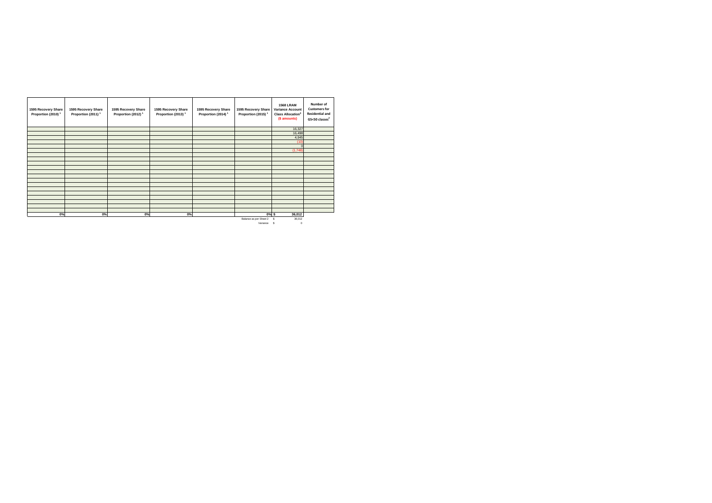| 1595 Recovery Share<br>Proportion (2010) <sup>1</sup> | 1595 Recovery Share<br>Proportion (2011) <sup>1</sup> | 1595 Recovery Share<br>Proportion (2012) <sup>1</sup> | 1595 Recovery Share<br>Proportion (2013) <sup>1</sup> | 1595 Recovery Share<br>Proportion (2014) <sup>1</sup> | 1595 Recovery Share<br>Proportion (2015) <sup>1</sup> | <b>1568 LRAM</b><br>Variance Account<br><b>Class Allocation<sup>3</sup></b><br>(\$ amounts) | Number of<br><b>Customers for</b><br><b>Residential and</b><br>GS<50 classes <sup>2</sup> |
|-------------------------------------------------------|-------------------------------------------------------|-------------------------------------------------------|-------------------------------------------------------|-------------------------------------------------------|-------------------------------------------------------|---------------------------------------------------------------------------------------------|-------------------------------------------------------------------------------------------|
|                                                       |                                                       |                                                       |                                                       |                                                       |                                                       | 16,327                                                                                      |                                                                                           |
|                                                       |                                                       |                                                       |                                                       |                                                       |                                                       | 16,498<br>4,945                                                                             |                                                                                           |
|                                                       |                                                       |                                                       |                                                       |                                                       |                                                       | (10)                                                                                        |                                                                                           |
|                                                       |                                                       |                                                       |                                                       |                                                       |                                                       |                                                                                             |                                                                                           |
|                                                       |                                                       |                                                       |                                                       |                                                       |                                                       | (1,748)                                                                                     |                                                                                           |
|                                                       |                                                       |                                                       |                                                       |                                                       |                                                       |                                                                                             |                                                                                           |
|                                                       |                                                       |                                                       |                                                       |                                                       |                                                       |                                                                                             |                                                                                           |
|                                                       |                                                       |                                                       |                                                       |                                                       |                                                       |                                                                                             |                                                                                           |
|                                                       |                                                       |                                                       |                                                       |                                                       |                                                       |                                                                                             |                                                                                           |
|                                                       |                                                       |                                                       |                                                       |                                                       |                                                       |                                                                                             |                                                                                           |
|                                                       |                                                       |                                                       |                                                       |                                                       |                                                       |                                                                                             |                                                                                           |
|                                                       |                                                       |                                                       |                                                       |                                                       |                                                       |                                                                                             |                                                                                           |
|                                                       |                                                       |                                                       |                                                       |                                                       |                                                       |                                                                                             |                                                                                           |
|                                                       |                                                       |                                                       |                                                       |                                                       |                                                       |                                                                                             |                                                                                           |
|                                                       |                                                       |                                                       |                                                       |                                                       |                                                       |                                                                                             |                                                                                           |
|                                                       |                                                       |                                                       |                                                       |                                                       |                                                       |                                                                                             |                                                                                           |
|                                                       |                                                       |                                                       |                                                       |                                                       |                                                       |                                                                                             |                                                                                           |
|                                                       |                                                       |                                                       |                                                       |                                                       |                                                       |                                                                                             |                                                                                           |
| 0%                                                    | 0%                                                    | 0%                                                    | 0%                                                    |                                                       | 0%S                                                   | 36,012                                                                                      |                                                                                           |
|                                                       |                                                       |                                                       |                                                       |                                                       | Balance as per Sheet 2                                | 36,012<br>s                                                                                 |                                                                                           |
|                                                       |                                                       |                                                       |                                                       |                                                       | Variance                                              | s<br>$\Omega$                                                                               |                                                                                           |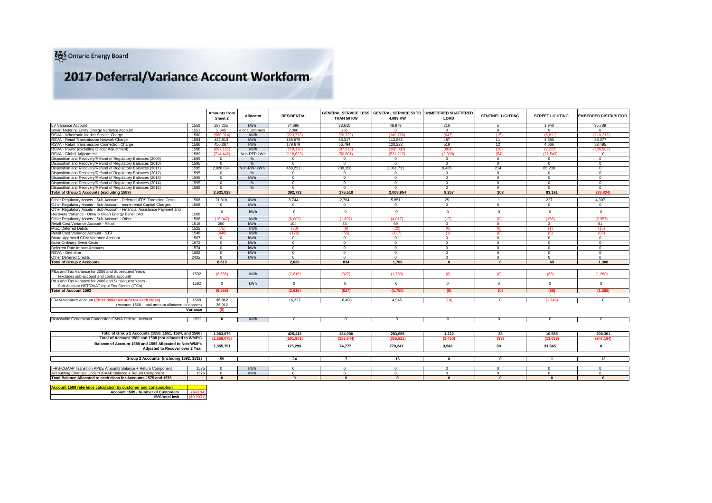# 2017 Deferral/Variance Account Workform

|                                                                                                  |          | <b>Amounts from</b><br>Sheet 2 | Allocator      | <b>RESIDENTIAL</b> | THAN 50 KW     | GENERAL SERVICE LESS GENERAL SERVICE 50 TO UNMETERED SCATTERED<br>4.999 KW | LOAD           | <b>SENTINEL LIGHTING</b> | <b>STREET LIGHTING</b> | <b>EMBEDDED DISTRIBUTOR</b> |
|--------------------------------------------------------------------------------------------------|----------|--------------------------------|----------------|--------------------|----------------|----------------------------------------------------------------------------|----------------|--------------------------|------------------------|-----------------------------|
| LV Variance Account                                                                              | 1550     | 187,235                        | kWh            | 74.696             | 23,610         | 49.979                                                                     | 216            | 5                        | 1.940                  | 36,789                      |
| Smart Metering Entity Charge Variance Account                                                    | 1551     | 2.645                          | # of Customers | 2.360              | 285            | $\Omega$                                                                   | $\Omega$       | $\Omega$                 | $\Omega$               | $\Omega$                    |
| RSVA - Wholesale Market Service Charge                                                           | 1580     | (560.914)                      | kWh            | (223, 773)         | (70.732)       | (149, 726)                                                                 | (647)          | (15)                     | (5, 811)               | (110, 212)                  |
| RSVA - Retail Transmission Network Charge                                                        | 1584     | 422,813                        | kWh            | 168,678            | 53,317         | 112.862                                                                    | 487            | 11                       | 4.380                  | 83.077                      |
| RSVA - Retail Transmission Connection Charge                                                     | 1586     | 450.387                        | kWh            | 179.679            | 56.794         | 120.223                                                                    | 519            | 12                       | 4.666                  | 88.495                      |
| RSVA - Power (excluding Global Adiustment)                                                       | 1588     | (697.161)                      | kWh            | (278.128)          | (87,912)       | (186.095)                                                                  | (804)          | (18)                     | (7.222)                | (136.982                    |
| RSVA - Global Adiustment                                                                         | 1589     | (714.442)                      | Non-RPP kWh    | (118.623)          | (50.601)       | (521.217)                                                                  | (2.398)        | (54)                     | (21.549)               | $\Omega$                    |
| Disposition and Recovery/Refund of Regulatory Balances (2009)                                    | 1595     | $\mathbf{0}$                   | $\frac{0}{6}$  | $\circ$            | $\mathbf{0}$   | $\circ$                                                                    | $\circ$        | $\mathbf{0}$             | $\mathbf{0}$           | $\mathbf{0}$                |
| Disposition and Recovery/Refund of Regulatory Balances (2010)                                    | 1595     | $\mathbf{0}$                   | $O_{\Lambda}$  | $\Omega$           | $\Omega$       | $\Omega$                                                                   | $\overline{0}$ | $\Omega$                 | $\Omega$               | $\Omega$                    |
| Disposition and Recovery/Refund of Regulatory Balances (2011)                                    | 1595     | 2,826,024                      | Non-RPP kWh    | 469.221            | 200,156        | 2,061,711                                                                  | 9.485          | 214                      | 85,238                 | $\Omega$                    |
| Disposition and Recovery/Refund of Regulatory Balances (2012)                                    | 1595     | $\mathbf{0}$                   | $\frac{9}{6}$  | $\overline{0}$     | $\mathbf{0}$   | $\Omega$                                                                   | $\overline{0}$ | $\Omega$                 | $\mathbf{0}$           | $\Omega$                    |
| Disposition and Recovery/Refund of Regulatory Balances (2013)                                    | 1595     | $\mathbf{0}$                   | kWh            | $\mathbf{0}$       | $\mathbf{0}$   | $\circ$                                                                    | $\overline{0}$ | $\circ$                  | $\mathbf{0}$           | $\Omega$                    |
| Disposition and Recovery/Refund of Regulatory Balances (2014)                                    | 1595     | $\mathbf{0}$                   | %              | $\Omega$           | $\mathbf{0}$   | $\Omega$                                                                   | $\Omega$       | $\Omega$                 | $\mathbf{0}$           | $\Omega$                    |
| Disposition and Recovery/Refund of Regulatory Balances (2015)                                    | 1595     | $\mathbf{0}$                   | %              | $\overline{0}$     | $\mathbf{0}$   | $\Omega$                                                                   | $\overline{0}$ | $\Omega$                 | $^{\circ}$             | $\Omega$                    |
| Total of Group 1 Accounts (excluding 1589)                                                       |          | 2.631.028                      |                | 392.733            | 175,518        | 2.008.954                                                                  | 9.257          | 208                      | 83.191                 | (38.834)                    |
| Other Regulatory Assets - Sub-Account - Deferred IFRS Transition Costs                           | 1508     | 21.918                         | kWh            | 8.744              | 2,764          | 5,851                                                                      | 25             | $\overline{1}$           | 227                    | 4,307                       |
| Other Regulatory Assets - Sub-Account - Incremental Capital Charges                              | 1508     | $^{\circ}$                     | kWh            | $\mathbf{0}$       | $\mathbf{0}$   | $\circ$                                                                    | $\overline{0}$ | $\circ$                  | $\mathbf{0}$           | $\mathbf{0}$                |
| Other Regulatory Assets - Sub-Account - Financial Assistance Payment and                         |          |                                |                |                    |                |                                                                            |                |                          |                        |                             |
| Recovery Variance - Ontario Clean Energy Benefit Act                                             | 1508     | $\circ$                        | kWh            | $\circ$            | $\mathbf 0$    | $\overline{0}$                                                             | $\mathbf{0}$   | $\mathbf{0}$             | $\circ$                | $\mathbf{0}$                |
| Other Regulatory Assets - Sub-Account - Other                                                    | 1508     | 15,047                         | kWh            | (6,003)            | (1,897)        | (4,017)                                                                    | (17)           | (0)                      | (156)                  | (2,957)                     |
| Retail Cost Variance Account - Retail                                                            | 1518     | 260                            | kWh            | 104                | 33             | 69                                                                         | $\circ$        | $\mathbf{0}$             | $\mathbf{3}$           | 51                          |
| Misc. Deferred Debits                                                                            | 1525     | (75)                           | kWh            | (30)               | (9)            | (20)                                                                       | (0)            | (0)                      | (1)                    | (15)                        |
| Retail Cost Variance Account - STR                                                               | 1548     | (440)                          | kWh            | (176)              | (55)           | (117)                                                                      | (1)            | (0)                      | (5)                    | (86)                        |
| Board-Approved CDM Variance Account                                                              | 1567     | $\mathbf{0}$                   | <b>kWh</b>     | $\mathbf{0}$       | $\mathbf{0}$   | $\circ$                                                                    | $\overline{0}$ | $\mathbf{0}$             | $\circ$                | $\mathbf{0}$                |
| <b>Extra-Ordinary Event Costs</b>                                                                | 1572     | $\mathbf{0}$                   | kWh            | $\overline{0}$     | $\overline{0}$ | $\Omega$                                                                   | $\overline{0}$ | $\Omega$                 | $\Omega$               | $\overline{0}$              |
| Deferred Rate Impact Amounts                                                                     | 1574     | $\mathbf{0}$                   | kWh            | $\overline{0}$     | $\mathbf{0}$   | $\mathbf{0}$                                                               | $\overline{0}$ | $\mathbf{0}$             | $\circ$                | $\Omega$                    |
| RSVA - One-time                                                                                  | 1582     | $\mathbf{0}$                   | kWh            | $\Omega$           | $\mathbf{0}$   | $\Omega$                                                                   | $\Omega$       | $\Omega$                 | $\Omega$               | $\Omega$                    |
| Other Deferred Credits                                                                           | 2425     | $\mathbf{0}$                   | kWh            | $\overline{0}$     | $\mathbf{0}$   | $\Omega$                                                                   | $\overline{0}$ | $\Omega$                 | $\circ$                | $\mathbf{0}$                |
| <b>Total of Group 2 Accounts</b>                                                                 |          | 6,615                          |                | 2,639              | 834            | 1.766                                                                      |                | $\Omega$                 | 69                     | 1.300                       |
|                                                                                                  |          |                                |                |                    |                |                                                                            |                |                          |                        |                             |
| PILs and Tax Variance for 2006 and Subsequent Years<br>(excludes sub-account and contra account) | 1592     | (6.556)                        | <b>kWh</b>     | (2.616)            | (827)          | (1.750)                                                                    | (8)            | (0)                      | (68)                   | (1.288)                     |
| PILs and Tax Variance for 2006 and Subsequent Years -                                            |          | $\mathbf{0}$                   | kWh            | $\mathbf{0}$       | $\circ$        | $\overline{0}$                                                             | $\mathbf{0}$   | $\Omega$                 | $\mathbf{0}$           | $\Omega$                    |
| Sub-Account HST/OVAT Input Tax Credits (ITCs)                                                    | 1592     |                                |                |                    |                |                                                                            |                |                          |                        |                             |
| <b>Total of Account 1592</b>                                                                     |          | (6.556)                        |                | (2,616)            | (827)          | (1,750)                                                                    | (8)            | (0)                      | (68)                   | (1.288)                     |
| LRAM Variance Account (Enter dollar amount for each class)                                       | 1568     | 36.012                         |                | 16.327             | 16.498         | 4.945                                                                      | (10)           | $\mathbf{0}$             | (1.748)                |                             |
| (Account 1568 - total amount allocated to classes)                                               |          | 36.012                         |                |                    |                |                                                                            |                |                          |                        | $^{\circ}$                  |
|                                                                                                  | Variance | (0)                            |                |                    |                |                                                                            |                |                          |                        |                             |
|                                                                                                  |          |                                |                |                    |                |                                                                            |                |                          |                        |                             |
| Renewable Generation Connection OM&A Deferral Account                                            | 1532     | $\mathbf{0}$                   | kWh            | $\Omega$           | $^{\circ}$     | $\Omega$                                                                   | $\Omega$       | $\Omega$                 | $\mathbf{0}$           | $\Omega$                    |
|                                                                                                  |          |                                |                |                    |                |                                                                            |                |                          |                        |                             |
| Total of Group 1 Accounts (1550, 1551, 1584, and 1586)                                           |          | 1,063,079                      |                | 425.413            | 134.006        | 283.065                                                                    | 1.222          | 28                       | 10.985                 | 208.361                     |
| Total of Account 1580 and 1588 (not allocated to WMPs)                                           |          | (1.258.075)                    |                | (501.901)          | (158.644)      | (335.821)                                                                  | (1.450)        | (33)                     | (13.033)               | (247.194)                   |
| Balance of Account 1589 and 1595 Allocated to Non-WMPs<br>Adjusted to Recover over 2 Year        |          | 1.055.791                      |                | 175.299            | 74.777         | 770.247                                                                    | 3.543          | 80                       | 31.845                 | $\mathbf{0}$                |
| Group 2 Accounts (including 1592, 1532)                                                          |          | 59                             |                | 24                 | $\overline{7}$ | 16                                                                         | $\Omega$       | $\mathbf{0}$             | $\mathbf{1}$           | 12                          |
|                                                                                                  |          |                                |                |                    |                |                                                                            |                |                          |                        |                             |
| IFRS-CGAAP Transition PP&E Amounts Balance + Return Component                                    | 1575     | $^{\circ}$                     | kWh            | $^{\circ}$         | $\mathbf{0}$   | $\Omega$                                                                   | $\Omega$       | $\mathbf{0}$             | $^{\circ}$             | $\Omega$                    |
| Accounting Changes Under CGAAP Balance + Return Component                                        | 1576     | $\Omega$                       | kWh            | $\Omega$           | $^{\circ}$     | $\Omega$                                                                   | $\Omega$       | $^{\circ}$               | $^{\circ}$             | $\Omega$                    |
| Total Balance Allocated to each class for Accounts 1575 and 1576                                 |          | $\Omega$                       |                | $\Omega$           | $\mathbf{a}$   | $\Omega$                                                                   | $\Omega$       | $\mathbf{r}$             | $\Omega$               | $\Omega$                    |
|                                                                                                  |          |                                |                |                    |                |                                                                            |                |                          |                        |                             |

**Aculation by c Account 1589 / Number of Customers 1589/total kwh**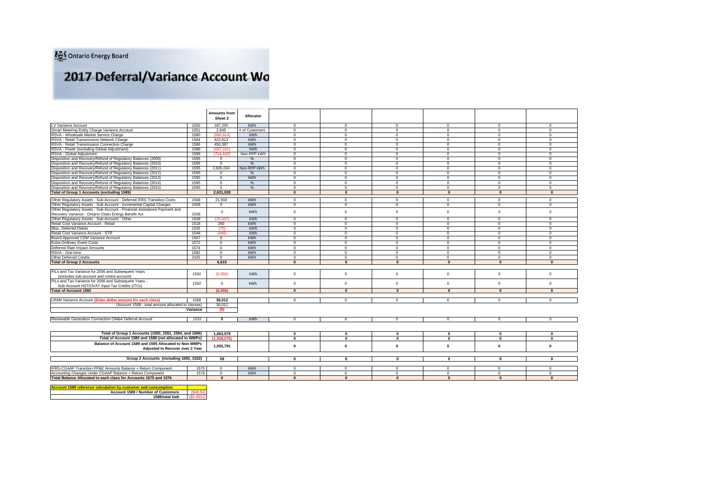# 2017 Deferral/Variance Account Wo

|                                                                          |          | <b>Amounts from</b><br>Sheet 2 | Allocator      |                         |                |                |                |                         |              |
|--------------------------------------------------------------------------|----------|--------------------------------|----------------|-------------------------|----------------|----------------|----------------|-------------------------|--------------|
| LV Variance Account                                                      | 1550     | 187.235                        | kWh            | $^{\circ}$              | $\circ$        | $\mathbf{0}$   | $^{\circ}$     | $^{\circ}$              | $\Omega$     |
| Smart Metering Entity Charge Variance Account                            | 1551     | 2.645                          | # of Customers | $^{\circ}$              | $\overline{0}$ | $\overline{0}$ | $\mathbf{0}$   | $\mathbf{0}$            | $\Omega$     |
| RSVA - Wholesale Market Service Charge                                   | 1580     | (560.914)                      | kWh            | $\mathbf{0}$            | $^{\circ}$     | $\mathbf{0}$   | $^{\circ}$     | $^{\circ}$              | $^{\circ}$   |
| RSVA - Retail Transmission Network Charge                                | 1584     | 422,813                        | kWh            | $\mathbf{0}$            | $\Omega$       | $\circ$        | $\circ$        | $\mathbf 0$             | $\Omega$     |
| RSVA - Retail Transmission Connection Charge                             | 1586     | 450,387                        | kWh            | $\mathbf 0$             | $\circ$        | $\mathbf{0}$   | $\mathbf 0$    | $\mathbf 0$             | $\mathbf{0}$ |
| RSVA - Power (excluding Global Adjustment)                               | 1588     | (697.161)                      | kWh            | $\mathbf{0}$            | $\mathbf{0}$   | $\circ$        | $\mathbf 0$    | $\mathbf{0}$            | $\Omega$     |
| RSVA - Global Adiustment                                                 | 1589     | (714.442)                      | Non-RPP kWh    | $\mathbf 0$             | $\mathbf 0$    | $\circ$        | $\circ$        | $\mathbf{0}$            | $\mathbf{0}$ |
| Disposition and Recovery/Refund of Regulatory Balances (2009)            | 1595     | $^{\circ}$                     | %              | $\mathbf{0}$            | $\mathbf 0$    | $\mathbf{0}$   | $^{\circ}$     | $\mathbf{0}$            | $\Omega$     |
| Disposition and Recovery/Refund of Regulatory Balances (2010)            | 1595     | $\Omega$                       | $\frac{0}{6}$  | $^{\circ}$              | $\mathbf 0$    | $\Omega$       | $\mathbf{0}$   | $\Omega$                | $\Omega$     |
| Disposition and Recovery/Refund of Regulatory Balances (2011)            | 1595     | 2,826,024                      | Non-RPP kWh    | $\mathbf{0}$            | $\mathbf 0$    | $\mathbf{0}$   | $^{\circ}$     | $\mathbf{0}$            | $\Omega$     |
| Disposition and Recovery/Refund of Regulatory Balances (2012)            | 1595     | $\Omega$                       | $\frac{Q}{c}$  | $^{\circ}$              | $\circ$        | $\mathbf{0}$   | $\mathbf{0}$   | $\mathbf{0}$            | $\Omega$     |
| Disposition and Recovery/Refund of Regulatory Balances (2013)            | 1595     | $\mathbf{0}$                   | kWh            | $\mathbf{0}$            | $\mathbf 0$    | $\mathbf{0}$   | $\mathbf{0}$   | $\mathbf{0}$            | $^{\circ}$   |
| Disposition and Recovery/Refund of Regulatory Balances (2014)            | 1595     | $\overline{0}$                 | %              | $\overline{0}$          | $\overline{0}$ | $\overline{0}$ | $\overline{0}$ | $\overline{0}$          | $\mathbf{0}$ |
| Disposition and Recovery/Refund of Regulatory Balances (2015)            | 1595     | $\mathbf{0}$                   | %              | $\overline{0}$          | $\mathbf 0$    | $\overline{0}$ | $^{\circ}$     | $\overline{0}$          | $^{\circ}$   |
| <b>Total of Group 1 Accounts (excluding 1589)</b>                        |          | 2.631.028                      |                | $\mathbf{0}$            | $\mathbf{0}$   | $\mathbf{0}$   | $\mathbf{0}$   | $\mathbf{0}$            | $\mathbf{0}$ |
|                                                                          |          |                                |                |                         |                |                |                |                         |              |
| Other Regulatory Assets - Sub-Account - Deferred IFRS Transition Costs   | 1508     | 21,918                         | kWh            | $^{\circ}$              | $\Omega$       | $\Omega$       | $\mathbf{0}$   | $\Omega$                | $\Omega$     |
| Other Regulatory Assets - Sub-Account - Incremental Capital Charges      | 1508     | $\mathbf{0}$                   | kWh            | $\mathbf{0}$            | $\mathbf{0}$   | $\mathbf{0}$   | $\mathbf{0}$   | $\mathbf{0}$            | $\mathbf{0}$ |
| Other Regulatory Assets - Sub-Account - Financial Assistance Payment and |          | $\mathbf{0}$                   | kWh            | $\mathbf{0}$            | $\mathbf 0$    | $\mathbf{0}$   | $\circ$        | $\mathbf 0$             | $\mathbf 0$  |
| Recovery Variance - Ontario Clean Energy Benefit Act                     | 1508     |                                |                |                         |                |                |                |                         |              |
| Other Regulatory Assets - Sub-Account - Other                            | 1508     | (15.047)                       | kWh            | $\Omega$                | $\mathbf 0$    | $\mathbf{0}$   | $\mathbf{0}$   | $\mathbf{0}$            | $\Omega$     |
| Retail Cost Variance Account - Retail                                    | 1518     | 260                            | kWh            | $\Omega$                | $\mathbf 0$    | $\overline{0}$ | $\mathbf{0}$   | $\mathbf{0}$            | $^{\circ}$   |
| Misc. Deferred Debits                                                    | 1525     | (75)                           | kWh            | $\mathbf{0}$            | $\mathbf 0$    | $\mathbf{0}$   | $^{\circ}$     | $\mathbf{0}$            | $\Omega$     |
| Retail Cost Variance Account - STR                                       | 1548     | (440)                          | kWh            | $\mathbf{0}$            | $\mathbf{0}$   | $\mathbf{0}$   | $\mathbf{0}$   | $\Omega$                | $^{\circ}$   |
| Board-Approved CDM Variance Account                                      | 1567     | $\mathbf{0}$                   | kWh            | $\mathbf{0}$            | $\Omega$       | $\mathbf{0}$   | $\mathbf{0}$   | $\mathbf{0}$            | $\Omega$     |
| <b>Extra-Ordinary Event Costs</b>                                        | 1572     | $\mathbf{0}$                   | kWh            | $\Omega$                | $\mathbf 0$    | $\Omega$       | $^{\circ}$     | $\Omega$                | $\Omega$     |
| Deferred Rate Impact Amounts                                             | 1574     | $\mathbf{0}$                   | kWh            | $\mathbf{0}$            | $\mathbf{0}$   | $\mathbf{0}$   | $^{\circ}$     | $\Omega$                | $\Omega$     |
| RSVA - One-time                                                          | 1582     | $\mathbf{0}$                   | kWh            | $\overline{0}$          | $\overline{0}$ | $\overline{0}$ | $\mathbf{0}$   | $\overline{0}$          | $\mathbf{0}$ |
| Other Deferred Credits                                                   | 2425     | $\mathbf 0$                    | kWh            | $\mathbf 0$             | $\mathbf 0$    | $\mathbf 0$    | $\mathbf{0}$   | $\mathbf 0$             | $\mathbf{0}$ |
| <b>Total of Group 2 Accounts</b>                                         |          | 6.615                          |                | $\Omega$                | $\Omega$       | $\mathbf{0}$   | $\mathbf{0}$   | $\mathbf{0}$            | $\mathbf{0}$ |
|                                                                          |          |                                |                |                         |                |                |                |                         |              |
| PILs and Tax Variance for 2006 and Subsequent Years                      | 1592     | (6, 556)                       | <b>kWh</b>     | $\mathbf 0$             | $\mathbf 0$    | $\mathbf{0}$   | $\mathbf 0$    | $\mathbf 0$             | $\Omega$     |
| (excludes sub-account and contra account)                                |          |                                |                |                         |                |                |                |                         |              |
| PILs and Tax Variance for 2006 and Subsequent Years -                    | 1592     | $\mathbf 0$                    | <b>kWh</b>     | $\Omega$                | $\Omega$       | $\mathbf 0$    | $\mathbf 0$    | $\mathbf 0$             | $\Omega$     |
| Sub-Account HST/OVAT Input Tax Credits (ITCs)                            |          |                                |                |                         |                |                |                |                         |              |
| <b>Total of Account 1592</b>                                             |          | (6.556)                        |                | $\Omega$                | $\mathbf{0}$   | $\mathbf{0}$   | $\mathbf{0}$   | $\Omega$                | $\mathbf{a}$ |
|                                                                          |          |                                |                |                         |                |                |                |                         |              |
| <b>LRAM Variance Account (Enter dollar amount for each class)</b>        | 1568     | 36.012                         |                | $\Omega$                | $\mathbf{0}$   | $\circ$        | $\mathbf{0}$   | $\mathbf{0}$            | $\Omega$     |
| (Account 1568 - total amount allocated to classes)                       |          | 36.012                         |                |                         |                |                |                |                         |              |
|                                                                          | Variance | (0)                            |                |                         |                |                |                |                         |              |
|                                                                          |          |                                |                |                         |                |                |                |                         |              |
| Renewable Generation Connection OM&A Deferral Account                    | 1532     | $\mathbf 0$                    | <b>kWh</b>     | $\mathbf{0}$            | $\mathbf{0}$   | $\mathbf{0}$   | $\mathbf{0}$   | $\mathbf{0}$            | $\Omega$     |
|                                                                          |          |                                |                |                         |                |                |                |                         |              |
|                                                                          |          | 1.063.079                      |                |                         | $\mathbf 0$    | $\mathbf 0$    | $\mathbf 0$    |                         | $\mathbf 0$  |
| Total of Group 1 Accounts (1550, 1551, 1584, and 1586)                   |          |                                |                | $\mathbf 0$<br>$\bf{0}$ | $\mathbf 0$    | $\mathbf 0$    | $\mathbf{0}$   | $\mathbf 0$<br>$\Omega$ | $\mathbf 0$  |
| Total of Account 1580 and 1588 (not allocated to WMPs)                   |          | (1, 258, 075)                  |                |                         |                |                |                |                         |              |
| Balance of Account 1589 and 1595 Allocated to Non-WMPs                   |          | 1,055,791                      |                | $\Omega$                | $\mathbf 0$    | $\mathbf 0$    | $\mathbf{0}$   | $\mathbf{0}$            | $\Omega$     |
| Adiusted to Recover over 2 Year                                          |          |                                |                |                         |                |                |                |                         |              |
| Group 2 Accounts (including 1592, 1532)                                  |          | 59                             |                | $\mathbf 0$             | $\mathbf 0$    | $\mathbf 0$    | $\mathbf 0$    | $\mathbf{0}$            | $\mathbf 0$  |
|                                                                          |          |                                |                |                         |                |                |                |                         |              |
| <b>IFRS-CGAAP Transition PP&amp;E Amounts Balance + Return Component</b> | 1575     | $\mathbf{0}$                   | kWh            | $\circ$                 | $\mathbf 0$    | $\mathbf{0}$   | $^{\circ}$     | $^{\circ}$              | $\Omega$     |
| Accounting Changes Under CGAAP Balance + Return Component                | 1576     | $\mathbf{0}$                   | kWh            | $\mathbf{0}$            | $\mathbf{0}$   | $\overline{0}$ | $^{\circ}$     | $\mathbf{0}$            | $^{\circ}$   |
| Total Balance Allocated to each class for Accounts 1575 and 1576         |          | $\mathbf{0}$                   |                | $\Omega$                | $\Omega$       | $\mathbf{0}$   | $\Omega$       | $\Omega$                | $\mathbf{0}$ |
|                                                                          |          |                                |                |                         |                |                |                |                         |              |
| Account 1589 reference calculation by customer and consumption           |          |                                |                |                         |                |                |                |                         |              |

**Account 1589 reference calculation by customer and consumption Account 1589 / Number of Customers** (\$48.94) **1589/total kwh** (\$0.0031)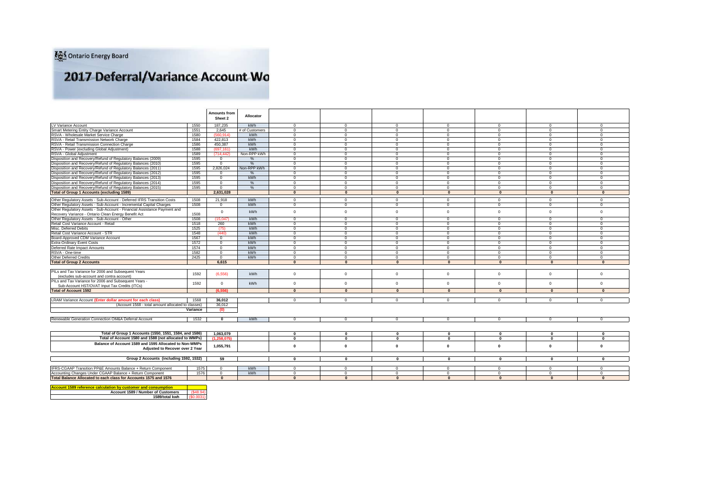# 2017 Deferral/Variance Account Wo

|                                                                                                                                |              | <b>Amounts from</b>              |                       |                         |                               |                            |                        |                        |                            |                          |
|--------------------------------------------------------------------------------------------------------------------------------|--------------|----------------------------------|-----------------------|-------------------------|-------------------------------|----------------------------|------------------------|------------------------|----------------------------|--------------------------|
|                                                                                                                                |              | Sheet 2                          | Allocator             |                         |                               |                            |                        |                        |                            |                          |
|                                                                                                                                |              |                                  |                       |                         |                               |                            |                        |                        |                            | $\Omega$                 |
| LV Variance Account                                                                                                            | 1550         | 187,235<br>2.645                 | kWh<br># of Customers | $\Omega$                | $\mathbf 0$<br>$\overline{0}$ | $\mathbf{0}$               | $\mathbf{0}$           | $\Omega$<br>$\Omega$   | $\mathbf{0}$               |                          |
| Smart Metering Entity Charge Variance Account                                                                                  | 1551         |                                  |                       | $\mathbf 0$<br>$\Omega$ |                               | $\mathbf{0}$               | $\mathbf{0}$           |                        | $\mathbf{0}$               | $\mathbf{0}$             |
| RSVA - Wholesale Market Service Charge                                                                                         | 1580         | (560.914)                        | <b>kWh</b>            |                         | $\circ$                       | $\mathbf 0$                | $\mathbf{0}$           | $^{\circ}$             | $\overline{0}$             | $\mathbf{0}$             |
| RSVA - Retail Transmission Network Charge                                                                                      | 1584         | 422.813                          | kWh                   | $\circ$                 | $\circ$                       | $\Omega$                   | $\Omega$               | $\Omega$               | $\overline{0}$             | $\Omega$                 |
| RSVA - Retail Transmission Connection Charge                                                                                   | 1586         | 450.387                          | kWh<br>kWh            | $\Omega$                | $\circ$                       | $\mathbf{0}$               | $\Omega$               | $\Omega$               | $\mathbf 0$                | $\Omega$                 |
| RSVA - Power (excluding Global Adiustment)                                                                                     | 1588<br>1589 | (697.161)<br>(714.442)           | Non-RPP kWh           | $^{\circ}$<br>$\Omega$  | $\circ$<br>$\Omega$           | $\overline{0}$<br>$\Omega$ | $^{\circ}$<br>$\Omega$ | $^{\circ}$<br>$\Omega$ | $\overline{0}$<br>$\Omega$ | $\mathbf{0}$<br>$\Omega$ |
| RSVA - Global Adjustment                                                                                                       |              |                                  |                       | $\Omega$                |                               |                            | $\Omega$               | $\Omega$               | $\Omega$                   | $\Omega$                 |
| Disposition and Recovery/Refund of Regulatory Balances (2009)<br>Disposition and Recovery/Refund of Regulatory Balances (2010) | 1595<br>1595 | $\overline{0}$<br>$\overline{0}$ | %<br>%                | $\Omega$                | $\circ$<br>$\circ$            | $\overline{0}$<br>$\Omega$ | $\Omega$               | $\Omega$               | $\mathbf{0}$               | $\Omega$                 |
| Disposition and Recovery/Refund of Regulatory Balances (2011)                                                                  | 1595         | 2.826.024                        | Non-RPP kWh           | $\Omega$                | $\circ$                       | $\overline{0}$             | $\Omega$               | $\Omega$               | $\overline{0}$             | $\mathbf{0}$             |
|                                                                                                                                | 1595         |                                  |                       | $\mathbf{0}$            | $\circ$                       | $\mathbf{0}$               | $\Omega$               | $\Omega$               | $\mathbf{0}$               | $^{\circ}$               |
| Disposition and Recovery/Refund of Regulatory Balances (2012)<br>Disposition and Recovery/Refund of Regulatory Balances (2013) | 1595         | $^{\circ}$<br>$\mathbf{0}$       | %<br>kWh              | $\Omega$                | $\circ$                       | $\mathbf{0}$               | $\Omega$               | $\Omega$               | $\Omega$                   | $\Omega$                 |
|                                                                                                                                |              | $\mathbf{0}$                     |                       | $\Omega$                | $\mathbf{0}$                  | $\Omega$                   | $\Omega$               | $\Omega$               | $\mathbf{0}$               | $\Omega$                 |
| Disposition and Recovery/Refund of Regulatory Balances (2014)<br>Disposition and Recovery/Refund of Regulatory Balances (2015) | 1595<br>1595 |                                  | %<br>$\frac{9}{6}$    | $\Omega$                | $\circ$                       | $\Omega$                   | $\mathbf{0}$           | $\Omega$               | $\mathbf{0}$               | $\mathbf{0}$             |
| <b>Total of Group 1 Accounts (excluding 1589)</b>                                                                              |              | $\mathbf 0$<br>2.631.028         |                       | $\mathbf{0}$            | $\overline{0}$                | $\mathbf{0}$               | $\mathbf{0}$           | $\mathbf{0}$           | $\mathbf{0}$               | $\mathbf{0}$             |
|                                                                                                                                |              |                                  |                       |                         |                               |                            |                        |                        |                            |                          |
| Other Regulatory Assets - Sub-Account - Deferred IFRS Transition Costs                                                         | 1508         | 21,918                           | kWh                   | $^{\circ}$              | $\mathbf{0}$                  | $\overline{0}$             | $^{\circ}$             | $^{\circ}$             | $\overline{0}$             | $\mathbf{0}$             |
| Other Regulatory Assets - Sub-Account - Incremental Capital Charges                                                            | 1508         | $\mathbf{0}$                     | kWh                   | $\overline{0}$          | $\overline{0}$                | $\overline{0}$             | $\mathbf{0}$           | $\mathbf{0}$           | $\overline{0}$             | $\mathbf{0}$             |
| Other Regulatory Assets - Sub-Account - Financial Assistance Payment and                                                       |              | $\circ$                          | kWh                   | $\mathbf{0}$            | $\mathbb O$                   | $\overline{0}$             | $\mathbf{0}$           | $\Omega$               | $\overline{0}$             | $\Omega$                 |
| Recovery Variance - Ontario Clean Energy Benefit Act                                                                           | 1508         |                                  |                       |                         |                               |                            |                        |                        |                            |                          |
| Other Regulatory Assets - Sub-Account - Other                                                                                  | 1508         | (15.047)                         | kWh                   | $\Omega$                | $\circ$                       | $\overline{0}$             | $\Omega$               | $\Omega$               | $\Omega$                   | $\Omega$                 |
| Retail Cost Variance Account - Retail                                                                                          | 1518         | 260                              | kWh                   | $\Omega$                | $\circ$                       | $\Omega$                   | $\Omega$               | $\Omega$               | $\mathbf{0}$               | $\Omega$                 |
| Misc. Deferred Debits                                                                                                          | 1525         | (75)                             | kWh                   | $\mathbf{0}$            | $\circ$                       | $\overline{0}$             | $\Omega$               | $\Omega$               | $\circ$                    | $\mathbf{0}$             |
| Retail Cost Variance Account - STR                                                                                             | 1548         | (440)                            | kWh                   | $\mathbf{0}$            | $\circ$                       | $\mathbf{0}$               | $\Omega$               | $\Omega$               | $\overline{0}$             | $\mathbf{0}$             |
| Board-Approved CDM Variance Account                                                                                            | 1567         | $\mathbf{0}$                     | kWh                   | $\Omega$                | $\Omega$                      | $\mathbf{0}$               | $\Omega$               | $\Omega$               | $\Omega$                   | $^{\circ}$               |
| <b>Extra-Ordinary Event Costs</b>                                                                                              | 1572         | $\mathbf{0}$                     | <b>kWh</b>            | $\Omega$                | $\circ$                       | $\Omega$                   | $\Omega$               | $\Omega$               | $\mathbf{0}$               | $\Omega$                 |
| Deferred Rate Impact Amounts                                                                                                   | 1574         | $\mathbf{0}$                     | kWh                   | $\Omega$                | $\circ$                       | $\Omega$                   | $\Omega$               | $\Omega$               | $\overline{0}$             | $\Omega$                 |
| RSVA - One-time                                                                                                                | 1582         | $\mathbf 0$                      | kWh                   | $\mathbf 0$             | $\overline{0}$                | $\mathbf{0}$               | $\mathbf{0}$           | $\Omega$               | $\circ$                    | $\mathbf{0}$             |
| Other Deferred Credits                                                                                                         | 2425         | $\mathbf{0}$                     | kWh                   | $\mathbf{0}$            | $\circ$                       | $\mathbf{0}$               | $\mathbf{0}$           | $^{\circ}$             | $\mathbf{0}$               | $\mathbf{0}$             |
| <b>Total of Group 2 Accounts</b>                                                                                               |              | 6.615                            |                       | $\mathbf{0}$            | $\mathbf{0}$                  | $\mathbf{0}$               | $\mathbf{0}$           | $\mathbf{0}$           | $\mathbf{0}$               | $\mathbf{0}$             |
|                                                                                                                                |              |                                  |                       |                         |                               |                            |                        |                        |                            |                          |
| PILs and Tax Variance for 2006 and Subsequent Years                                                                            | 1592         | (6, 556)                         | <b>kWh</b>            | $\Omega$                | $\mathbf 0$                   | $\Omega$                   | $\Omega$               | $\Omega$               | $\mathbf 0$                | $\Omega$                 |
| (excludes sub-account and contra account)                                                                                      |              |                                  |                       |                         |                               |                            |                        |                        |                            |                          |
| PILs and Tax Variance for 2006 and Subsequent Years -                                                                          | 1592         | $\mathbf 0$                      | kWh                   | $\mathbf 0$             | $\mathbb O$                   | $\mathbf{0}$               | $\mathbf 0$            | $\mathbf{0}$           | $\mathsf 0$                | $\mathbf 0$              |
| Sub-Account HST/OVAT Input Tax Credits (ITCs)                                                                                  |              |                                  |                       |                         |                               |                            |                        |                        |                            |                          |
| <b>Total of Account 1592</b>                                                                                                   |              | (6.556)                          |                       | $\mathbf{0}$            | $\mathbf{0}$                  | $\Omega$                   | $\Omega$               | $\Omega$               | $\Omega$                   | $\Omega$                 |
|                                                                                                                                |              |                                  |                       |                         |                               |                            |                        |                        |                            |                          |
| <b>LRAM Variance Account (Enter dollar amount for each class)</b>                                                              | 1568         | 36.012                           |                       | $\Omega$                | $\Omega$                      | $\Omega$                   | $\Omega$               | $\Omega$               | $\Omega$                   | $\Omega$                 |
| (Account 1568 - total amount allocated to classes)                                                                             |              | 36,012                           |                       |                         |                               |                            |                        |                        |                            |                          |
|                                                                                                                                | Variance     | (0)                              |                       |                         |                               |                            |                        |                        |                            |                          |
| Renewable Generation Connection OM&A Deferral Account                                                                          | 1532         | $\mathbf{0}$                     | kWh                   | $\Omega$                | $\circ$                       | $\mathbf{0}$               | $\mathbf{0}$           | $\Omega$               | $\mathbf{0}$               | $\Omega$                 |
|                                                                                                                                |              |                                  |                       |                         |                               |                            |                        |                        |                            |                          |
|                                                                                                                                |              |                                  |                       |                         |                               |                            |                        |                        |                            |                          |
| Total of Group 1 Accounts (1550, 1551, 1584, and 1586)                                                                         |              | 1,063,079                        |                       | $\mathbf{0}$            | $\mathbf 0$                   | $\mathbf{0}$               | $\mathbf{0}$           | $\mathbf{0}$           | $\mathbf{0}$               | $\Omega$                 |
| Total of Account 1580 and 1588 (not allocated to WMPs)                                                                         |              | (1,258,075)                      |                       | $\mathbf{0}$            | $\overline{0}$                | $\Omega$                   | $\mathbf{0}$           | $\mathbf{0}$           | $\mathbf{0}$               | $\Omega$                 |
| Balance of Account 1589 and 1595 Allocated to Non-WMPs                                                                         |              |                                  |                       |                         |                               |                            |                        |                        |                            |                          |
| Adiusted to Recover over 2 Year                                                                                                |              | 1,055,791                        |                       | $\mathbf{0}$            | $\mathbf{0}$                  | $\mathbf{0}$               | $\mathbf{0}$           | $\mathbf{0}$           | $\mathbf{0}$               | $\bf{0}$                 |
|                                                                                                                                |              |                                  |                       |                         |                               |                            |                        |                        |                            |                          |
| Group 2 Accounts (including 1592, 1532)                                                                                        |              | 59                               |                       | $\Omega$                | $\mathbf{0}$                  | $\mathbf{0}$               | $\mathbf{0}$           | $\mathbf{0}$           | $\Omega$                   | $\Omega$                 |
|                                                                                                                                |              |                                  |                       |                         |                               |                            |                        |                        |                            |                          |
| IFRS-CGAAP Transition PP&E Amounts Balance + Return Component                                                                  | 1575         | $\mathbf{0}$                     | kWh                   | $\mathbf{0}$            | $\circ$                       | $\overline{0}$             | $\Omega$               | $\Omega$               | $\circ$                    | $\Omega$                 |
| Accounting Changes Under CGAAP Balance + Return Component                                                                      | 1576         | $\mathbf{0}$                     | kWh                   | $\mathbf{0}$            | $\mathbf{0}$                  | $\mathbf{0}$               | $\mathbf{0}$           | $\mathbf{0}$           | $\circ$                    | $\mathbf{0}$             |
| Total Balance Allocated to each class for Accounts 1575 and 1576                                                               |              | $\Omega$                         |                       | $\Omega$                | $\mathbf{0}$                  | $\mathbf{a}$               | $\Omega$               | $\mathbf{0}$           | $\Omega$                   | $\Omega$                 |
|                                                                                                                                |              |                                  |                       |                         |                               |                            |                        |                        |                            |                          |
| Assembla COD reference coloulation by customer and concumption                                                                 |              |                                  |                       |                         |                               |                            |                        |                        |                            |                          |

**Account 1589 reference calculation by customer and consumption Account 1589 / Number of Customers** (\$48.94) **1589/total kwh**